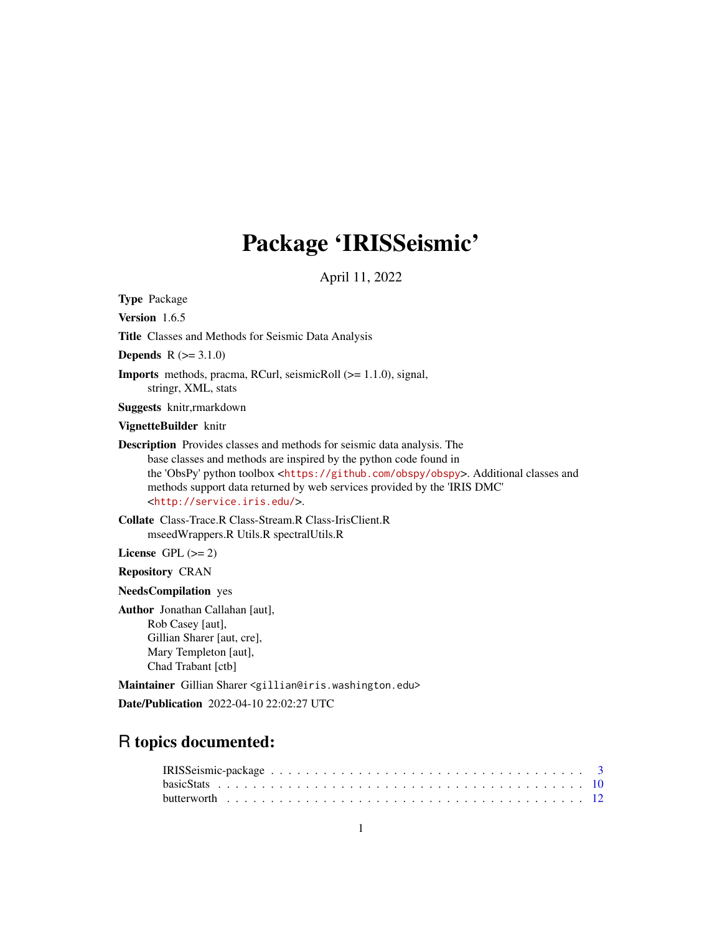# Package 'IRISSeismic'

April 11, 2022

Type Package Version 1.6.5 Title Classes and Methods for Seismic Data Analysis **Depends**  $R (= 3.1.0)$ Imports methods, pracma, RCurl, seismicRoll (>= 1.1.0), signal, stringr, XML, stats Suggests knitr,rmarkdown VignetteBuilder knitr Description Provides classes and methods for seismic data analysis. The base classes and methods are inspired by the python code found in the 'ObsPy' python toolbox <<https://github.com/obspy/obspy>>. Additional classes and methods support data returned by web services provided by the 'IRIS DMC' <<http://service.iris.edu/>>. Collate Class-Trace.R Class-Stream.R Class-IrisClient.R mseedWrappers.R Utils.R spectralUtils.R License GPL  $(>= 2)$ Repository CRAN NeedsCompilation yes Author Jonathan Callahan [aut], Rob Casey [aut], Gillian Sharer [aut, cre], Mary Templeton [aut], Chad Trabant [ctb]

Maintainer Gillian Sharer <gillian@iris.washington.edu>

Date/Publication 2022-04-10 22:02:27 UTC

## R topics documented: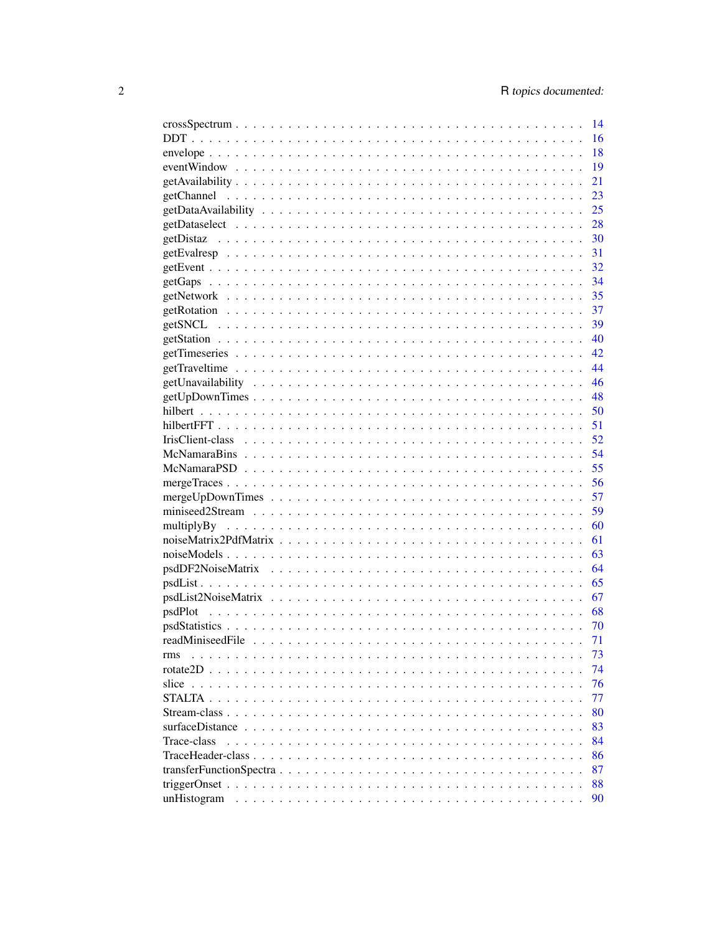| $crossSpectrum \dots \dots \dots \dots \dots \dots \dots \dots \dots \dots \dots \dots \dots \dots \dots \dots \dots \dots$                                                                                                                          | 14  |
|------------------------------------------------------------------------------------------------------------------------------------------------------------------------------------------------------------------------------------------------------|-----|
|                                                                                                                                                                                                                                                      | 16  |
|                                                                                                                                                                                                                                                      | 18  |
|                                                                                                                                                                                                                                                      | 19  |
|                                                                                                                                                                                                                                                      | 21  |
|                                                                                                                                                                                                                                                      | 23  |
|                                                                                                                                                                                                                                                      | 25  |
|                                                                                                                                                                                                                                                      | 28  |
|                                                                                                                                                                                                                                                      | 30  |
|                                                                                                                                                                                                                                                      | 31  |
|                                                                                                                                                                                                                                                      | 32  |
|                                                                                                                                                                                                                                                      | 34  |
|                                                                                                                                                                                                                                                      | 35  |
|                                                                                                                                                                                                                                                      | 37  |
|                                                                                                                                                                                                                                                      | -39 |
|                                                                                                                                                                                                                                                      | 40  |
|                                                                                                                                                                                                                                                      |     |
|                                                                                                                                                                                                                                                      |     |
|                                                                                                                                                                                                                                                      |     |
|                                                                                                                                                                                                                                                      |     |
|                                                                                                                                                                                                                                                      | 50  |
|                                                                                                                                                                                                                                                      | 51  |
|                                                                                                                                                                                                                                                      |     |
|                                                                                                                                                                                                                                                      |     |
|                                                                                                                                                                                                                                                      | 55  |
|                                                                                                                                                                                                                                                      | 56  |
|                                                                                                                                                                                                                                                      | 57  |
|                                                                                                                                                                                                                                                      | 59  |
|                                                                                                                                                                                                                                                      | 60  |
|                                                                                                                                                                                                                                                      | 61  |
|                                                                                                                                                                                                                                                      | 63  |
|                                                                                                                                                                                                                                                      | 64  |
|                                                                                                                                                                                                                                                      |     |
|                                                                                                                                                                                                                                                      | 67  |
|                                                                                                                                                                                                                                                      | 68  |
|                                                                                                                                                                                                                                                      | 70  |
|                                                                                                                                                                                                                                                      | 71  |
| rms                                                                                                                                                                                                                                                  | 73  |
| rotate2D                                                                                                                                                                                                                                             | 74  |
| slice $\ldots$                                                                                                                                                                                                                                       | 76  |
| STALTA.                                                                                                                                                                                                                                              | 77  |
| Stream-class                                                                                                                                                                                                                                         | 80  |
| surfaceDistance<br>$\mathbf{r}$ . The set of the set of the set of the set of the set of the set of the set of the set of the set of the set of the set of the set of the set of the set of the set of the set of the set of the set of the set of t | 83  |
| Trace-class<br>1.1.1.1.1                                                                                                                                                                                                                             | 84  |
|                                                                                                                                                                                                                                                      | 86  |
|                                                                                                                                                                                                                                                      | 87  |
|                                                                                                                                                                                                                                                      | 88  |
| unHistogram                                                                                                                                                                                                                                          | 90  |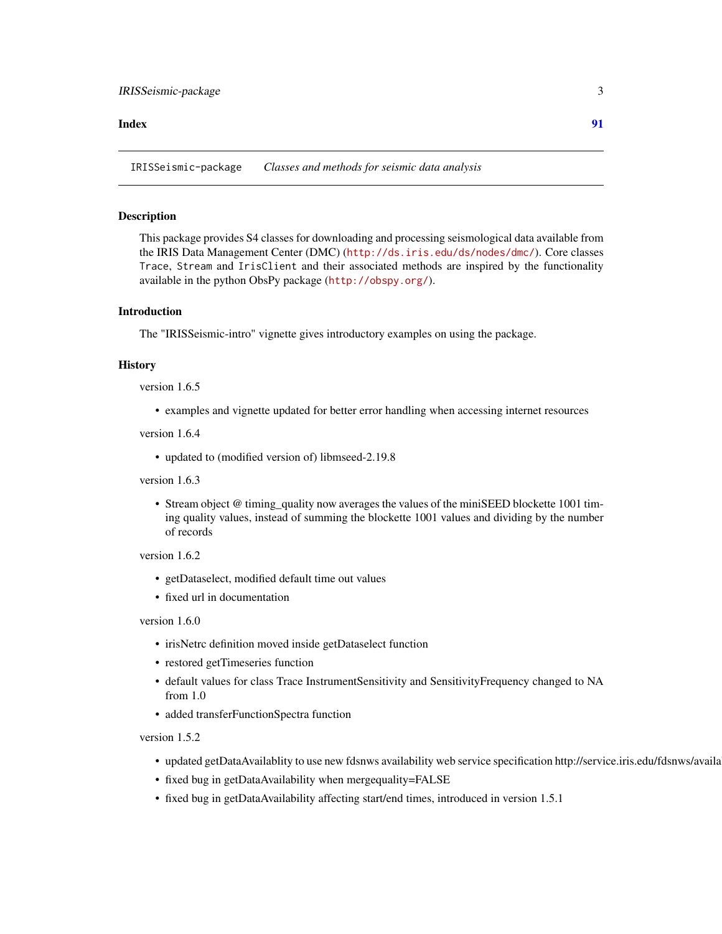#### <span id="page-2-0"></span>**Index** [91](#page-90-0)

IRISSeismic-package *Classes and methods for seismic data analysis*

#### Description

This package provides S4 classes for downloading and processing seismological data available from the IRIS Data Management Center (DMC) (<http://ds.iris.edu/ds/nodes/dmc/>). Core classes Trace, Stream and IrisClient and their associated methods are inspired by the functionality available in the python ObsPy package (<http://obspy.org/>).

## Introduction

The "IRISSeismic-intro" vignette gives introductory examples on using the package.

#### **History**

version 1.6.5

• examples and vignette updated for better error handling when accessing internet resources

version 1.6.4

• updated to (modified version of) libmseed-2.19.8

version 1.6.3

• Stream object @ timing\_quality now averages the values of the miniSEED blockette 1001 timing quality values, instead of summing the blockette 1001 values and dividing by the number of records

version 1.6.2

- getDataselect, modified default time out values
- fixed url in documentation

#### version 1.6.0

- irisNetrc definition moved inside getDataselect function
- restored getTimeseries function
- default values for class Trace InstrumentSensitivity and SensitivityFrequency changed to NA from 1.0
- added transferFunctionSpectra function

version 1.5.2

- updated getDataAvailablity to use new fdsnws availability web service specification http://service.iris.edu/fdsnws/availa
- fixed bug in getDataAvailability when mergequality=FALSE
- fixed bug in getDataAvailability affecting start/end times, introduced in version 1.5.1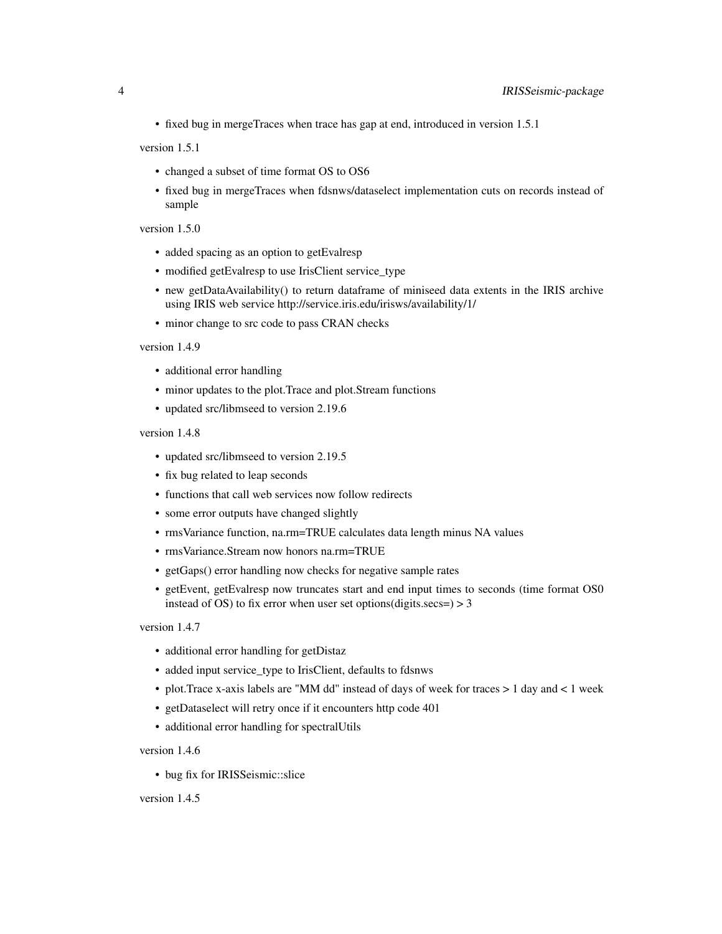• fixed bug in mergeTraces when trace has gap at end, introduced in version 1.5.1

version 1.5.1

- changed a subset of time format OS to OS6
- fixed bug in mergeTraces when fdsnws/dataselect implementation cuts on records instead of sample

version 1.5.0

- added spacing as an option to getEvalresp
- modified getEvalresp to use IrisClient service\_type
- new getDataAvailability() to return dataframe of miniseed data extents in the IRIS archive using IRIS web service http://service.iris.edu/irisws/availability/1/
- minor change to src code to pass CRAN checks

version 1.4.9

- additional error handling
- minor updates to the plot.Trace and plot.Stream functions
- updated src/libmseed to version 2.19.6

version 1.4.8

- updated src/libmseed to version 2.19.5
- fix bug related to leap seconds
- functions that call web services now follow redirects
- some error outputs have changed slightly
- rmsVariance function, na.rm=TRUE calculates data length minus NA values
- rmsVariance.Stream now honors na.rm=TRUE
- getGaps() error handling now checks for negative sample rates
- getEvent, getEvalresp now truncates start and end input times to seconds (time format OS0 instead of OS) to fix error when user set options(digits.secs=)  $>$  3

version 1.4.7

- additional error handling for getDistaz
- added input service\_type to IrisClient, defaults to fdsnws
- plot.Trace x-axis labels are "MM dd" instead of days of week for traces > 1 day and < 1 week
- getDataselect will retry once if it encounters http code 401
- additional error handling for spectralUtils

version 1.4.6

• bug fix for IRISSeismic::slice

version 1.4.5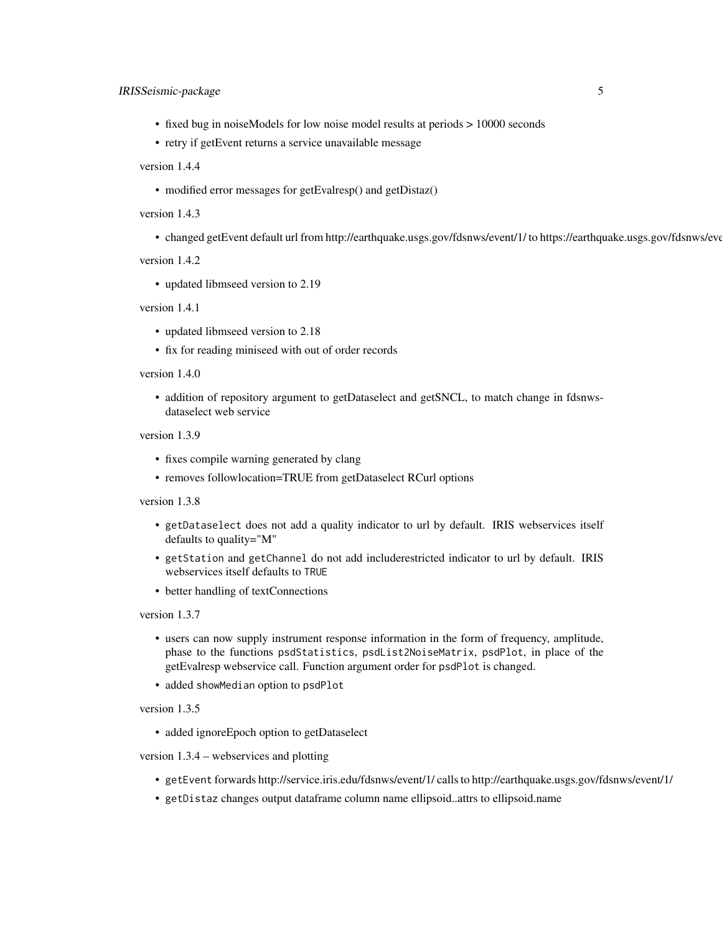- fixed bug in noiseModels for low noise model results at periods > 10000 seconds
- retry if getEvent returns a service unavailable message

version 1.4.4

• modified error messages for getEvalresp() and getDistaz()

version 1.4.3

• changed getEvent default url from http://earthquake.usgs.gov/fdsnws/event/1/ to https://earthquake.usgs.gov/fdsnws/event/1/

version 1.4.2

• updated libmseed version to 2.19

version 1.4.1

- updated libmseed version to 2.18
- fix for reading miniseed with out of order records

#### version 1.4.0

• addition of repository argument to getDataselect and getSNCL, to match change in fdsnwsdataselect web service

version 1.3.9

- fixes compile warning generated by clang
- removes followlocation=TRUE from getDataselect RCurl options

version 1.3.8

- getDataselect does not add a quality indicator to url by default. IRIS webservices itself defaults to quality="M"
- getStation and getChannel do not add includerestricted indicator to url by default. IRIS webservices itself defaults to TRUE
- better handling of textConnections

version 1.3.7

- users can now supply instrument response information in the form of frequency, amplitude, phase to the functions psdStatistics, psdList2NoiseMatrix, psdPlot, in place of the getEvalresp webservice call. Function argument order for psdPlot is changed.
- added showMedian option to psdPlot

version 1.3.5

• added ignoreEpoch option to getDataselect

version 1.3.4 – webservices and plotting

- getEvent forwards http://service.iris.edu/fdsnws/event/1/ calls to http://earthquake.usgs.gov/fdsnws/event/1/
- getDistaz changes output dataframe column name ellipsoid..attrs to ellipsoid.name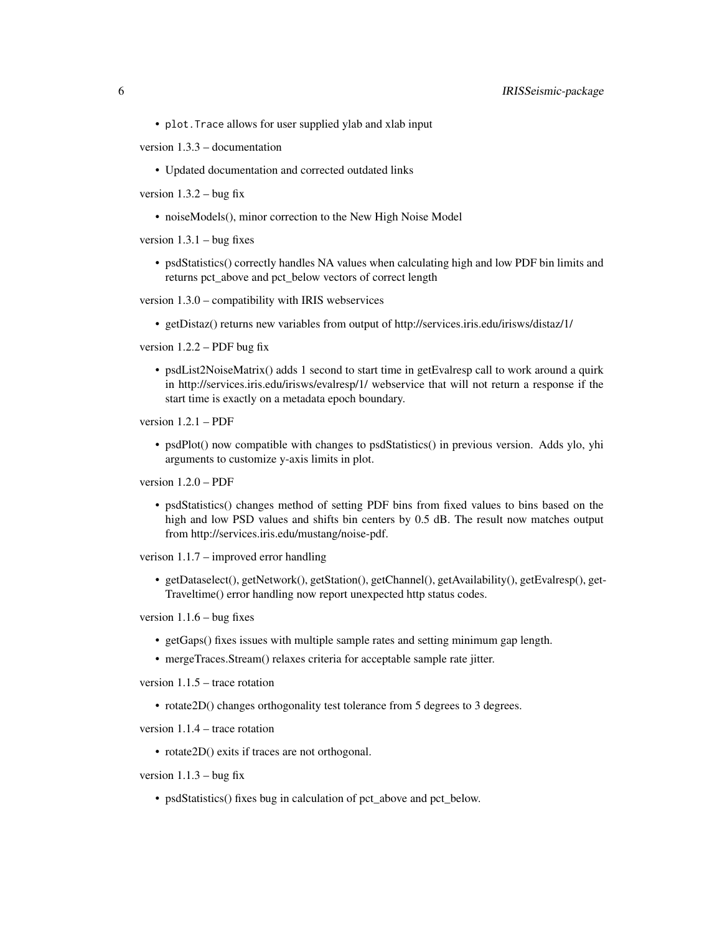- plot.Trace allows for user supplied ylab and xlab input
- version 1.3.3 documentation
	- Updated documentation and corrected outdated links
- version  $1.3.2 b$ ug fix
	- noiseModels(), minor correction to the New High Noise Model

version  $1.3.1 - b$ ug fixes

• psdStatistics() correctly handles NA values when calculating high and low PDF bin limits and returns pct\_above and pct\_below vectors of correct length

version 1.3.0 – compatibility with IRIS webservices

• getDistaz() returns new variables from output of http://services.iris.edu/irisws/distaz/1/

version 1.2.2 – PDF bug fix

• psdList2NoiseMatrix() adds 1 second to start time in getEvalresp call to work around a quirk in http://services.iris.edu/irisws/evalresp/1/ webservice that will not return a response if the start time is exactly on a metadata epoch boundary.

version 1.2.1 – PDF

• psdPlot() now compatible with changes to psdStatistics() in previous version. Adds ylo, yhi arguments to customize y-axis limits in plot.

version 1.2.0 – PDF

• psdStatistics() changes method of setting PDF bins from fixed values to bins based on the high and low PSD values and shifts bin centers by 0.5 dB. The result now matches output from http://services.iris.edu/mustang/noise-pdf.

verison 1.1.7 – improved error handling

• getDataselect(), getNetwork(), getStation(), getChannel(), getAvailability(), getEvalresp(), get-Traveltime() error handling now report unexpected http status codes.

version  $1.1.6$  – bug fixes

- getGaps() fixes issues with multiple sample rates and setting minimum gap length.
- mergeTraces.Stream() relaxes criteria for acceptable sample rate jitter.

version 1.1.5 – trace rotation

• rotate2D() changes orthogonality test tolerance from 5 degrees to 3 degrees.

version 1.1.4 – trace rotation

• rotate2D() exits if traces are not orthogonal.

version  $1.1.3 - b$ ug fix

• psdStatistics() fixes bug in calculation of pct\_above and pct\_below.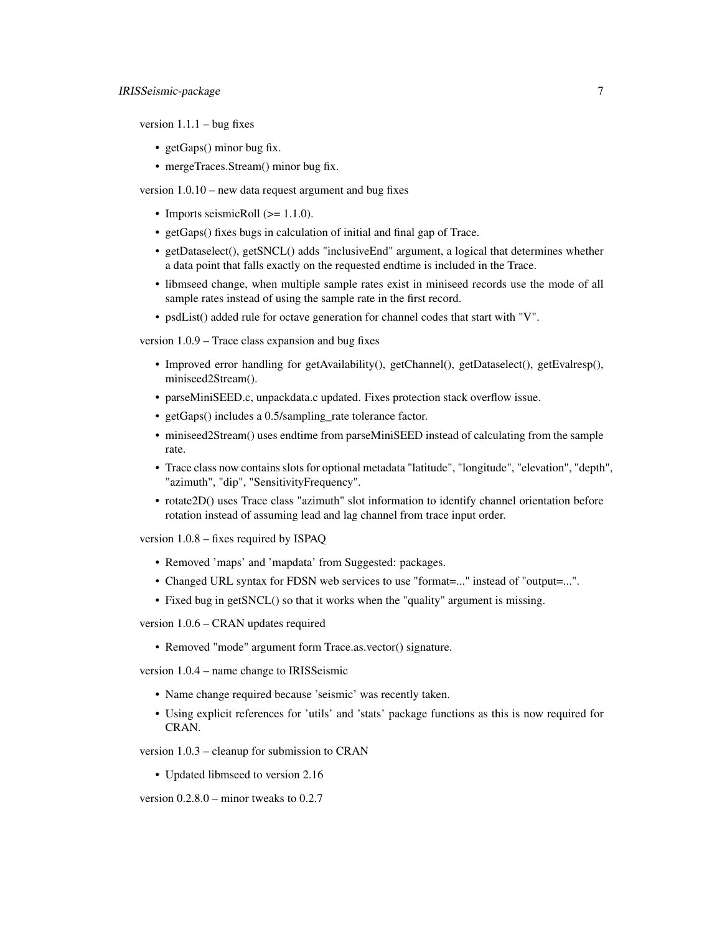version  $1.1.1 - b$ ug fixes

- getGaps() minor bug fix.
- mergeTraces.Stream() minor bug fix.

version 1.0.10 – new data request argument and bug fixes

- Imports seismicRoll  $(>= 1.1.0)$ .
- getGaps() fixes bugs in calculation of initial and final gap of Trace.
- getDataselect(), getSNCL() adds "inclusiveEnd" argument, a logical that determines whether a data point that falls exactly on the requested endtime is included in the Trace.
- libmseed change, when multiple sample rates exist in miniseed records use the mode of all sample rates instead of using the sample rate in the first record.
- psdList() added rule for octave generation for channel codes that start with "V".

version 1.0.9 – Trace class expansion and bug fixes

- Improved error handling for getAvailability(), getChannel(), getDataselect(), getEvalresp(), miniseed2Stream().
- parseMiniSEED.c, unpackdata.c updated. Fixes protection stack overflow issue.
- getGaps() includes a 0.5/sampling rate tolerance factor.
- miniseed2Stream() uses endtime from parseMiniSEED instead of calculating from the sample rate.
- Trace class now contains slots for optional metadata "latitude", "longitude", "elevation", "depth", "azimuth", "dip", "SensitivityFrequency".
- rotate2D() uses Trace class "azimuth" slot information to identify channel orientation before rotation instead of assuming lead and lag channel from trace input order.

version 1.0.8 – fixes required by ISPAQ

- Removed 'maps' and 'mapdata' from Suggested: packages.
- Changed URL syntax for FDSN web services to use "format=..." instead of "output=...".
- Fixed bug in getSNCL() so that it works when the "quality" argument is missing.

version 1.0.6 – CRAN updates required

• Removed "mode" argument form Trace.as.vector() signature.

version 1.0.4 – name change to IRISSeismic

- Name change required because 'seismic' was recently taken.
- Using explicit references for 'utils' and 'stats' package functions as this is now required for CRAN.

version 1.0.3 – cleanup for submission to CRAN

• Updated libmseed to version 2.16

version 0.2.8.0 – minor tweaks to 0.2.7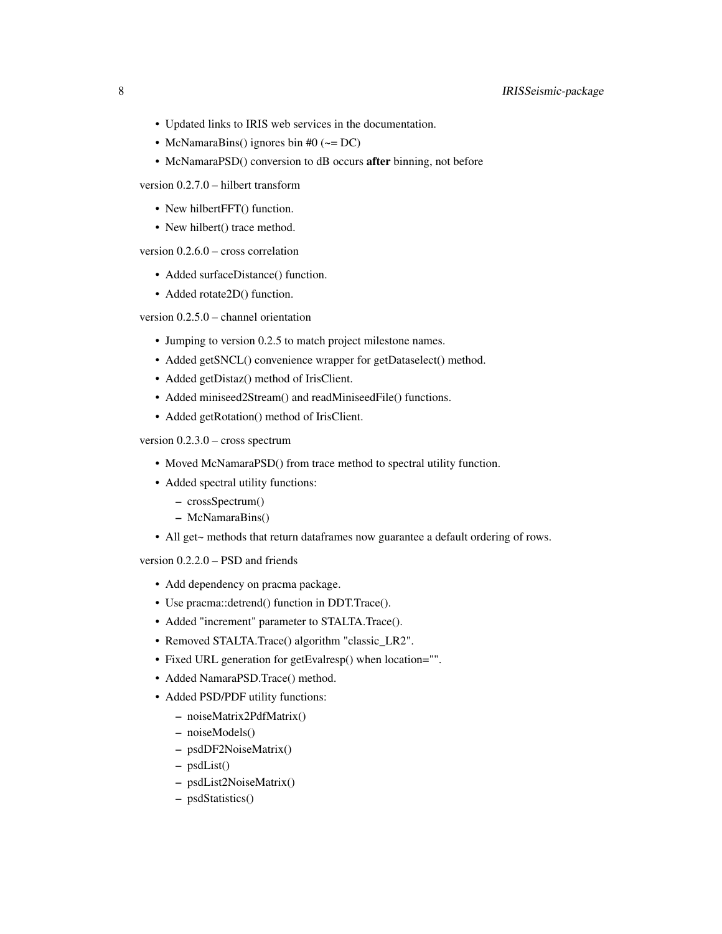- Updated links to IRIS web services in the documentation.
- McNamaraBins() ignores bin #0 ( $\sim$  = DC)
- McNamaraPSD() conversion to dB occurs after binning, not before

version 0.2.7.0 – hilbert transform

- New hilbertFFT() function.
- New hilbert() trace method.

version 0.2.6.0 – cross correlation

- Added surfaceDistance() function.
- Added rotate2D() function.

version 0.2.5.0 – channel orientation

- Jumping to version 0.2.5 to match project milestone names.
- Added getSNCL() convenience wrapper for getDataselect() method.
- Added getDistaz() method of IrisClient.
- Added miniseed2Stream() and readMiniseedFile() functions.
- Added getRotation() method of IrisClient.

version 0.2.3.0 – cross spectrum

- Moved McNamaraPSD() from trace method to spectral utility function.
- Added spectral utility functions:
	- crossSpectrum()
	- McNamaraBins()
- All get~ methods that return dataframes now guarantee a default ordering of rows.

version 0.2.2.0 – PSD and friends

- Add dependency on pracma package.
- Use pracma::detrend() function in DDT.Trace().
- Added "increment" parameter to STALTA.Trace().
- Removed STALTA.Trace() algorithm "classic\_LR2".
- Fixed URL generation for getEvalresp() when location="".
- Added NamaraPSD.Trace() method.
- Added PSD/PDF utility functions:
	- noiseMatrix2PdfMatrix()
	- noiseModels()
	- psdDF2NoiseMatrix()
	- psdList()
	- psdList2NoiseMatrix()
	- psdStatistics()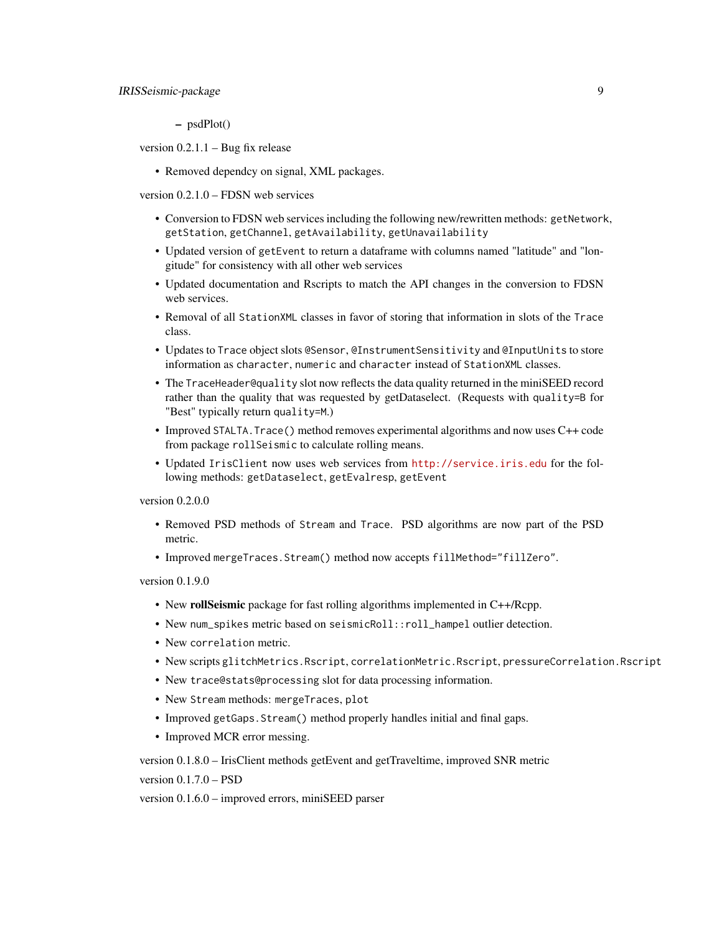– psdPlot()

version 0.2.1.1 – Bug fix release

• Removed dependcy on signal, XML packages.

version 0.2.1.0 – FDSN web services

- Conversion to FDSN web services including the following new/rewritten methods: getNetwork, getStation, getChannel, getAvailability, getUnavailability
- Updated version of getEvent to return a dataframe with columns named "latitude" and "longitude" for consistency with all other web services
- Updated documentation and Rscripts to match the API changes in the conversion to FDSN web services.
- Removal of all StationXML classes in favor of storing that information in slots of the Trace class.
- Updates to Trace object slots @Sensor, @InstrumentSensitivity and @InputUnits to store information as character, numeric and character instead of StationXML classes.
- The TraceHeader@quality slot now reflects the data quality returned in the miniSEED record rather than the quality that was requested by getDataselect. (Requests with quality=B for "Best" typically return quality=M.)
- Improved STALTA. Trace() method removes experimental algorithms and now uses C++ code from package rollSeismic to calculate rolling means.
- Updated IrisClient now uses web services from <http://service.iris.edu> for the following methods: getDataselect, getEvalresp, getEvent

version 0.2.0.0

- Removed PSD methods of Stream and Trace. PSD algorithms are now part of the PSD metric.
- Improved mergeTraces.Stream() method now accepts fillMethod="fillZero".

version 0.1.9.0

- New **rollSeismic** package for fast rolling algorithms implemented in C++/Rcpp.
- New num\_spikes metric based on seismicRoll::roll\_hampel outlier detection.
- New correlation metric.
- New scripts glitchMetrics.Rscript, correlationMetric.Rscript, pressureCorrelation.Rscript
- New trace@stats@processing slot for data processing information.
- New Stream methods: mergeTraces, plot
- Improved getGaps.Stream() method properly handles initial and final gaps.
- Improved MCR error messing.

version 0.1.8.0 – IrisClient methods getEvent and getTraveltime, improved SNR metric

version 0.1.7.0 – PSD

version 0.1.6.0 – improved errors, miniSEED parser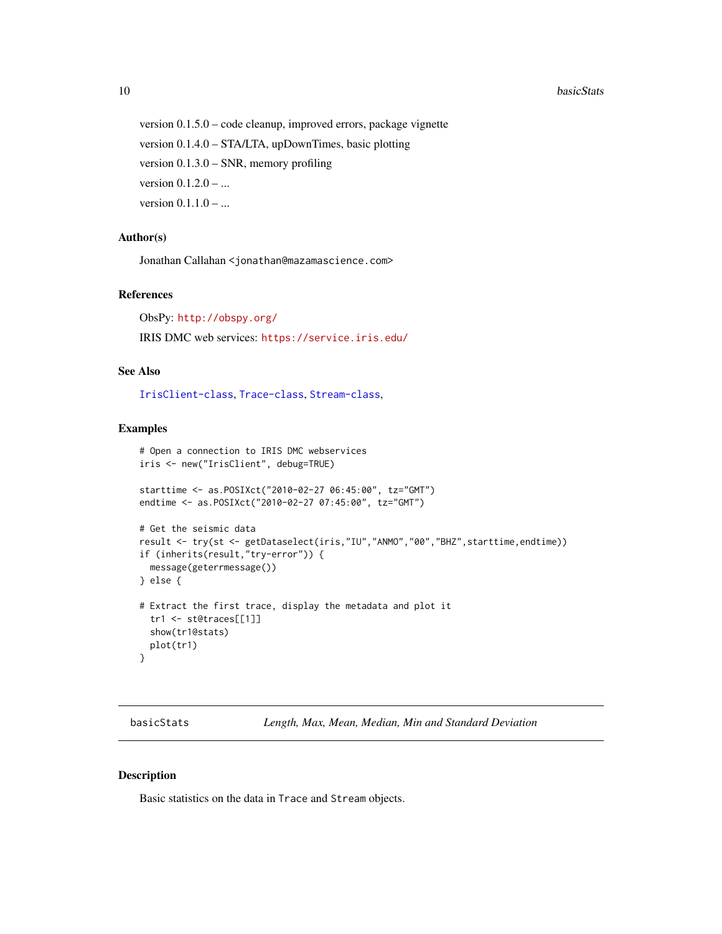#### 10 basicStats and the basicStats of the basicStats and the basicStats of the basicStats of the basicStats of the basicStats of the basicStats of the basicStats of the basicStats of the basicStats of the basicStats of the b

version 0.1.5.0 – code cleanup, improved errors, package vignette version 0.1.4.0 – STA/LTA, upDownTimes, basic plotting version 0.1.3.0 – SNR, memory profiling version 0.1.2.0 – ... version  $0.1.1.0 - ...$ 

## Author(s)

Jonathan Callahan <jonathan@mazamascience.com>

#### References

ObsPy: <http://obspy.org/> IRIS DMC web services: <https://service.iris.edu/>

## See Also

[IrisClient-class](#page-51-1), [Trace-class](#page-83-1), [Stream-class](#page-79-1),

#### Examples

```
# Open a connection to IRIS DMC webservices
iris <- new("IrisClient", debug=TRUE)
starttime <- as.POSIXct("2010-02-27 06:45:00", tz="GMT")
endtime <- as.POSIXct("2010-02-27 07:45:00", tz="GMT")
# Get the seismic data
result <- try(st <- getDataselect(iris,"IU","ANMO","00","BHZ",starttime,endtime))
if (inherits(result,"try-error")) {
  message(geterrmessage())
} else {
# Extract the first trace, display the metadata and plot it
  tr1 <- st@traces[[1]]
  show(tr1@stats)
  plot(tr1)
}
```
basicStats *Length, Max, Mean, Median, Min and Standard Deviation*

#### Description

Basic statistics on the data in Trace and Stream objects.

<span id="page-9-0"></span>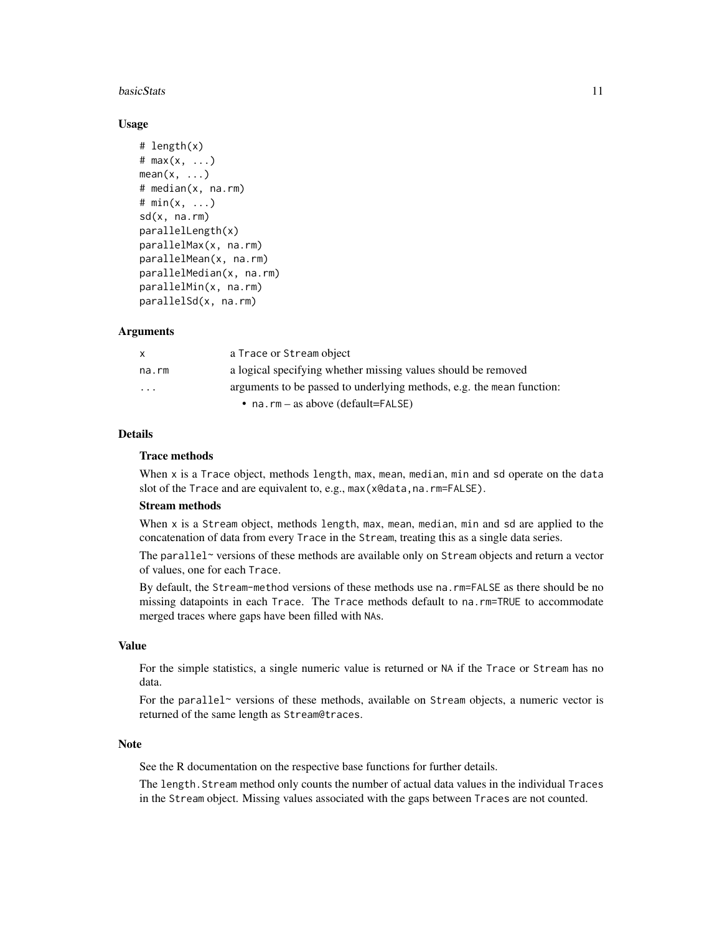#### **basicStats** 11

#### Usage

```
# length(x)
# max(x, ...)
mean(x, \ldots)# median(x, na.rm)
# min(x, ...)
sd(x, na.rm)
parallelLength(x)
parallelMax(x, na.rm)
parallelMean(x, na.rm)
parallelMedian(x, na.rm)
parallelMin(x, na.rm)
parallelSd(x, na.rm)
```
#### Arguments

| X        | a Trace or Stream object                                              |
|----------|-----------------------------------------------------------------------|
| na.rm    | a logical specifying whether missing values should be removed         |
| $\cdots$ | arguments to be passed to underlying methods, e.g. the mean function: |
|          | • na.rm – as above (default=FALSE)                                    |

## **Details**

## Trace methods

When x is a Trace object, methods length, max, mean, median, min and sd operate on the data slot of the Trace and are equivalent to, e.g., max(x@data,na.rm=FALSE).

## Stream methods

When x is a Stream object, methods length, max, mean, median, min and sd are applied to the concatenation of data from every Trace in the Stream, treating this as a single data series.

The parallel~ versions of these methods are available only on Stream objects and return a vector of values, one for each Trace.

By default, the Stream-method versions of these methods use na.rm=FALSE as there should be no missing datapoints in each Trace. The Trace methods default to na.rm=TRUE to accommodate merged traces where gaps have been filled with NAs.

#### Value

For the simple statistics, a single numeric value is returned or NA if the Trace or Stream has no data.

For the parallel~ versions of these methods, available on Stream objects, a numeric vector is returned of the same length as Stream@traces.

#### Note

See the R documentation on the respective base functions for further details.

The length.Stream method only counts the number of actual data values in the individual Traces in the Stream object. Missing values associated with the gaps between Traces are not counted.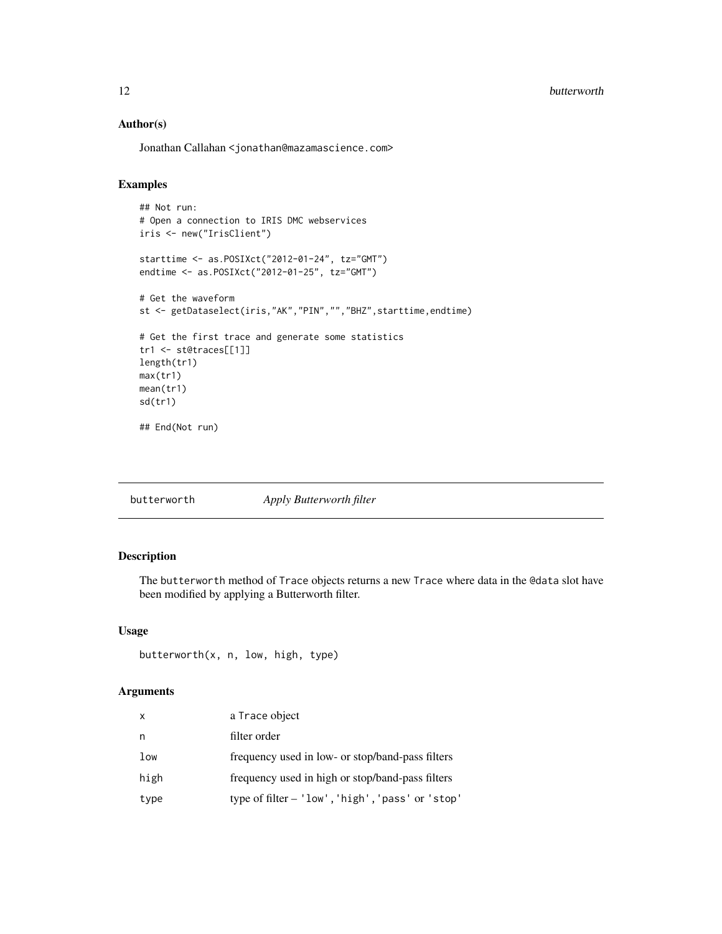## Author(s)

Jonathan Callahan <jonathan@mazamascience.com>

## Examples

```
## Not run:
# Open a connection to IRIS DMC webservices
iris <- new("IrisClient")
starttime <- as.POSIXct("2012-01-24", tz="GMT")
endtime <- as.POSIXct("2012-01-25", tz="GMT")
# Get the waveform
st <- getDataselect(iris,"AK","PIN","","BHZ",starttime,endtime)
# Get the first trace and generate some statistics
tr1 <- st@traces[[1]]
length(tr1)
max(tr1)
mean(tr1)
sd(tr1)
## End(Not run)
```
butterworth *Apply Butterworth filter*

## Description

The butterworth method of Trace objects returns a new Trace where data in the @data slot have been modified by applying a Butterworth filter.

## Usage

```
butterworth(x, n, low, high, type)
```
## Arguments

| $\times$ | a Trace object                                   |
|----------|--------------------------------------------------|
| n        | filter order                                     |
| low      | frequency used in low- or stop/band-pass filters |
| high     | frequency used in high or stop/band-pass filters |
| type     | type of filter - 'low', 'high', 'pass' or 'stop' |

<span id="page-11-0"></span>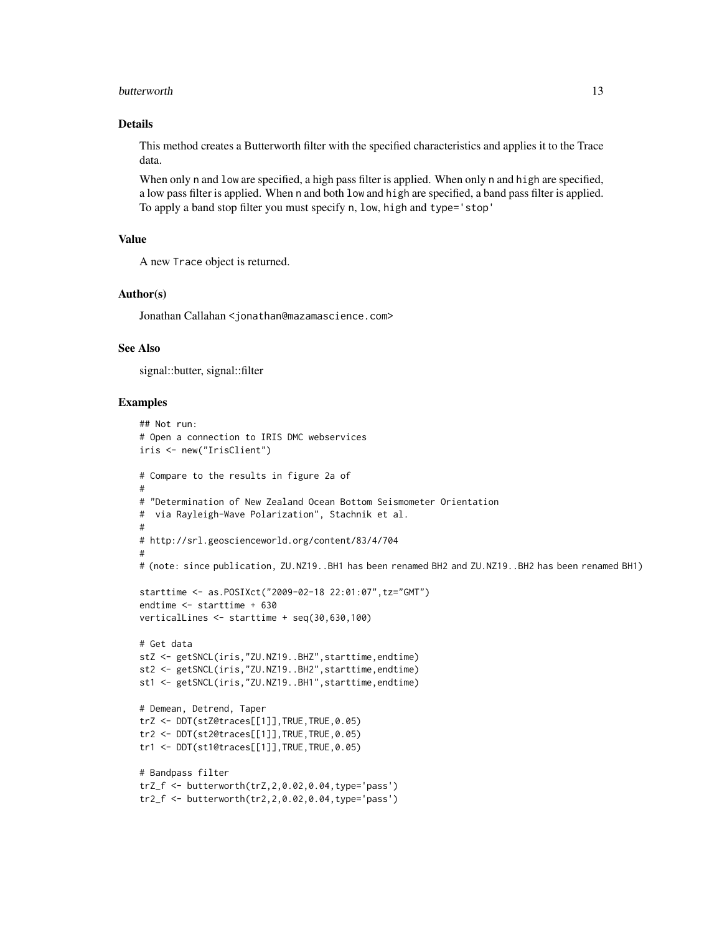#### butterworth the contract of the contract of the contract of the contract of the contract of the contract of the contract of the contract of the contract of the contract of the contract of the contract of the contract of th

#### Details

This method creates a Butterworth filter with the specified characteristics and applies it to the Trace data.

When only n and low are specified, a high pass filter is applied. When only n and high are specified, a low pass filter is applied. When n and both low and high are specified, a band pass filter is applied. To apply a band stop filter you must specify n, low, high and type='stop'

#### Value

A new Trace object is returned.

#### Author(s)

Jonathan Callahan <jonathan@mazamascience.com>

#### See Also

signal::butter, signal::filter

```
## Not run:
# Open a connection to IRIS DMC webservices
iris <- new("IrisClient")
# Compare to the results in figure 2a of
#
# "Determination of New Zealand Ocean Bottom Seismometer Orientation
# via Rayleigh-Wave Polarization", Stachnik et al.
#
# http://srl.geoscienceworld.org/content/83/4/704
#
# (note: since publication, ZU.NZ19..BH1 has been renamed BH2 and ZU.NZ19..BH2 has been renamed BH1)
starttime <- as.POSIXct("2009-02-18 22:01:07",tz="GMT")
endtime <- starttime + 630
verticalLines <- starttime + seq(30,630,100)
# Get data
stZ <- getSNCL(iris,"ZU.NZ19..BHZ",starttime,endtime)
st2 <- getSNCL(iris,"ZU.NZ19..BH2",starttime,endtime)
st1 <- getSNCL(iris,"ZU.NZ19..BH1",starttime,endtime)
# Demean, Detrend, Taper
trZ <- DDT(stZ@traces[[1]],TRUE,TRUE,0.05)
tr2 <- DDT(st2@traces[[1]],TRUE,TRUE,0.05)
tr1 <- DDT(st1@traces[[1]],TRUE,TRUE,0.05)
# Bandpass filter
trZ_f <- butterworth(trZ,2,0.02,0.04,type='pass')
tr2_f <- butterworth(tr2,2,0.02,0.04,type='pass')
```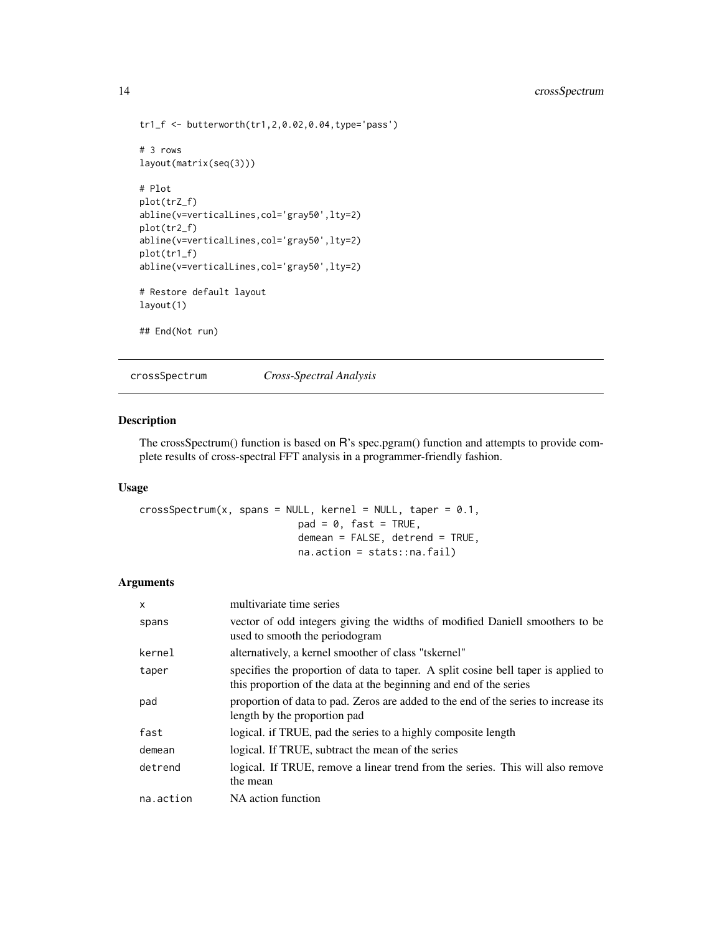```
tr1_f <- butterworth(tr1, 2, 0.02, 0.04, type='pass')
# 3 rows
layout(matrix(seq(3)))
# Plot
plot(trZ_f)
abline(v=verticalLines,col='gray50',lty=2)
plot(tr2_f)
abline(v=verticalLines,col='gray50',lty=2)
plot(tr1_f)
abline(v=verticalLines,col='gray50',lty=2)
# Restore default layout
layout(1)
## End(Not run)
```
crossSpectrum *Cross-Spectral Analysis*

## Description

The crossSpectrum() function is based on R's spec.pgram() function and attempts to provide complete results of cross-spectral FFT analysis in a programmer-friendly fashion.

## Usage

crossSpectrum(x, spans = NULL, kernel = NULL, taper =  $0.1$ ,  $pad = 0$ ,  $fast = TRUE$ , demean = FALSE, detrend = TRUE, na.action = stats::na.fail)

## Arguments

| $\mathsf{x}$ | multivariate time series                                                                                                                                 |
|--------------|----------------------------------------------------------------------------------------------------------------------------------------------------------|
| spans        | vector of odd integers giving the widths of modified Daniell smoothers to be<br>used to smooth the periodogram                                           |
| kernel       | alternatively, a kernel smoother of class "tskernel"                                                                                                     |
| taper        | specifies the proportion of data to taper. A split cosine bell taper is applied to<br>this proportion of the data at the beginning and end of the series |
| pad          | proportion of data to pad. Zeros are added to the end of the series to increase its<br>length by the proportion pad                                      |
| fast         | logical. if TRUE, pad the series to a highly composite length                                                                                            |
| demean       | logical. If TRUE, subtract the mean of the series                                                                                                        |
| detrend      | logical. If TRUE, remove a linear trend from the series. This will also remove<br>the mean                                                               |
| na.action    | NA action function                                                                                                                                       |

<span id="page-13-0"></span>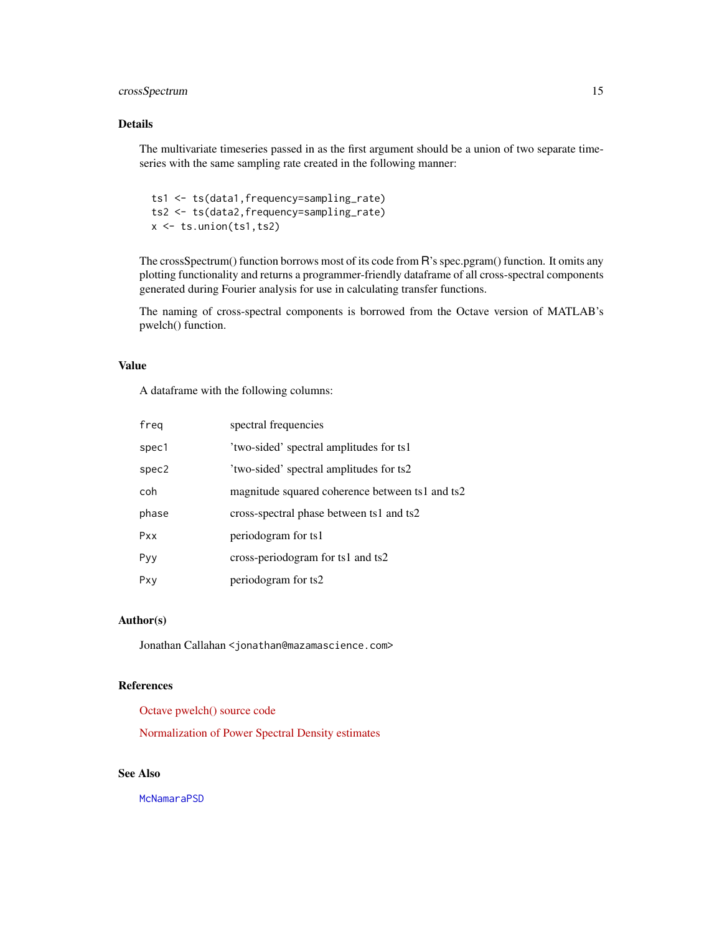## crossSpectrum 15

## Details

The multivariate timeseries passed in as the first argument should be a union of two separate timeseries with the same sampling rate created in the following manner:

ts1 <- ts(data1,frequency=sampling\_rate) ts2 <- ts(data2,frequency=sampling\_rate) x <- ts.union(ts1,ts2)

The crossSpectrum() function borrows most of its code from R's spec.pgram() function. It omits any plotting functionality and returns a programmer-friendly dataframe of all cross-spectral components generated during Fourier analysis for use in calculating transfer functions.

The naming of cross-spectral components is borrowed from the Octave version of MATLAB's pwelch() function.

#### Value

A dataframe with the following columns:

| freq  | spectral frequencies                            |
|-------|-------------------------------------------------|
| spec1 | 'two-sided' spectral amplitudes for ts1         |
| spec2 | 'two-sided' spectral amplitudes for ts2         |
| coh   | magnitude squared coherence between ts1 and ts2 |
| phase | cross-spectral phase between ts1 and ts2        |
| Pxx   | periodogram for ts1                             |
| Pyy   | cross-periodogram for ts1 and ts2               |
| Pxy   | periodogram for ts2                             |

#### Author(s)

Jonathan Callahan <jonathan@mazamascience.com>

#### References

[Octave pwelch\(\) source code](https://sourceforge.net/p/octave/signal/ci/default/tree/inst/pwelch.m)

[Normalization of Power Spectral Density estimates](https://CRAN.R-project.org/package=psd/vignettes/normalization.pdf)

## See Also

**[McNamaraPSD](#page-54-1)**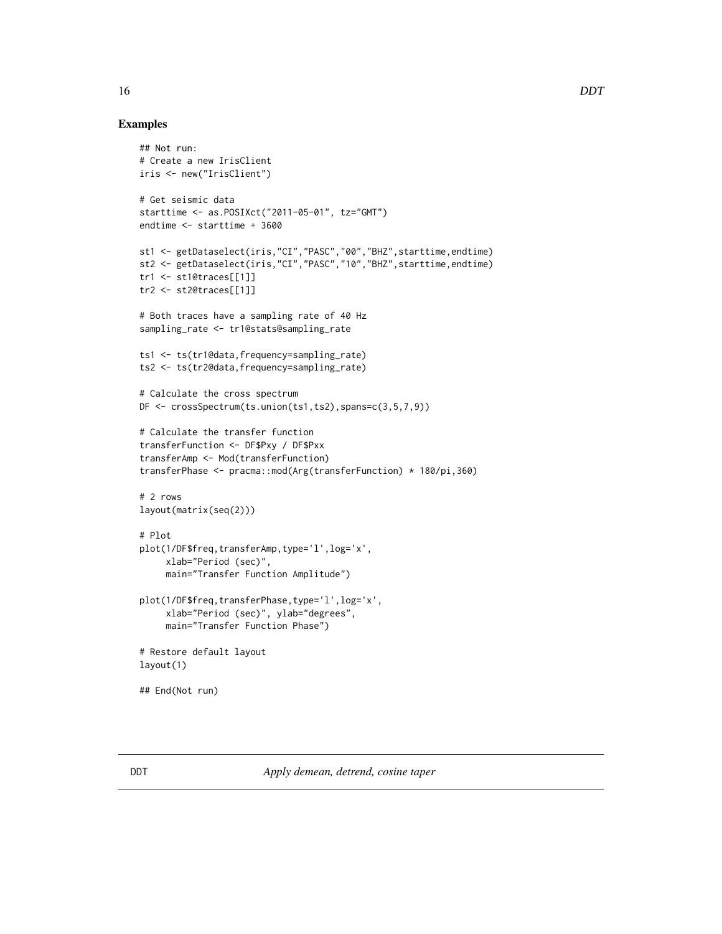## <span id="page-15-0"></span>Examples

```
## Not run:
# Create a new IrisClient
iris <- new("IrisClient")
# Get seismic data
starttime <- as.POSIXct("2011-05-01", tz="GMT")
endtime <- starttime + 3600
st1 <- getDataselect(iris,"CI","PASC","00","BHZ",starttime,endtime)
st2 <- getDataselect(iris,"CI","PASC","10","BHZ",starttime,endtime)
tr1 <- st1@traces[[1]]
tr2 <- st2@traces[[1]]
# Both traces have a sampling rate of 40 Hz
sampling_rate <- tr1@stats@sampling_rate
ts1 <- ts(tr1@data,frequency=sampling_rate)
ts2 <- ts(tr2@data,frequency=sampling_rate)
# Calculate the cross spectrum
DF \leq crossSpectrum(ts.union(ts1,ts2),spans=c(3,5,7,9))
# Calculate the transfer function
transferFunction <- DF$Pxy / DF$Pxx
transferAmp <- Mod(transferFunction)
transferPhase <- pracma::mod(Arg(transferFunction) * 180/pi,360)
# 2 rows
layout(matrix(seq(2)))
# Plot
plot(1/DF$freq,transferAmp,type='l',log='x',
     xlab="Period (sec)",
    main="Transfer Function Amplitude")
plot(1/DF$freq,transferPhase,type='l',log='x',
     xlab="Period (sec)", ylab="degrees",
     main="Transfer Function Phase")
# Restore default layout
layout(1)
## End(Not run)
```
<span id="page-15-1"></span>DDT *Apply demean, detrend, cosine taper*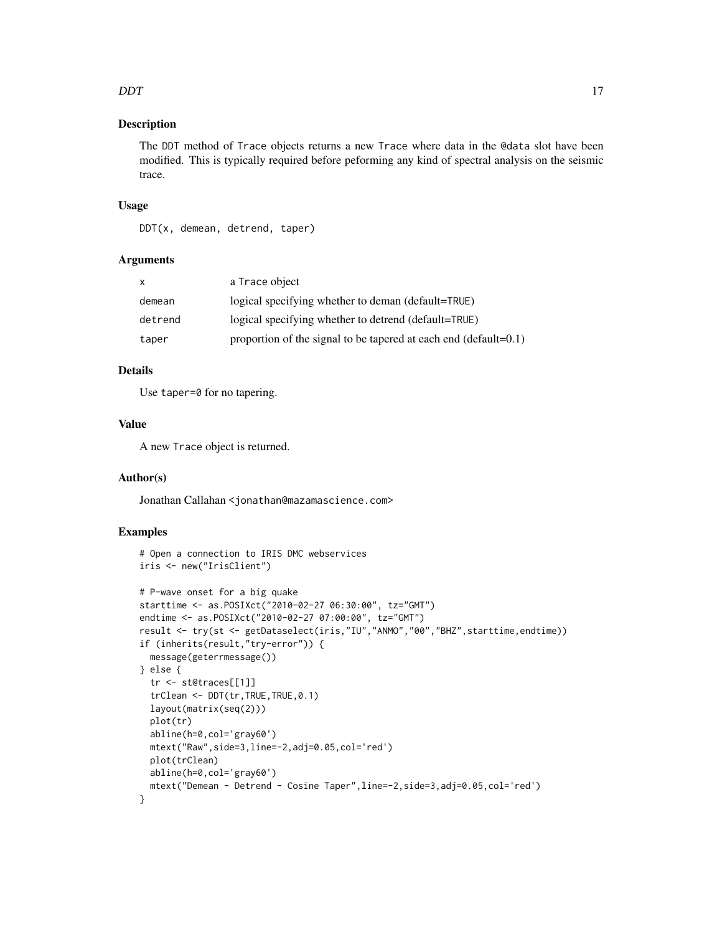#### DDT 17

## Description

The DDT method of Trace objects returns a new Trace where data in the @data slot have been modified. This is typically required before peforming any kind of spectral analysis on the seismic trace.

## Usage

DDT(x, demean, detrend, taper)

## Arguments

| X       | a Trace object                                                       |
|---------|----------------------------------------------------------------------|
| demean  | logical specifying whether to deman (default=TRUE)                   |
| detrend | logical specifying whether to detrend (default=TRUE)                 |
| taper   | proportion of the signal to be tapered at each end (default= $0.1$ ) |

## Details

Use taper=0 for no tapering.

## Value

A new Trace object is returned.

#### Author(s)

Jonathan Callahan <jonathan@mazamascience.com>

```
# Open a connection to IRIS DMC webservices
iris <- new("IrisClient")
# P-wave onset for a big quake
starttime <- as.POSIXct("2010-02-27 06:30:00", tz="GMT")
endtime <- as.POSIXct("2010-02-27 07:00:00", tz="GMT")
result <- try(st <- getDataselect(iris,"IU","ANMO","00","BHZ",starttime,endtime))
if (inherits(result,"try-error")) {
 message(geterrmessage())
} else {
 tr <- st@traces[[1]]
 trClean <- DDT(tr,TRUE,TRUE,0.1)
 layout(matrix(seq(2)))
 plot(tr)
 abline(h=0,col='gray60')
 mtext("Raw",side=3,line=-2,adj=0.05,col='red')
 plot(trClean)
 abline(h=0,col='gray60')
 mtext("Demean - Detrend - Cosine Taper",line=-2,side=3,adj=0.05,col='red')
}
```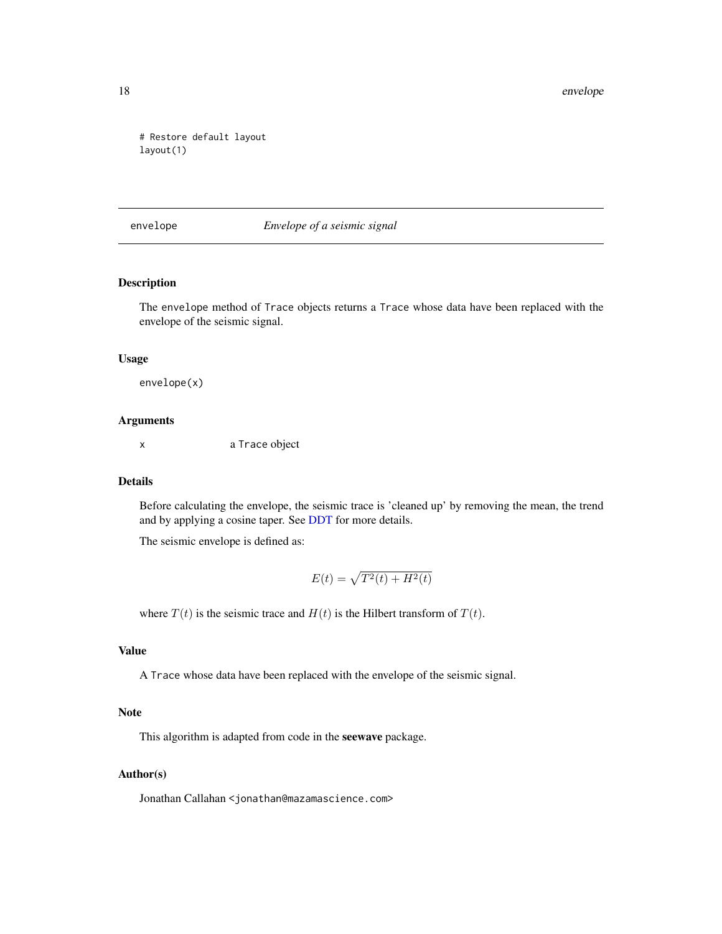```
# Restore default layout
layout(1)
```
envelope *Envelope of a seismic signal*

## Description

The envelope method of Trace objects returns a Trace whose data have been replaced with the envelope of the seismic signal.

## Usage

envelope(x)

#### Arguments

x a Trace object

## Details

Before calculating the envelope, the seismic trace is 'cleaned up' by removing the mean, the trend and by applying a cosine taper. See [DDT](#page-15-1) for more details.

The seismic envelope is defined as:

$$
E(t) = \sqrt{T^2(t) + H^2(t)}
$$

where  $T(t)$  is the seismic trace and  $H(t)$  is the Hilbert transform of  $T(t)$ .

## Value

A Trace whose data have been replaced with the envelope of the seismic signal.

#### Note

This algorithm is adapted from code in the seewave package.

#### Author(s)

Jonathan Callahan <jonathan@mazamascience.com>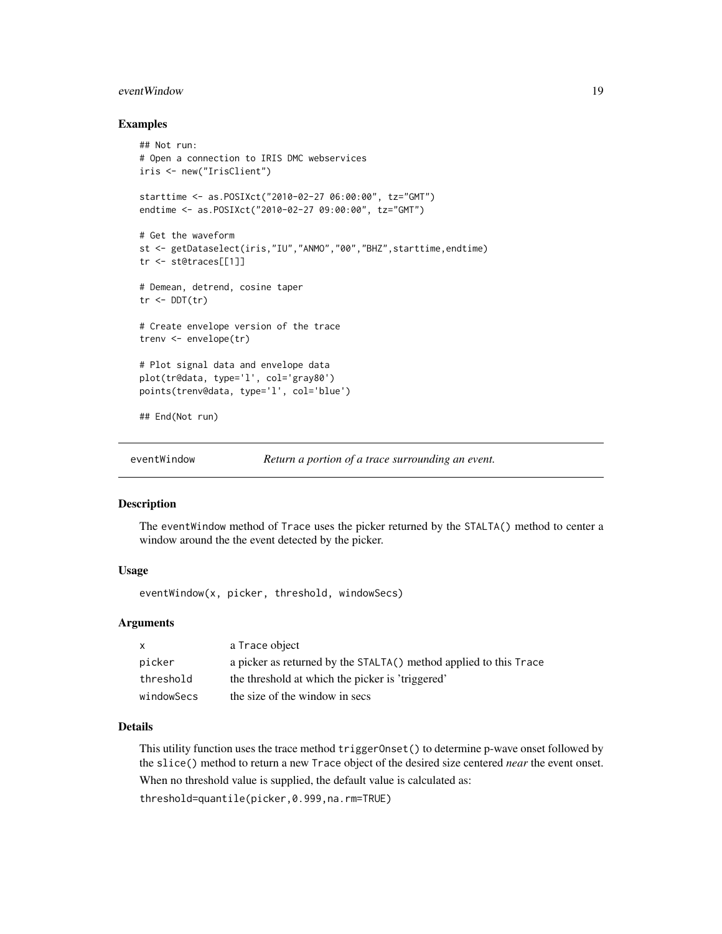## <span id="page-18-0"></span>eventWindow 19

#### Examples

```
## Not run:
# Open a connection to IRIS DMC webservices
iris <- new("IrisClient")
starttime <- as.POSIXct("2010-02-27 06:00:00", tz="GMT")
endtime <- as.POSIXct("2010-02-27 09:00:00", tz="GMT")
# Get the waveform
st <- getDataselect(iris,"IU","ANMO","00","BHZ",starttime,endtime)
tr <- st@traces[[1]]
# Demean, detrend, cosine taper
tr < DDT(tr)# Create envelope version of the trace
trenv <- envelope(tr)
# Plot signal data and envelope data
plot(tr@data, type='l', col='gray80')
points(trenv@data, type='l', col='blue')
## End(Not run)
```

```
eventWindow Return a portion of a trace surrounding an event.
```
#### Description

The eventWindow method of Trace uses the picker returned by the STALTA() method to center a window around the the event detected by the picker.

## Usage

eventWindow(x, picker, threshold, windowSecs)

## Arguments

| $\mathsf{x}$ | a Trace object                                                    |
|--------------|-------------------------------------------------------------------|
| picker       | a picker as returned by the STALTA() method applied to this Trace |
| threshold    | the threshold at which the picker is 'triggered'                  |
| windowSecs   | the size of the window in secs                                    |

#### Details

This utility function uses the trace method triggerOnset() to determine p-wave onset followed by the slice() method to return a new Trace object of the desired size centered *near* the event onset. When no threshold value is supplied, the default value is calculated as:

threshold=quantile(picker,0.999,na.rm=TRUE)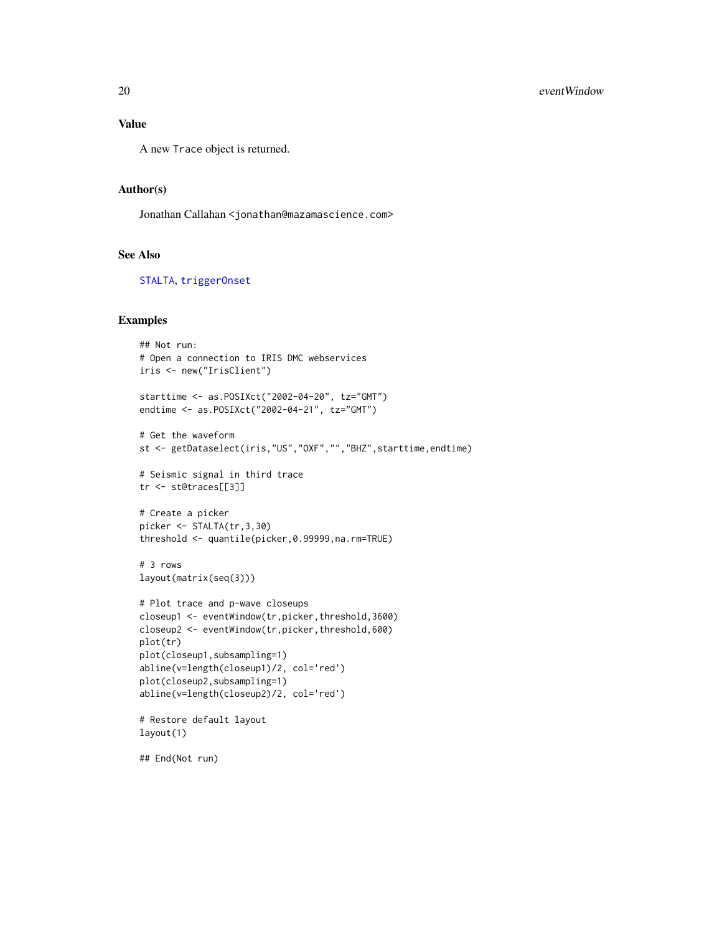#### Value

A new Trace object is returned.

#### Author(s)

Jonathan Callahan <jonathan@mazamascience.com>

#### See Also

[STALTA](#page-76-1), [triggerOnset](#page-87-1)

#### Examples

```
## Not run:
# Open a connection to IRIS DMC webservices
iris <- new("IrisClient")
starttime <- as.POSIXct("2002-04-20", tz="GMT")
endtime <- as.POSIXct("2002-04-21", tz="GMT")
# Get the waveform
st <- getDataselect(iris,"US","OXF","","BHZ",starttime,endtime)
# Seismic signal in third trace
tr <- st@traces[[3]]
# Create a picker
picker <- STALTA(tr,3,30)
threshold <- quantile(picker,0.99999,na.rm=TRUE)
# 3 rows
layout(matrix(seq(3)))
# Plot trace and p-wave closeups
closeup1 <- eventWindow(tr,picker,threshold,3600)
closeup2 <- eventWindow(tr,picker,threshold,600)
plot(tr)
plot(closeup1,subsampling=1)
abline(v=length(closeup1)/2, col='red')
plot(closeup2,subsampling=1)
abline(v=length(closeup2)/2, col='red')
# Restore default layout
layout(1)
```
## End(Not run)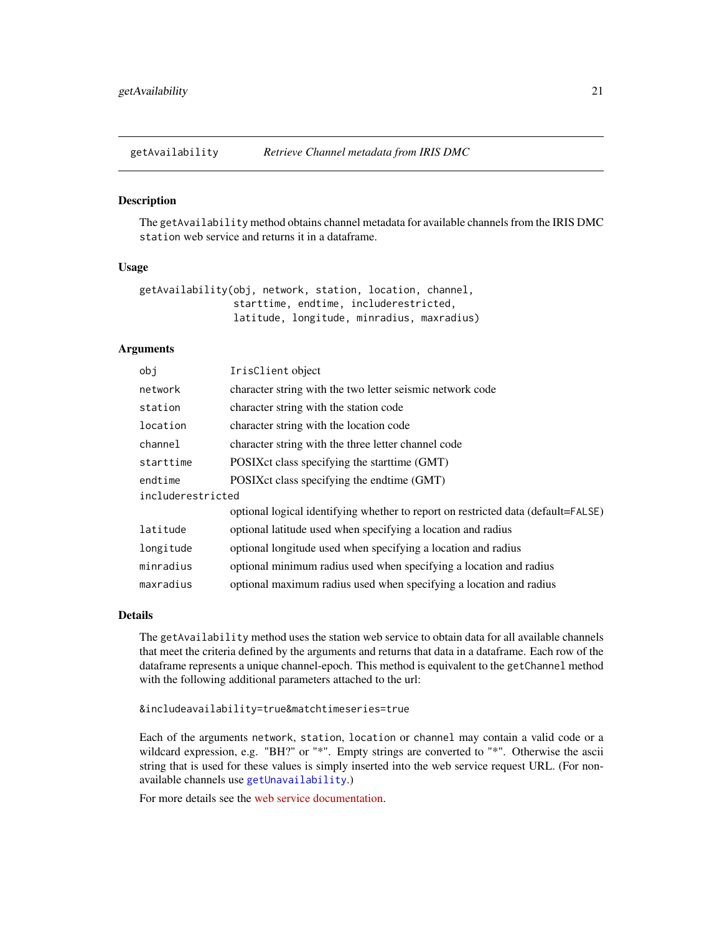<span id="page-20-1"></span><span id="page-20-0"></span>

## Description

The getAvailability method obtains channel metadata for available channels from the IRIS DMC station web service and returns it in a dataframe.

#### Usage

| getAvailability(obj, network, station, location, channel, |  |                                            |  |
|-----------------------------------------------------------|--|--------------------------------------------|--|
|                                                           |  | starttime, endtime, includerestricted,     |  |
|                                                           |  | latitude, longitude, minradius, maxradius) |  |

## Arguments

| obi               | IrisClient object                                                                 |
|-------------------|-----------------------------------------------------------------------------------|
| network           | character string with the two letter seismic network code                         |
| station           | character string with the station code                                            |
| location          | character string with the location code                                           |
| channel           | character string with the three letter channel code                               |
| starttime         | POSIX ct class specifying the start time (GMT)                                    |
| endtime           | POSIX ct class specifying the endtime (GMT)                                       |
| includerestricted |                                                                                   |
|                   | optional logical identifying whether to report on restricted data (default=FALSE) |
| latitude          | optional latitude used when specifying a location and radius                      |
| longitude         | optional longitude used when specifying a location and radius                     |
| minradius         | optional minimum radius used when specifying a location and radius                |
| maxradius         | optional maximum radius used when specifying a location and radius                |
|                   |                                                                                   |

#### Details

The getAvailability method uses the station web service to obtain data for all available channels that meet the criteria defined by the arguments and returns that data in a dataframe. Each row of the dataframe represents a unique channel-epoch. This method is equivalent to the getChannel method with the following additional parameters attached to the url:

&includeavailability=true&matchtimeseries=true

Each of the arguments network, station, location or channel may contain a valid code or a wildcard expression, e.g. "BH?" or "\*". Empty strings are converted to "\*". Otherwise the ascii string that is used for these values is simply inserted into the web service request URL. (For nonavailable channels use [getUnavailability](#page-45-1).)

For more details see the [web service documentation.](https://service.iris.edu/fdsnws/station/1/)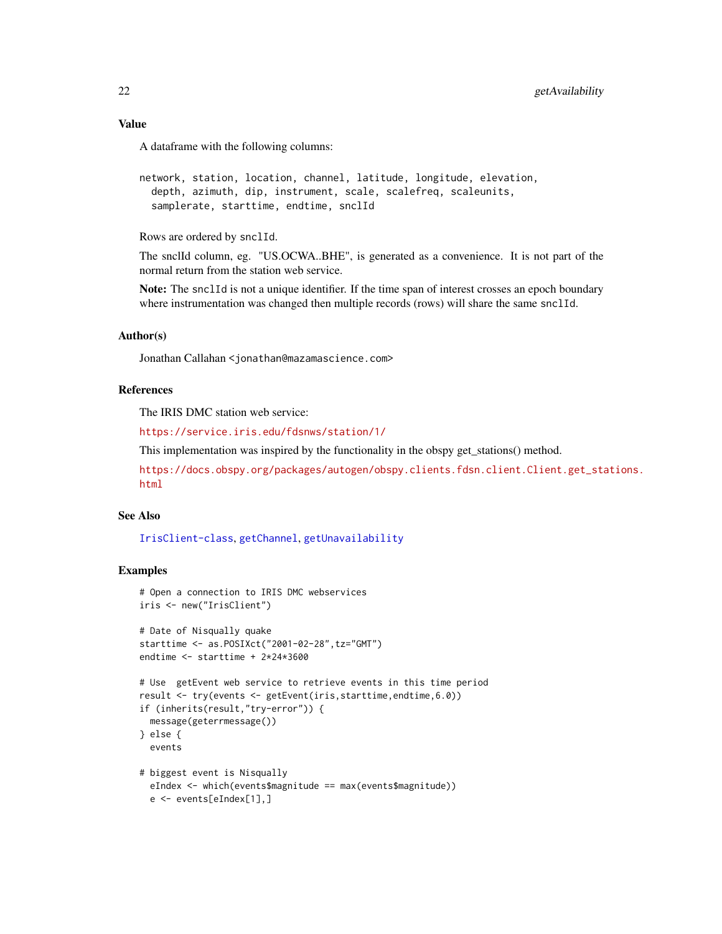## Value

A dataframe with the following columns:

```
network, station, location, channel, latitude, longitude, elevation,
  depth, azimuth, dip, instrument, scale, scalefreq, scaleunits,
 samplerate, starttime, endtime, snclId
```
Rows are ordered by snclId.

The snclId column, eg. "US.OCWA..BHE", is generated as a convenience. It is not part of the normal return from the station web service.

Note: The snclId is not a unique identifier. If the time span of interest crosses an epoch boundary where instrumentation was changed then multiple records (rows) will share the same snclId.

## Author(s)

Jonathan Callahan <jonathan@mazamascience.com>

## References

The IRIS DMC station web service:

<https://service.iris.edu/fdsnws/station/1/>

This implementation was inspired by the functionality in the obspy get\_stations() method.

```
https://docs.obspy.org/packages/autogen/obspy.clients.fdsn.client.Client.get_stations.
html
```
#### See Also

[IrisClient-class](#page-51-1), [getChannel](#page-22-1), [getUnavailability](#page-45-1)

```
# Open a connection to IRIS DMC webservices
iris <- new("IrisClient")
# Date of Nisqually quake
starttime <- as.POSIXct("2001-02-28",tz="GMT")
endtime <- starttime + 2*24*3600
# Use getEvent web service to retrieve events in this time period
result <- try(events <- getEvent(iris,starttime,endtime,6.0))
if (inherits(result,"try-error")) {
 message(geterrmessage())
} else {
 events
# biggest event is Nisqually
 eIndex <- which(events$magnitude == max(events$magnitude))
 e <- events[eIndex[1],]
```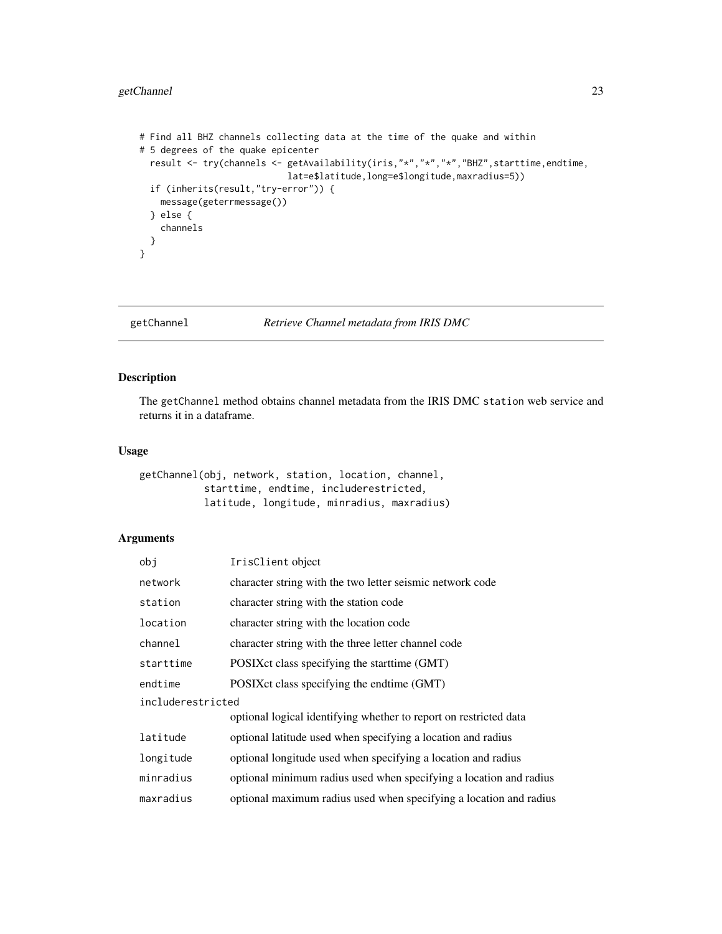## <span id="page-22-0"></span>getChannel 23

```
# Find all BHZ channels collecting data at the time of the quake and within
# 5 degrees of the quake epicenter
 result <- try(channels <- getAvailability(iris,"*","*","*","BHZ",starttime,endtime,
                           lat=e$latitude,long=e$longitude,maxradius=5))
 if (inherits(result,"try-error")) {
   message(geterrmessage())
 } else {
   channels
 }
}
```
<span id="page-22-1"></span>getChannel *Retrieve Channel metadata from IRIS DMC*

## Description

The getChannel method obtains channel metadata from the IRIS DMC station web service and returns it in a dataframe.

## Usage

```
getChannel(obj, network, station, location, channel,
           starttime, endtime, includerestricted,
          latitude, longitude, minradius, maxradius)
```
## Arguments

| obj               | IrisClient object                                                  |  |  |  |  |  |  |
|-------------------|--------------------------------------------------------------------|--|--|--|--|--|--|
| network           | character string with the two letter seismic network code          |  |  |  |  |  |  |
| station           | character string with the station code                             |  |  |  |  |  |  |
| location          | character string with the location code                            |  |  |  |  |  |  |
| channel           | character string with the three letter channel code                |  |  |  |  |  |  |
| starttime         | POSIX ct class specifying the start time (GMT)                     |  |  |  |  |  |  |
| endtime           | POSIX ct class specifying the endtime (GMT)                        |  |  |  |  |  |  |
| includerestricted |                                                                    |  |  |  |  |  |  |
|                   | optional logical identifying whether to report on restricted data  |  |  |  |  |  |  |
| latitude          | optional latitude used when specifying a location and radius       |  |  |  |  |  |  |
| longitude         | optional longitude used when specifying a location and radius      |  |  |  |  |  |  |
| minradius         | optional minimum radius used when specifying a location and radius |  |  |  |  |  |  |
| maxradius         | optional maximum radius used when specifying a location and radius |  |  |  |  |  |  |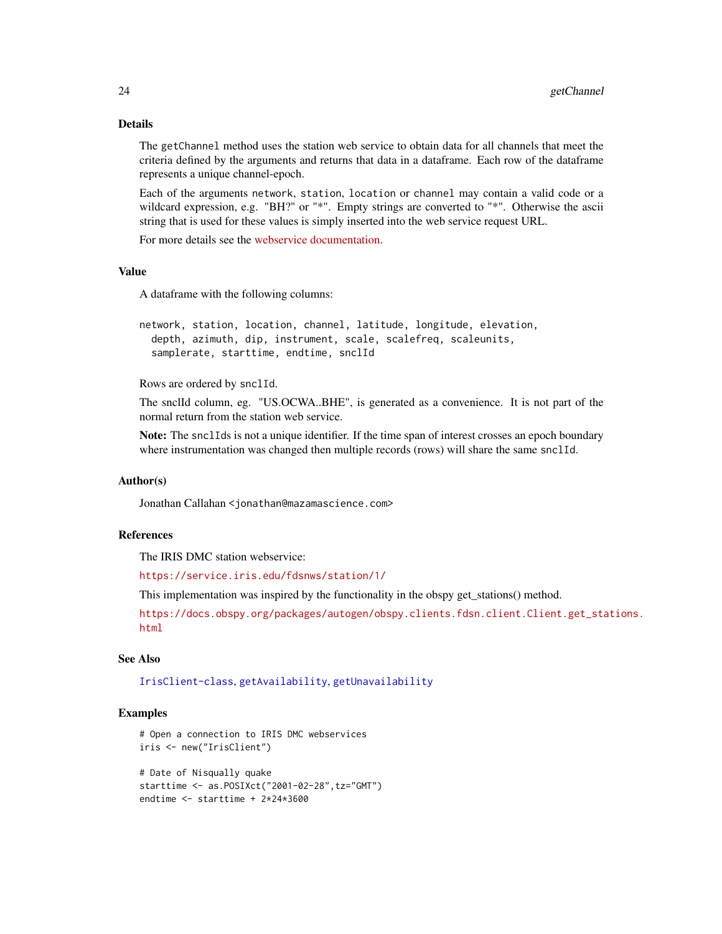## Details

The getChannel method uses the station web service to obtain data for all channels that meet the criteria defined by the arguments and returns that data in a dataframe. Each row of the dataframe represents a unique channel-epoch.

Each of the arguments network, station, location or channel may contain a valid code or a wildcard expression, e.g. "BH?" or "\*". Empty strings are converted to "\*". Otherwise the ascii string that is used for these values is simply inserted into the web service request URL.

For more details see the [webservice documentation.](https://service.iris.edu/fdsnws/station/1/)

## Value

A dataframe with the following columns:

```
network, station, location, channel, latitude, longitude, elevation,
  depth, azimuth, dip, instrument, scale, scalefreq, scaleunits,
  samplerate, starttime, endtime, snclId
```
Rows are ordered by snclId.

The snclId column, eg. "US.OCWA..BHE", is generated as a convenience. It is not part of the normal return from the station web service.

Note: The snclIds is not a unique identifier. If the time span of interest crosses an epoch boundary where instrumentation was changed then multiple records (rows) will share the same snclId.

## Author(s)

Jonathan Callahan <jonathan@mazamascience.com>

#### References

The IRIS DMC station webservice:

<https://service.iris.edu/fdsnws/station/1/>

This implementation was inspired by the functionality in the obspy get\_stations() method.

[https://docs.obspy.org/packages/autogen/obspy.clients.fdsn.client.Client.get\\_sta](https://docs.obspy.org/packages/autogen/obspy.clients.fdsn.client.Client.get_stations.html)tions. [html](https://docs.obspy.org/packages/autogen/obspy.clients.fdsn.client.Client.get_stations.html)

## See Also

[IrisClient-class](#page-51-1), [getAvailability](#page-20-1), [getUnavailability](#page-45-1)

```
# Open a connection to IRIS DMC webservices
iris <- new("IrisClient")
```

```
# Date of Nisqually quake
starttime <- as.POSIXct("2001-02-28",tz="GMT")
endtime <- starttime + 2*24*3600
```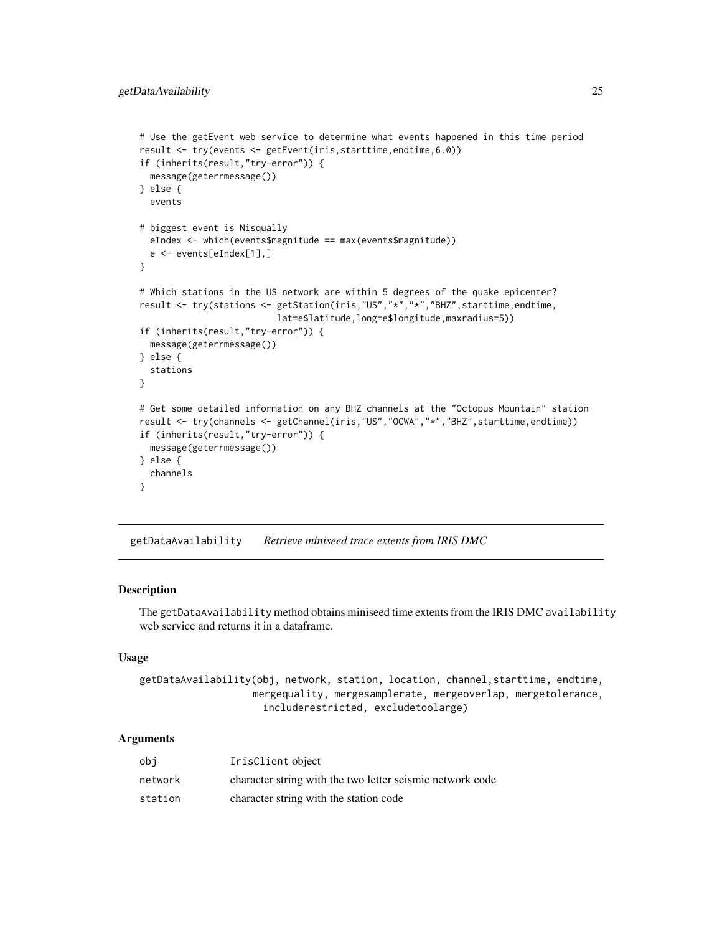```
# Use the getEvent web service to determine what events happened in this time period
result <- try(events <- getEvent(iris,starttime,endtime,6.0))
if (inherits(result,"try-error")) {
 message(geterrmessage())
} else {
 events
# biggest event is Nisqually
 eIndex <- which(events$magnitude == max(events$magnitude))
 e <- events[eIndex[1],]
}
# Which stations in the US network are within 5 degrees of the quake epicenter?
result <- try(stations <- getStation(iris,"US","*","*","BHZ",starttime,endtime,
                          lat=e$latitude,long=e$longitude,maxradius=5))
if (inherits(result,"try-error")) {
 message(geterrmessage())
} else {
 stations
}
# Get some detailed information on any BHZ channels at the "Octopus Mountain" station
result <- try(channels <- getChannel(iris,"US","OCWA","*","BHZ",starttime,endtime))
if (inherits(result,"try-error")) {
 message(geterrmessage())
} else {
 channels
}
```
getDataAvailability *Retrieve miniseed trace extents from IRIS DMC*

#### Description

The getDataAvailability method obtains miniseed time extents from the IRIS DMC availability web service and returns it in a dataframe.

#### Usage

```
getDataAvailability(obj, network, station, location, channel,starttime, endtime,
                   mergequality, mergesamplerate, mergeoverlap, mergetolerance,
                     includerestricted, excludetoolarge)
```
#### Arguments

| obi     | IrisClient object                                         |
|---------|-----------------------------------------------------------|
| network | character string with the two letter seismic network code |
| station | character string with the station code                    |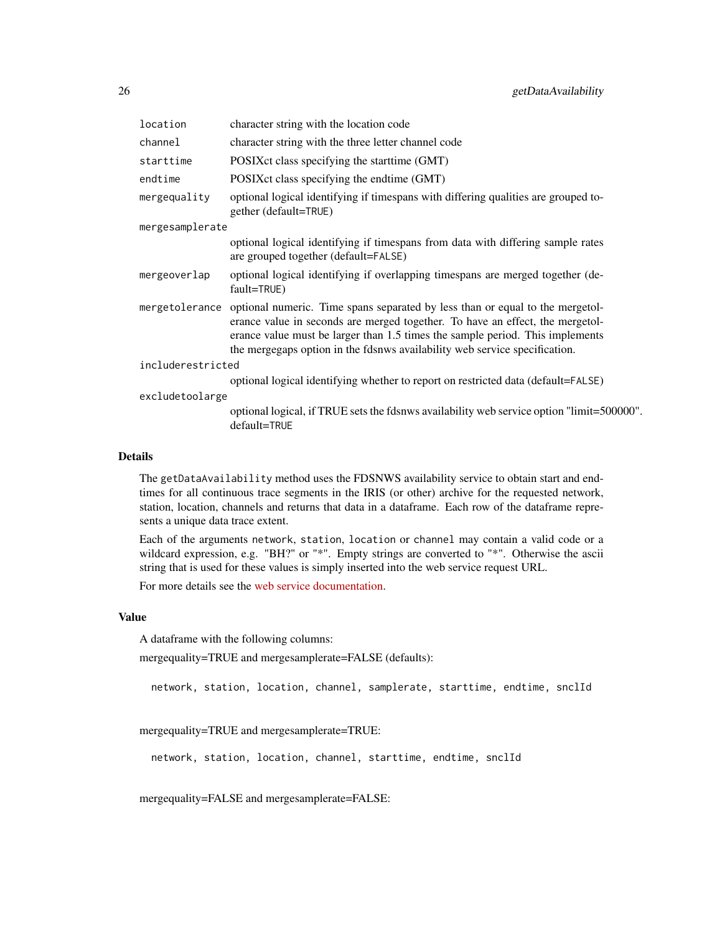| location          | character string with the location code                                                                                                                                                                                                                                                                                                      |
|-------------------|----------------------------------------------------------------------------------------------------------------------------------------------------------------------------------------------------------------------------------------------------------------------------------------------------------------------------------------------|
| channel           | character string with the three letter channel code                                                                                                                                                                                                                                                                                          |
| starttime         | POSIX ct class specifying the start time (GMT)                                                                                                                                                                                                                                                                                               |
| endtime           | POSIX ct class specifying the endtime (GMT)                                                                                                                                                                                                                                                                                                  |
| mergequality      | optional logical identifying if timespans with differing qualities are grouped to-<br>gether (default=TRUE)                                                                                                                                                                                                                                  |
| mergesamplerate   |                                                                                                                                                                                                                                                                                                                                              |
|                   | optional logical identifying if timespans from data with differing sample rates<br>are grouped together (default=FALSE)                                                                                                                                                                                                                      |
| mergeoverlap      | optional logical identifying if overlapping timespans are merged together (de-<br>fault=TRUE)                                                                                                                                                                                                                                                |
|                   | mergetolerance optional numeric. Time spans separated by less than or equal to the mergetol-<br>erance value in seconds are merged together. To have an effect, the mergetol-<br>erance value must be larger than 1.5 times the sample period. This implements<br>the mergegaps option in the fdsnws availability web service specification. |
| includerestricted |                                                                                                                                                                                                                                                                                                                                              |
|                   | optional logical identifying whether to report on restricted data (default=FALSE)                                                                                                                                                                                                                                                            |
| excludetoolarge   |                                                                                                                                                                                                                                                                                                                                              |
|                   | optional logical, if TRUE sets the fdsnws availability web service option "limit=500000".<br>default=TRUE                                                                                                                                                                                                                                    |

#### Details

The getDataAvailability method uses the FDSNWS availability service to obtain start and endtimes for all continuous trace segments in the IRIS (or other) archive for the requested network, station, location, channels and returns that data in a dataframe. Each row of the dataframe represents a unique data trace extent.

Each of the arguments network, station, location or channel may contain a valid code or a wildcard expression, e.g. "BH?" or "\*". Empty strings are converted to "\*". Otherwise the ascii string that is used for these values is simply inserted into the web service request URL.

For more details see the [web service documentation.](https://service.iris.edu/fdsnws/availability/1/)

#### Value

A dataframe with the following columns:

mergequality=TRUE and mergesamplerate=FALSE (defaults):

network, station, location, channel, samplerate, starttime, endtime, snclId

mergequality=TRUE and mergesamplerate=TRUE:

network, station, location, channel, starttime, endtime, snclId

mergequality=FALSE and mergesamplerate=FALSE: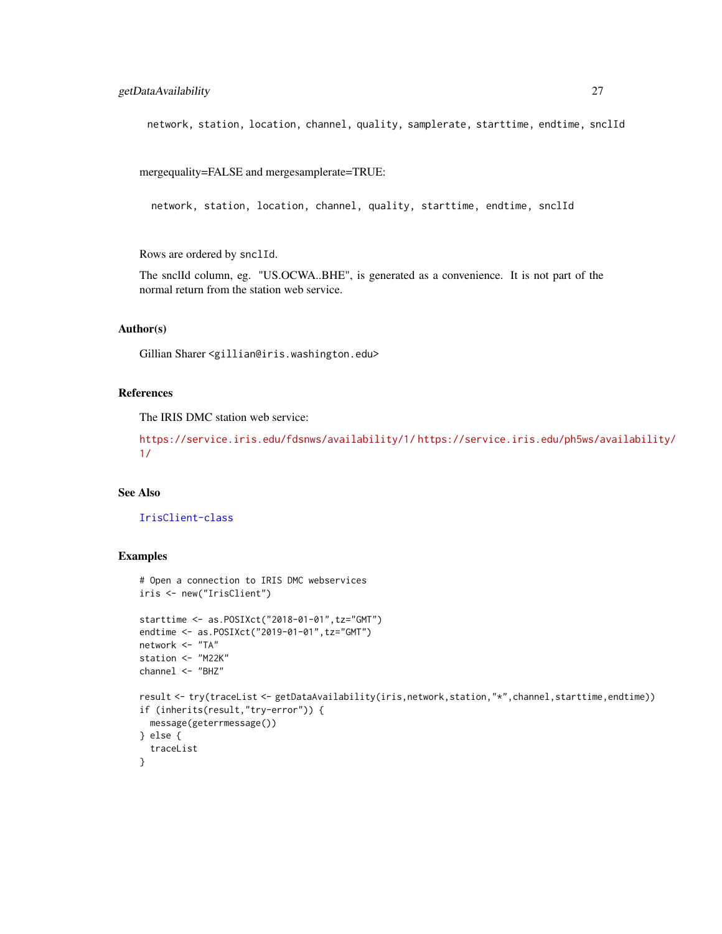network, station, location, channel, quality, samplerate, starttime, endtime, snclId

mergequality=FALSE and mergesamplerate=TRUE:

network, station, location, channel, quality, starttime, endtime, snclId

Rows are ordered by snclId.

The snclId column, eg. "US.OCWA..BHE", is generated as a convenience. It is not part of the normal return from the station web service.

#### Author(s)

Gillian Sharer <gillian@iris.washington.edu>

## References

The IRIS DMC station web service:

<https://service.iris.edu/fdsnws/availability/1/> [https://service.iris.edu/ph5ws/a](https://service.iris.edu/ph5ws/availability/1/)vailability/ [1/](https://service.iris.edu/ph5ws/availability/1/)

#### See Also

[IrisClient-class](#page-51-1)

```
# Open a connection to IRIS DMC webservices
iris <- new("IrisClient")
starttime <- as.POSIXct("2018-01-01",tz="GMT")
endtime <- as.POSIXct("2019-01-01",tz="GMT")
network <- "TA"
station <- "M22K"
channel <- "BHZ"
result <- try(traceList <- getDataAvailability(iris,network,station,"*",channel,starttime,endtime))
if (inherits(result,"try-error")) {
 message(geterrmessage())
} else {
  traceList
}
```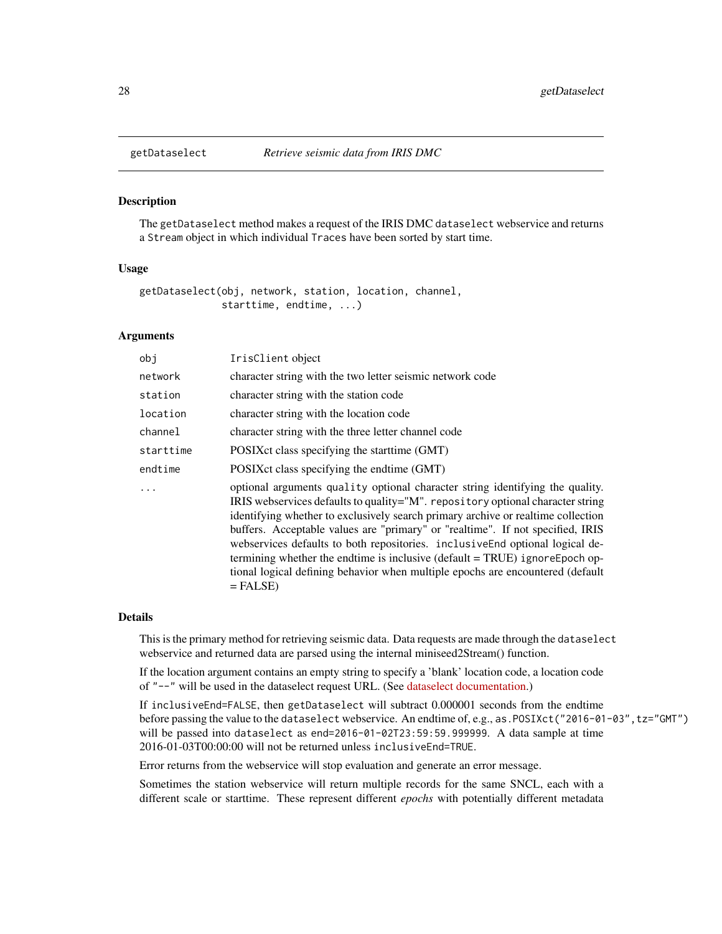<span id="page-27-1"></span><span id="page-27-0"></span>

#### Description

The getDataselect method makes a request of the IRIS DMC dataselect webservice and returns a Stream object in which individual Traces have been sorted by start time.

#### Usage

getDataselect(obj, network, station, location, channel, starttime, endtime, ...)

## Arguments

| obi       | IrisClient object                                                                                                                                                                                                                                                                                                                                                                                                                                                                                                                                                                                     |
|-----------|-------------------------------------------------------------------------------------------------------------------------------------------------------------------------------------------------------------------------------------------------------------------------------------------------------------------------------------------------------------------------------------------------------------------------------------------------------------------------------------------------------------------------------------------------------------------------------------------------------|
| network   | character string with the two letter seismic network code                                                                                                                                                                                                                                                                                                                                                                                                                                                                                                                                             |
| station   | character string with the station code                                                                                                                                                                                                                                                                                                                                                                                                                                                                                                                                                                |
| location  | character string with the location code                                                                                                                                                                                                                                                                                                                                                                                                                                                                                                                                                               |
| channel   | character string with the three letter channel code                                                                                                                                                                                                                                                                                                                                                                                                                                                                                                                                                   |
| starttime | POSIX ct class specifying the start time (GMT)                                                                                                                                                                                                                                                                                                                                                                                                                                                                                                                                                        |
| endtime   | POSIX ct class specifying the endtime (GMT)                                                                                                                                                                                                                                                                                                                                                                                                                                                                                                                                                           |
|           | optional arguments quality optional character string identifying the quality.<br>IRIS webservices defaults to quality="M". repository optional character string<br>identifying whether to exclusively search primary archive or realtime collection<br>buffers. Acceptable values are "primary" or "realtime". If not specified, IRIS<br>webservices defaults to both repositories. inclusive End optional logical de-<br>termining whether the endtime is inclusive (default = TRUE) ignoreEpoch op-<br>tional logical defining behavior when multiple epochs are encountered (default<br>$=$ FALSE) |

#### Details

This is the primary method for retrieving seismic data. Data requests are made through the dataselect webservice and returned data are parsed using the internal miniseed2Stream() function.

If the location argument contains an empty string to specify a 'blank' location code, a location code of "--" will be used in the dataselect request URL. (See [dataselect documentation.](https://service.iris.edu/fdsnws/dataselect/1/))

If inclusiveEnd=FALSE, then getDataselect will subtract 0.000001 seconds from the endtime before passing the value to the dataselect webservice. An endtime of, e.g., as.POSIXct("2016-01-03", tz="GMT") will be passed into dataselect as end=2016-01-02T23:59:59.999999. A data sample at time 2016-01-03T00:00:00 will not be returned unless inclusiveEnd=TRUE.

Error returns from the webservice will stop evaluation and generate an error message.

Sometimes the station webservice will return multiple records for the same SNCL, each with a different scale or starttime. These represent different *epochs* with potentially different metadata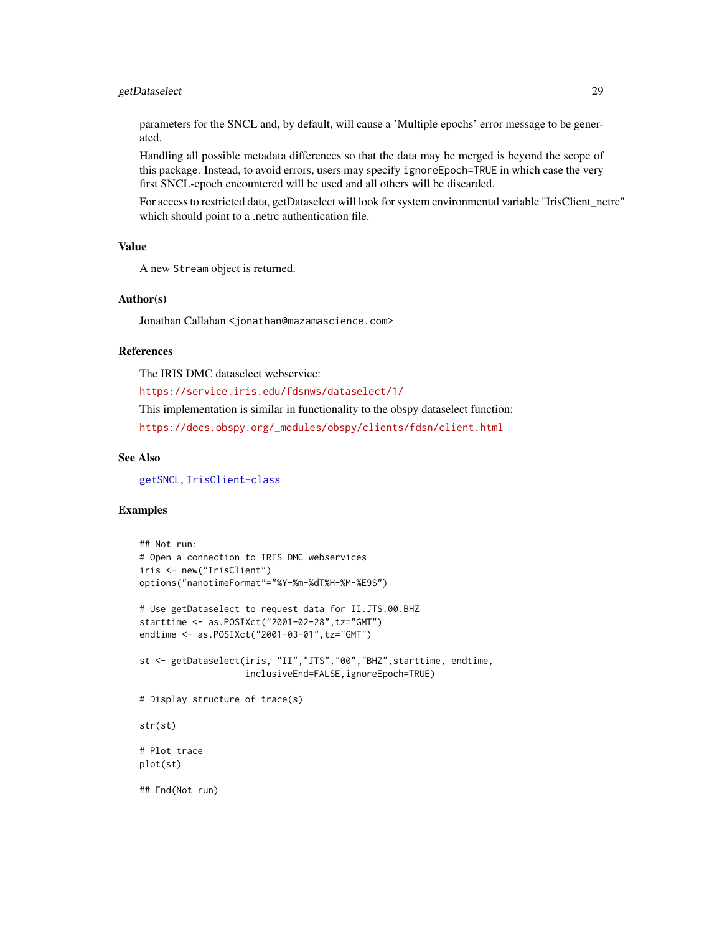## getDataselect 29

parameters for the SNCL and, by default, will cause a 'Multiple epochs' error message to be generated.

Handling all possible metadata differences so that the data may be merged is beyond the scope of this package. Instead, to avoid errors, users may specify ignoreEpoch=TRUE in which case the very first SNCL-epoch encountered will be used and all others will be discarded.

For access to restricted data, getDataselect will look for system environmental variable "IrisClient\_netrc" which should point to a .netrc authentication file.

## Value

A new Stream object is returned.

#### Author(s)

Jonathan Callahan <jonathan@mazamascience.com>

#### References

The IRIS DMC dataselect webservice:

<https://service.iris.edu/fdsnws/dataselect/1/>

This implementation is similar in functionality to the obspy dataselect function: [https://docs.obspy.org/\\_modules/obspy/clients/fdsn/client.html](https://docs.obspy.org/_modules/obspy/clients/fdsn/client.html)

#### See Also

[getSNCL](#page-38-1), [IrisClient-class](#page-51-1)

```
## Not run:
# Open a connection to IRIS DMC webservices
iris <- new("IrisClient")
options("nanotimeFormat"="%Y-%m-%dT%H-%M-%E9S")
# Use getDataselect to request data for II.JTS.00.BHZ
starttime <- as.POSIXct("2001-02-28",tz="GMT")
endtime <- as.POSIXct("2001-03-01",tz="GMT")
st <- getDataselect(iris, "II","JTS","00","BHZ",starttime, endtime,
                    inclusiveEnd=FALSE,ignoreEpoch=TRUE)
# Display structure of trace(s)
str(st)
# Plot trace
plot(st)
## End(Not run)
```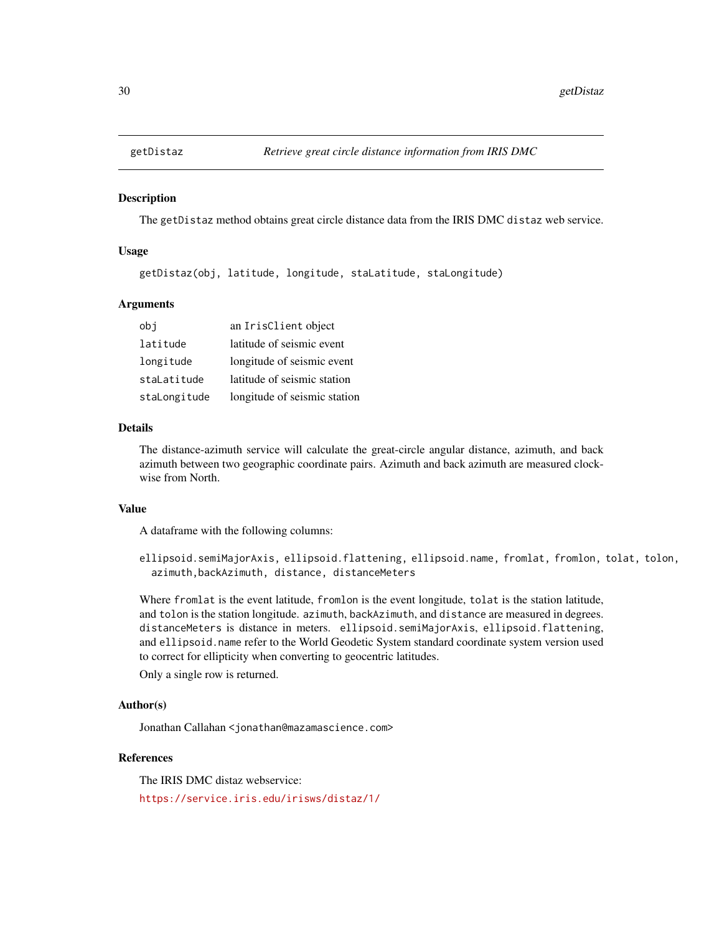<span id="page-29-0"></span>

#### Description

The getDistaz method obtains great circle distance data from the IRIS DMC distaz web service.

#### Usage

getDistaz(obj, latitude, longitude, staLatitude, staLongitude)

#### Arguments

| obj          | an IrisClient object         |
|--------------|------------------------------|
| latitude     | latitude of seismic event    |
| longitude    | longitude of seismic event   |
| staLatitude  | latitude of seismic station  |
| staLongitude | longitude of seismic station |

## Details

The distance-azimuth service will calculate the great-circle angular distance, azimuth, and back azimuth between two geographic coordinate pairs. Azimuth and back azimuth are measured clockwise from North.

## Value

A dataframe with the following columns:

ellipsoid.semiMajorAxis, ellipsoid.flattening, ellipsoid.name, fromlat, fromlon, tolat, tolon, azimuth,backAzimuth, distance, distanceMeters

Where fromlat is the event latitude, fromlon is the event longitude, tolat is the station latitude, and tolon is the station longitude. azimuth, backAzimuth, and distance are measured in degrees. distanceMeters is distance in meters. ellipsoid.semiMajorAxis, ellipsoid.flattening, and ellipsoid.name refer to the World Geodetic System standard coordinate system version used to correct for ellipticity when converting to geocentric latitudes.

Only a single row is returned.

## Author(s)

Jonathan Callahan <jonathan@mazamascience.com>

## References

The IRIS DMC distaz webservice:

<https://service.iris.edu/irisws/distaz/1/>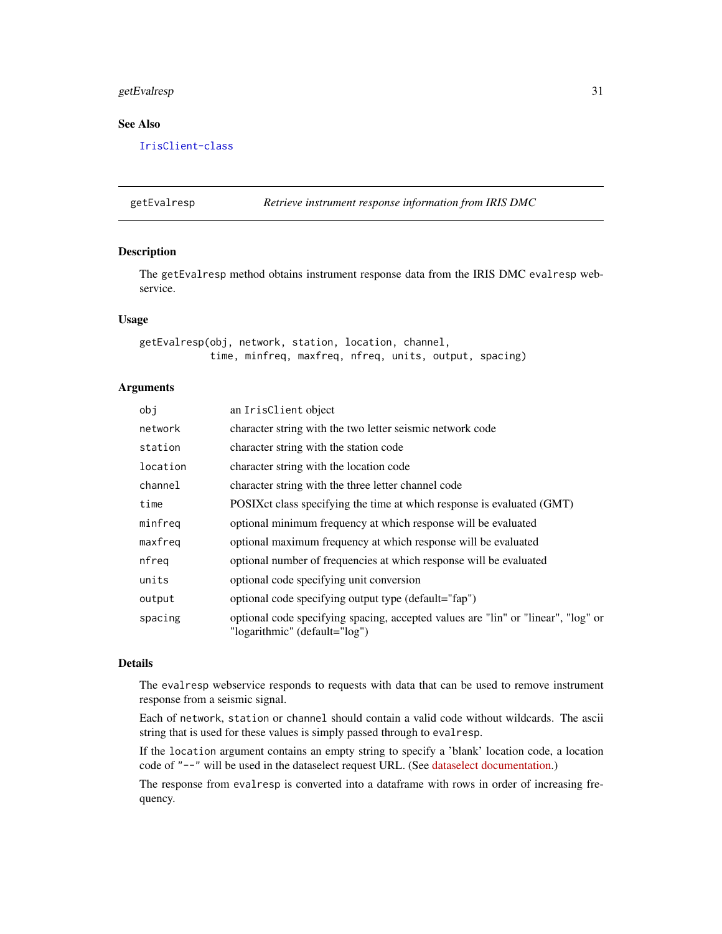## <span id="page-30-0"></span>getEvalresp 31

## See Also

[IrisClient-class](#page-51-1)

getEvalresp *Retrieve instrument response information from IRIS DMC*

## Description

The getEvalresp method obtains instrument response data from the IRIS DMC evalresp webservice.

#### Usage

```
getEvalresp(obj, network, station, location, channel,
            time, minfreq, maxfreq, nfreq, units, output, spacing)
```
## Arguments

| obj      | an IrisClient object                                                                                               |
|----------|--------------------------------------------------------------------------------------------------------------------|
| network  | character string with the two letter seismic network code                                                          |
| station  | character string with the station code                                                                             |
| location | character string with the location code                                                                            |
| channel  | character string with the three letter channel code                                                                |
| time     | POSIX ct class specifying the time at which response is evaluated (GMT)                                            |
| minfreq  | optional minimum frequency at which response will be evaluated                                                     |
| maxfreq  | optional maximum frequency at which response will be evaluated                                                     |
| nfreg    | optional number of frequencies at which response will be evaluated                                                 |
| units    | optional code specifying unit conversion                                                                           |
| output   | optional code specifying output type (default="fap")                                                               |
| spacing  | optional code specifying spacing, accepted values are "lin" or "linear", "log" or<br>"logarithmic" (default="log") |
|          |                                                                                                                    |

#### Details

The evalresp webservice responds to requests with data that can be used to remove instrument response from a seismic signal.

Each of network, station or channel should contain a valid code without wildcards. The ascii string that is used for these values is simply passed through to evalresp.

If the location argument contains an empty string to specify a 'blank' location code, a location code of "--" will be used in the dataselect request URL. (See [dataselect documentation.](https://service.iris.edu/fdsnws/dataselect/1/))

The response from evalresp is converted into a dataframe with rows in order of increasing frequency.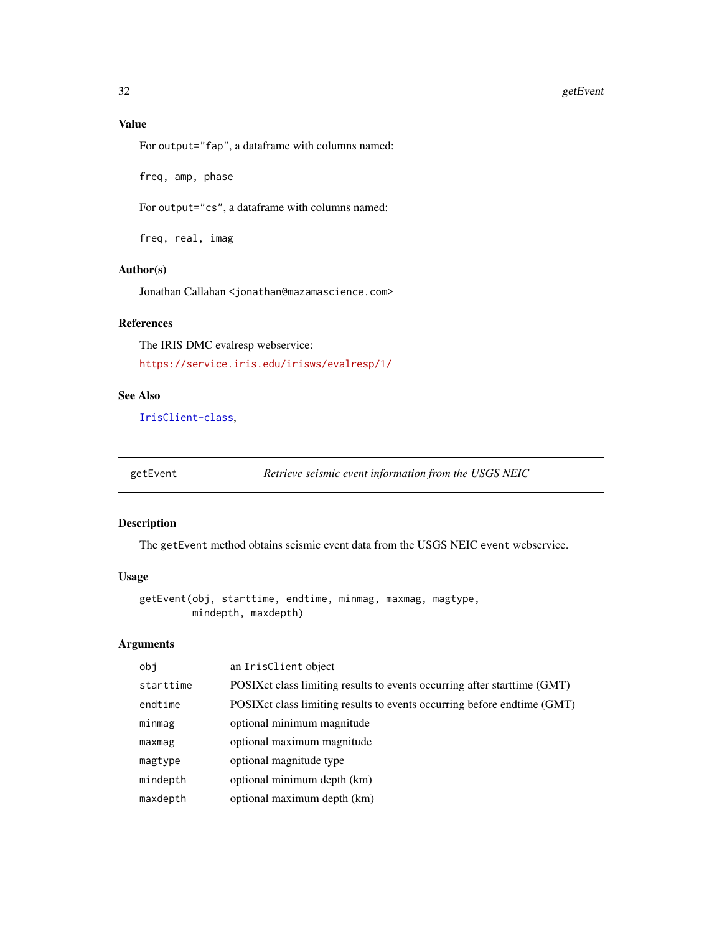## <span id="page-31-0"></span>Value

For output="fap", a dataframe with columns named:

freq, amp, phase

For output="cs", a dataframe with columns named:

freq, real, imag

## Author(s)

Jonathan Callahan <jonathan@mazamascience.com>

## References

The IRIS DMC evalresp webservice: <https://service.iris.edu/irisws/evalresp/1/>

## See Also

[IrisClient-class](#page-51-1),

getEvent *Retrieve seismic event information from the USGS NEIC*

## Description

The getEvent method obtains seismic event data from the USGS NEIC event webservice.

## Usage

```
getEvent(obj, starttime, endtime, minmag, maxmag, magtype,
        mindepth, maxdepth)
```
## Arguments

| obi       | an IrisClient object                                                       |
|-----------|----------------------------------------------------------------------------|
| starttime | POSIX ct class limiting results to events occurring after start time (GMT) |
| endtime   | POSIX ct class limiting results to events occurring before endtime (GMT)   |
| minmag    | optional minimum magnitude                                                 |
| maxmag    | optional maximum magnitude                                                 |
| magtype   | optional magnitude type                                                    |
| mindepth  | optional minimum depth (km)                                                |
| maxdepth  | optional maximum depth (km)                                                |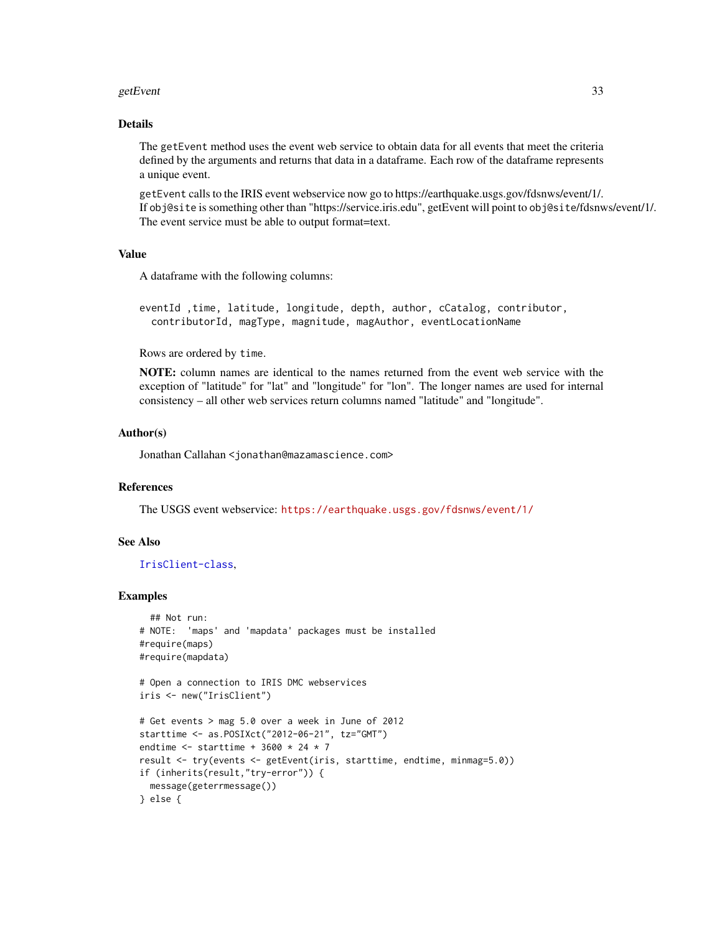#### getEvent 33

## Details

The getEvent method uses the event web service to obtain data for all events that meet the criteria defined by the arguments and returns that data in a dataframe. Each row of the dataframe represents a unique event.

getEvent calls to the IRIS event webservice now go to https://earthquake.usgs.gov/fdsnws/event/1/. If obj@site is something other than "https://service.iris.edu", getEvent will point to obj@site/fdsnws/event/1/. The event service must be able to output format=text.

## Value

A dataframe with the following columns:

eventId ,time, latitude, longitude, depth, author, cCatalog, contributor, contributorId, magType, magnitude, magAuthor, eventLocationName

Rows are ordered by time.

NOTE: column names are identical to the names returned from the event web service with the exception of "latitude" for "lat" and "longitude" for "lon". The longer names are used for internal consistency – all other web services return columns named "latitude" and "longitude".

## Author(s)

Jonathan Callahan <jonathan@mazamascience.com>

## References

The USGS event webservice: <https://earthquake.usgs.gov/fdsnws/event/1/>

## See Also

[IrisClient-class](#page-51-1),

```
## Not run:
# NOTE: 'maps' and 'mapdata' packages must be installed
#require(maps)
#require(mapdata)
# Open a connection to IRIS DMC webservices
iris <- new("IrisClient")
# Get events > mag 5.0 over a week in June of 2012
starttime <- as.POSIXct("2012-06-21", tz="GMT")
endtime <- starttime + 3600 * 24 * 7
result <- try(events <- getEvent(iris, starttime, endtime, minmag=5.0))
if (inherits(result,"try-error")) {
 message(geterrmessage())
} else {
```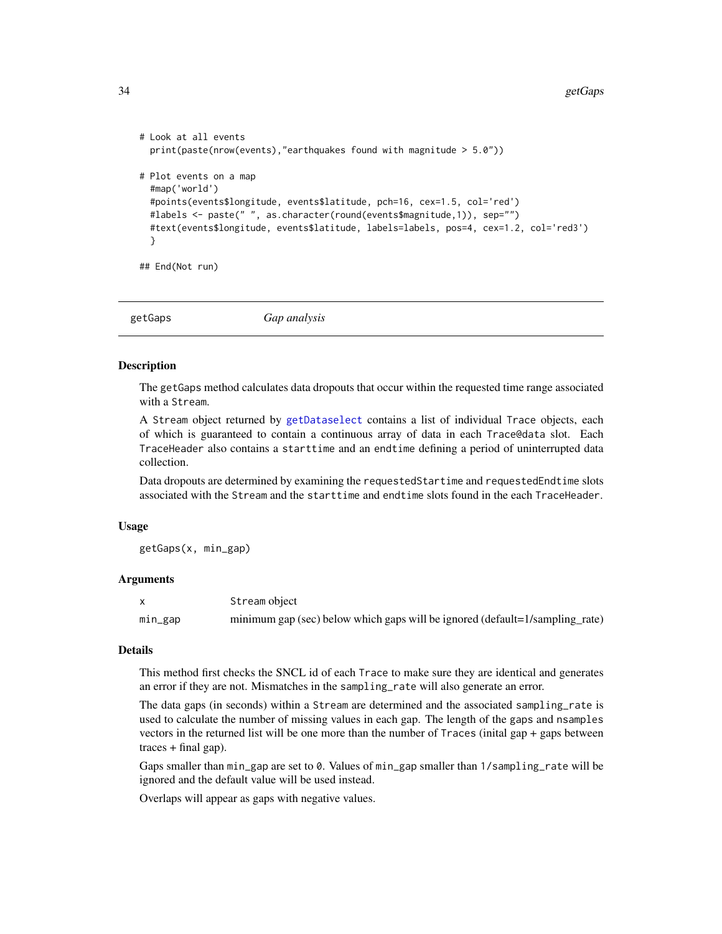```
# Look at all events
 print(paste(nrow(events),"earthquakes found with magnitude > 5.0"))
# Plot events on a map
 #map('world')
 #points(events$longitude, events$latitude, pch=16, cex=1.5, col='red')
 #labels <- paste(" ", as.character(round(events$magnitude,1)), sep="")
 #text(events$longitude, events$latitude, labels=labels, pos=4, cex=1.2, col='red3')
 }
```
## End(Not run)

getGaps *Gap analysis*

#### Description

The getGaps method calculates data dropouts that occur within the requested time range associated with a Stream.

A Stream object returned by [getDataselect](#page-27-1) contains a list of individual Trace objects, each of which is guaranteed to contain a continuous array of data in each Trace@data slot. Each TraceHeader also contains a starttime and an endtime defining a period of uninterrupted data collection.

Data dropouts are determined by examining the requestedStartime and requestedEndtime slots associated with the Stream and the starttime and endtime slots found in the each TraceHeader.

## Usage

getGaps(x, min\_gap)

#### Arguments

|         | Stream object                                                                |
|---------|------------------------------------------------------------------------------|
| mın_gap | minimum gap (sec) below which gaps will be ignored (default=1/sampling_rate) |

#### Details

This method first checks the SNCL id of each Trace to make sure they are identical and generates an error if they are not. Mismatches in the sampling\_rate will also generate an error.

The data gaps (in seconds) within a Stream are determined and the associated sampling\_rate is used to calculate the number of missing values in each gap. The length of the gaps and nsamples vectors in the returned list will be one more than the number of Traces (inital gap + gaps between  $traces + final gap$ ).

Gaps smaller than min\_gap are set to 0. Values of min\_gap smaller than 1/sampling\_rate will be ignored and the default value will be used instead.

Overlaps will appear as gaps with negative values.

<span id="page-33-0"></span>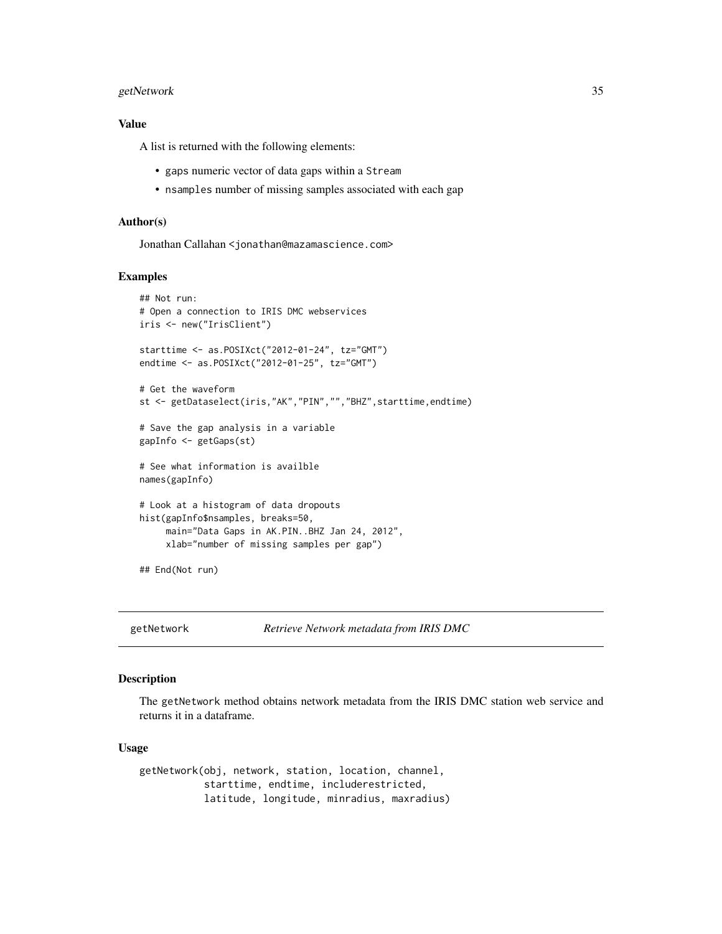## <span id="page-34-0"></span>getNetwork 35

## Value

A list is returned with the following elements:

- gaps numeric vector of data gaps within a Stream
- nsamples number of missing samples associated with each gap

## Author(s)

Jonathan Callahan <jonathan@mazamascience.com>

#### Examples

```
## Not run:
# Open a connection to IRIS DMC webservices
iris <- new("IrisClient")
starttime <- as.POSIXct("2012-01-24", tz="GMT")
endtime <- as.POSIXct("2012-01-25", tz="GMT")
# Get the waveform
st <- getDataselect(iris,"AK","PIN","","BHZ",starttime,endtime)
# Save the gap analysis in a variable
gapInfo <- getGaps(st)
# See what information is availble
names(gapInfo)
# Look at a histogram of data dropouts
hist(gapInfo$nsamples, breaks=50,
     main="Data Gaps in AK.PIN..BHZ Jan 24, 2012",
     xlab="number of missing samples per gap")
## End(Not run)
```
getNetwork *Retrieve Network metadata from IRIS DMC*

#### Description

The getNetwork method obtains network metadata from the IRIS DMC station web service and returns it in a dataframe.

#### Usage

getNetwork(obj, network, station, location, channel, starttime, endtime, includerestricted, latitude, longitude, minradius, maxradius)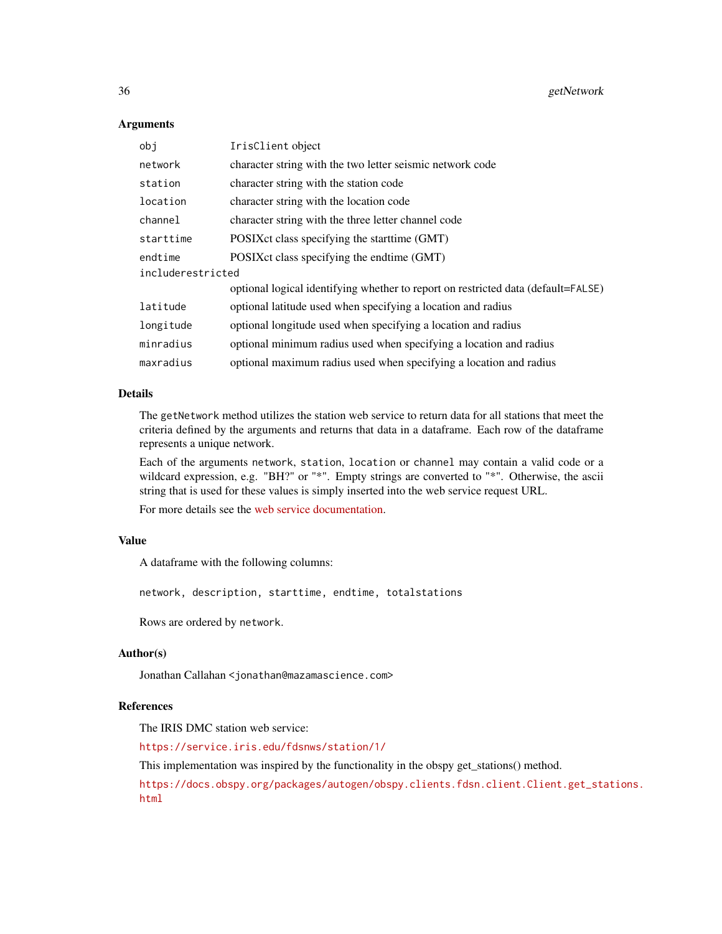#### **Arguments**

| obi               | IrisClient object                                                                 |
|-------------------|-----------------------------------------------------------------------------------|
| network           | character string with the two letter seismic network code                         |
| station           | character string with the station code                                            |
| location          | character string with the location code                                           |
| channel           | character string with the three letter channel code                               |
| starttime         | POSIX ct class specifying the start time (GMT)                                    |
| endtime           | POSIX ct class specifying the endtime (GMT)                                       |
| includerestricted |                                                                                   |
|                   | optional logical identifying whether to report on restricted data (default=FALSE) |
| latitude          | optional latitude used when specifying a location and radius                      |
| longitude         | optional longitude used when specifying a location and radius                     |
| minradius         | optional minimum radius used when specifying a location and radius                |
| maxradius         | optional maximum radius used when specifying a location and radius                |

## Details

The getNetwork method utilizes the station web service to return data for all stations that meet the criteria defined by the arguments and returns that data in a dataframe. Each row of the dataframe represents a unique network.

Each of the arguments network, station, location or channel may contain a valid code or a wildcard expression, e.g. "BH?" or "\*". Empty strings are converted to "\*". Otherwise, the ascii string that is used for these values is simply inserted into the web service request URL.

For more details see the [web service documentation.](https://service.iris.edu/fdsnws/station/1/)

## Value

A dataframe with the following columns:

network, description, starttime, endtime, totalstations

Rows are ordered by network.

#### Author(s)

Jonathan Callahan <jonathan@mazamascience.com>

## References

The IRIS DMC station web service:

<https://service.iris.edu/fdsnws/station/1/>

This implementation was inspired by the functionality in the obspy get\_stations() method.

[https://docs.obspy.org/packages/autogen/obspy.clients.fdsn.client.Client.get\\_sta](https://docs.obspy.org/packages/autogen/obspy.clients.fdsn.client.Client.get_stations.html)tions. [html](https://docs.obspy.org/packages/autogen/obspy.clients.fdsn.client.Client.get_stations.html)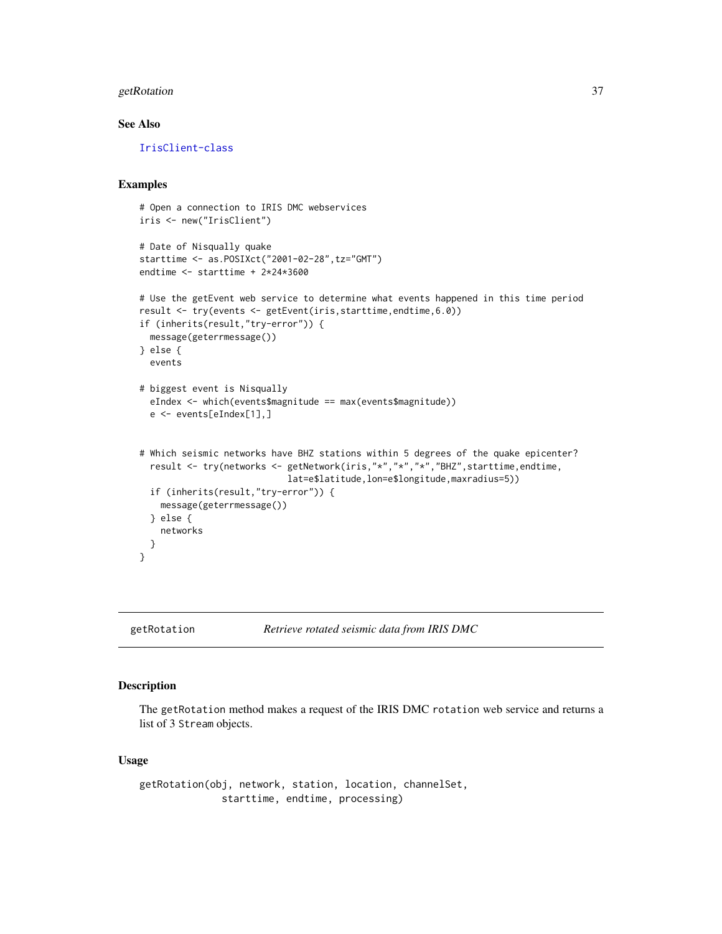## getRotation 37

# See Also

[IrisClient-class](#page-51-0)

## Examples

```
# Open a connection to IRIS DMC webservices
iris <- new("IrisClient")
# Date of Nisqually quake
starttime <- as.POSIXct("2001-02-28",tz="GMT")
endtime <- starttime + 2*24*3600
# Use the getEvent web service to determine what events happened in this time period
result <- try(events <- getEvent(iris,starttime,endtime,6.0))
if (inherits(result,"try-error")) {
 message(geterrmessage())
} else {
 events
# biggest event is Nisqually
 eIndex <- which(events$magnitude == max(events$magnitude))
 e <- events[eIndex[1],]
# Which seismic networks have BHZ stations within 5 degrees of the quake epicenter?
 result <- try(networks <- getNetwork(iris,"*","*","*","BHZ",starttime,endtime,
                            lat=e$latitude,lon=e$longitude,maxradius=5))
 if (inherits(result,"try-error")) {
    message(geterrmessage())
 } else {
   networks
 }
}
```
getRotation *Retrieve rotated seismic data from IRIS DMC*

### Description

The getRotation method makes a request of the IRIS DMC rotation web service and returns a list of 3 Stream objects.

## Usage

```
getRotation(obj, network, station, location, channelSet,
             starttime, endtime, processing)
```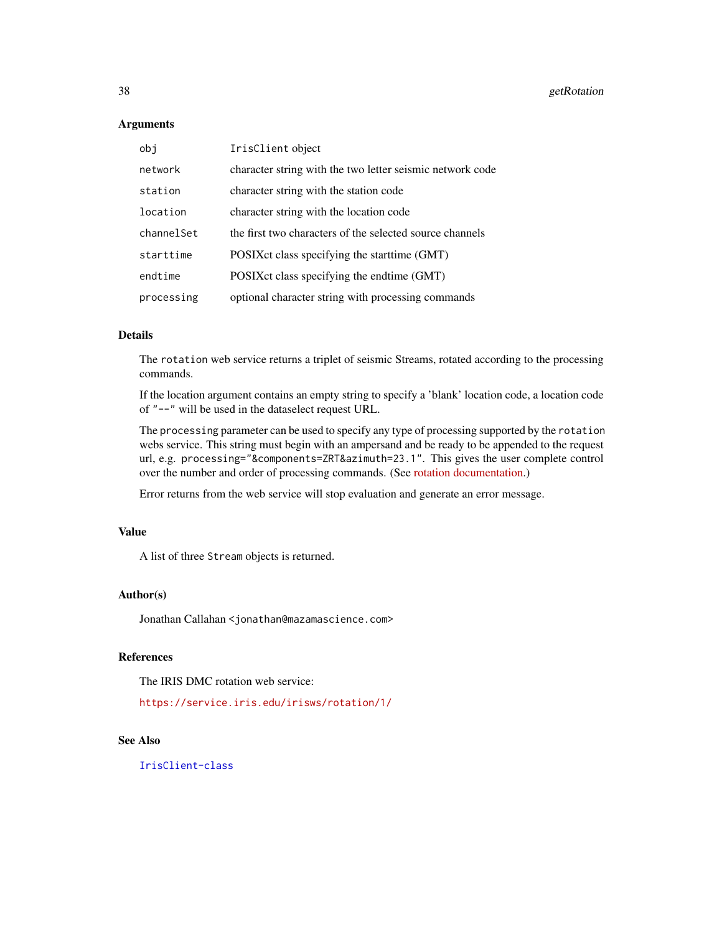#### **Arguments**

| obj        | IrisClient object                                         |
|------------|-----------------------------------------------------------|
| network    | character string with the two letter seismic network code |
| station    | character string with the station code                    |
| location   | character string with the location code                   |
| channelSet | the first two characters of the selected source channels  |
| starttime  | POSIX ct class specifying the start time (GMT)            |
| endtime    | POSIX ct class specifying the endtime (GMT)               |
| processing | optional character string with processing commands        |

# Details

The rotation web service returns a triplet of seismic Streams, rotated according to the processing commands.

If the location argument contains an empty string to specify a 'blank' location code, a location code of "--" will be used in the dataselect request URL.

The processing parameter can be used to specify any type of processing supported by the rotation webs service. This string must begin with an ampersand and be ready to be appended to the request url, e.g. processing="&components=ZRT&azimuth=23.1". This gives the user complete control over the number and order of processing commands. (See [rotation documentation.](https://service.iris.edu/irisws/rotation/1/))

Error returns from the web service will stop evaluation and generate an error message.

## Value

A list of three Stream objects is returned.

#### Author(s)

Jonathan Callahan <jonathan@mazamascience.com>

# References

The IRIS DMC rotation web service:

<https://service.iris.edu/irisws/rotation/1/>

## See Also

[IrisClient-class](#page-51-0)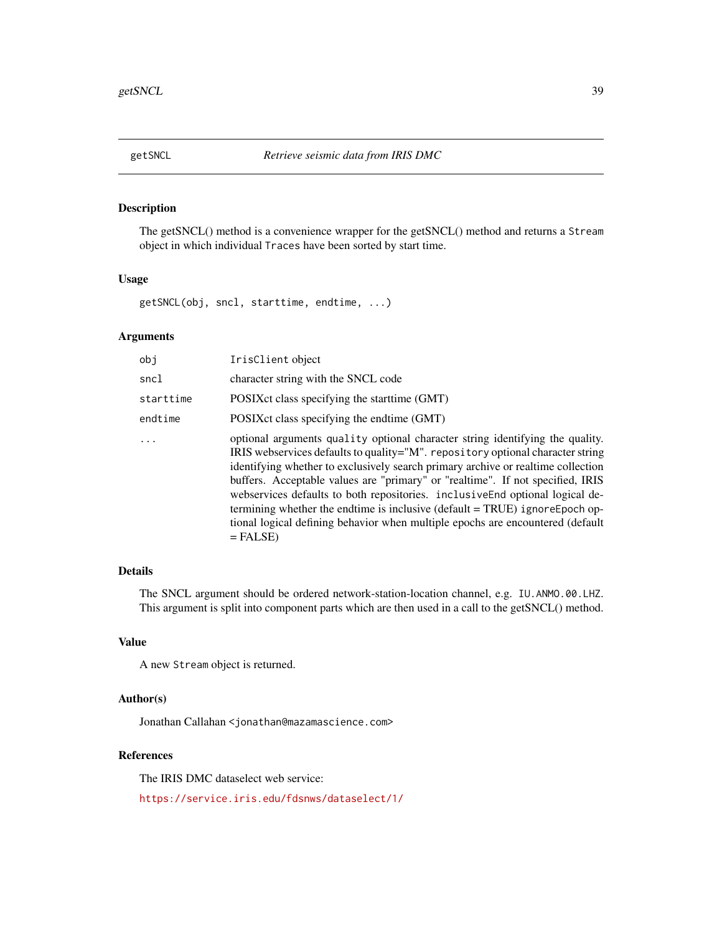<span id="page-38-0"></span>

# Description

The getSNCL() method is a convenience wrapper for the getSNCL() method and returns a Stream object in which individual Traces have been sorted by start time.

## Usage

getSNCL(obj, sncl, starttime, endtime, ...)

# Arguments

| obi       | IrisClient object                                                                                                                                                                                                                                                                                                                                                                                                                                                                                                                                                                                    |
|-----------|------------------------------------------------------------------------------------------------------------------------------------------------------------------------------------------------------------------------------------------------------------------------------------------------------------------------------------------------------------------------------------------------------------------------------------------------------------------------------------------------------------------------------------------------------------------------------------------------------|
| sncl      | character string with the SNCL code                                                                                                                                                                                                                                                                                                                                                                                                                                                                                                                                                                  |
| starttime | POSIX ct class specifying the start time (GMT)                                                                                                                                                                                                                                                                                                                                                                                                                                                                                                                                                       |
| endtime   | POSIX ct class specifying the endtime (GMT)                                                                                                                                                                                                                                                                                                                                                                                                                                                                                                                                                          |
| $\ddots$  | optional arguments quality optional character string identifying the quality.<br>IRIS webservices defaults to quality="M". repository optional character string<br>identifying whether to exclusively search primary archive or realtime collection<br>buffers. Acceptable values are "primary" or "realtime". If not specified, IRIS<br>webservices defaults to both repositories. inclusiveEnd optional logical de-<br>termining whether the endtime is inclusive (default = TRUE) ignoreEpoch op-<br>tional logical defining behavior when multiple epochs are encountered (default<br>$=$ FALSE) |

# Details

The SNCL argument should be ordered network-station-location channel, e.g. IU.ANMO.00.LHZ. This argument is split into component parts which are then used in a call to the getSNCL() method.

## Value

A new Stream object is returned.

## Author(s)

Jonathan Callahan <jonathan@mazamascience.com>

## References

The IRIS DMC dataselect web service:

<https://service.iris.edu/fdsnws/dataselect/1/>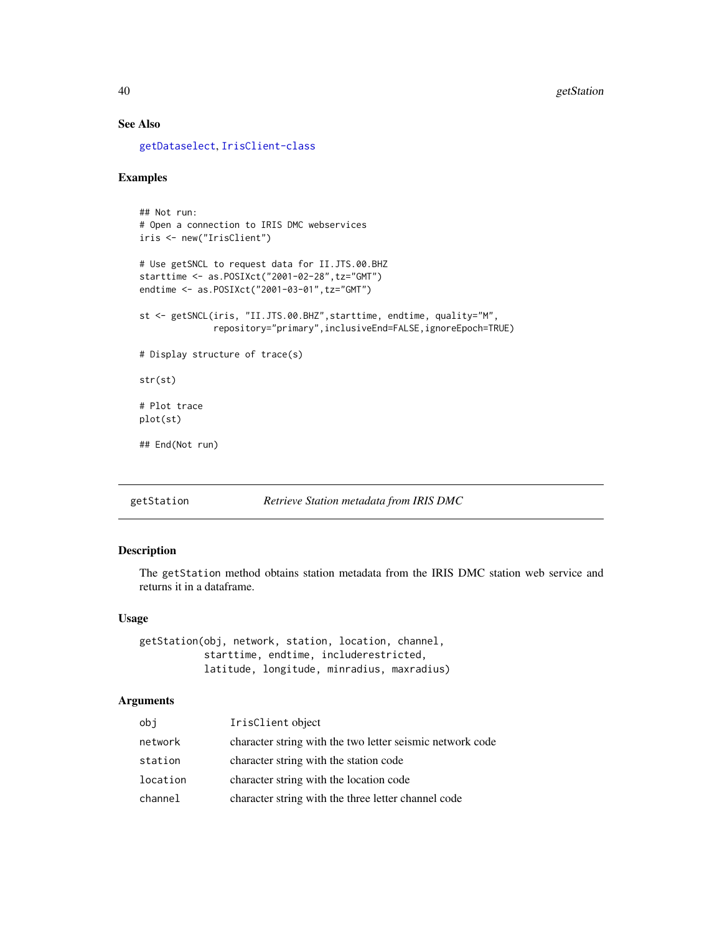# See Also

[getDataselect](#page-27-0), [IrisClient-class](#page-51-0)

## Examples

```
## Not run:
# Open a connection to IRIS DMC webservices
iris <- new("IrisClient")
# Use getSNCL to request data for II.JTS.00.BHZ
starttime <- as.POSIXct("2001-02-28",tz="GMT")
endtime <- as.POSIXct("2001-03-01",tz="GMT")
st <- getSNCL(iris, "II.JTS.00.BHZ",starttime, endtime, quality="M",
             repository="primary",inclusiveEnd=FALSE,ignoreEpoch=TRUE)
# Display structure of trace(s)
str(st)
# Plot trace
plot(st)
## End(Not run)
```
<span id="page-39-0"></span>getStation *Retrieve Station metadata from IRIS DMC*

# Description

The getStation method obtains station metadata from the IRIS DMC station web service and returns it in a dataframe.

#### Usage

getStation(obj, network, station, location, channel, starttime, endtime, includerestricted, latitude, longitude, minradius, maxradius)

| obj      | IrisClient object                                         |
|----------|-----------------------------------------------------------|
| network  | character string with the two letter seismic network code |
| station  | character string with the station code                    |
| location | character string with the location code                   |
| channel  | character string with the three letter channel code       |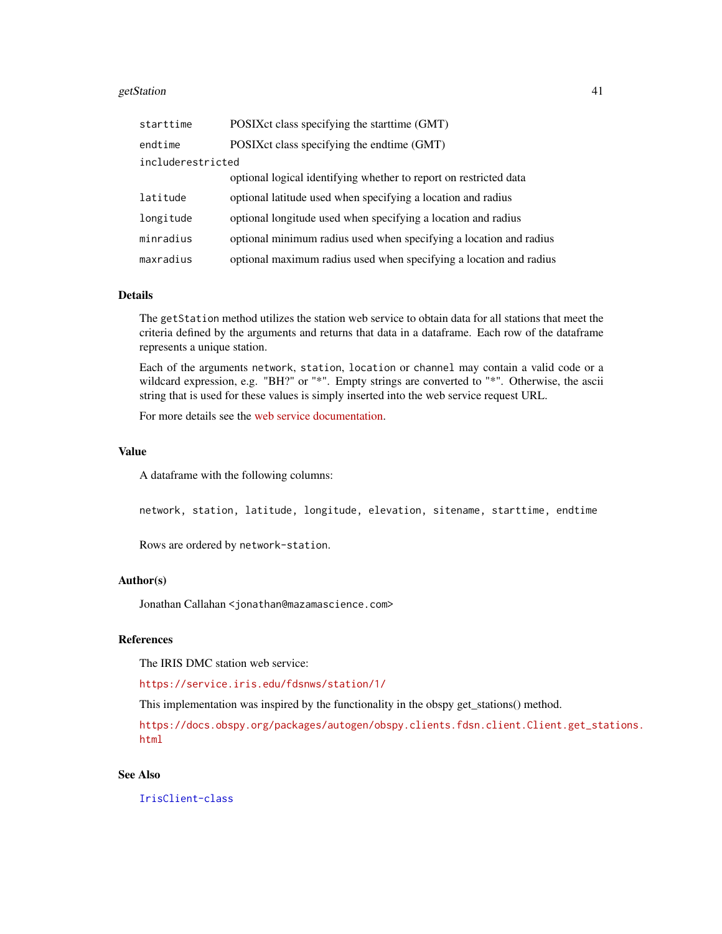#### getStation 41

| starttime         | POSIX ct class specifying the start time (GMT)                     |  |
|-------------------|--------------------------------------------------------------------|--|
| endtime           | POSIXct class specifying the endtime (GMT)                         |  |
| includerestricted |                                                                    |  |
|                   | optional logical identifying whether to report on restricted data  |  |
| latitude          | optional latitude used when specifying a location and radius       |  |
| longitude         | optional longitude used when specifying a location and radius      |  |
| minradius         | optional minimum radius used when specifying a location and radius |  |
| maxradius         | optional maximum radius used when specifying a location and radius |  |

## Details

The getStation method utilizes the station web service to obtain data for all stations that meet the criteria defined by the arguments and returns that data in a dataframe. Each row of the dataframe represents a unique station.

Each of the arguments network, station, location or channel may contain a valid code or a wildcard expression, e.g. "BH?" or "\*". Empty strings are converted to "\*". Otherwise, the ascii string that is used for these values is simply inserted into the web service request URL.

For more details see the [web service documentation.](https://service.iris.edu/fdsnws/station/1/)

#### Value

A dataframe with the following columns:

network, station, latitude, longitude, elevation, sitename, starttime, endtime

Rows are ordered by network-station.

## Author(s)

Jonathan Callahan <jonathan@mazamascience.com>

# **References**

The IRIS DMC station web service:

<https://service.iris.edu/fdsnws/station/1/>

This implementation was inspired by the functionality in the obspy get\_stations() method.

[https://docs.obspy.org/packages/autogen/obspy.clients.fdsn.client.Client.get\\_sta](https://docs.obspy.org/packages/autogen/obspy.clients.fdsn.client.Client.get_stations.html)tions. [html](https://docs.obspy.org/packages/autogen/obspy.clients.fdsn.client.Client.get_stations.html)

# See Also

[IrisClient-class](#page-51-0)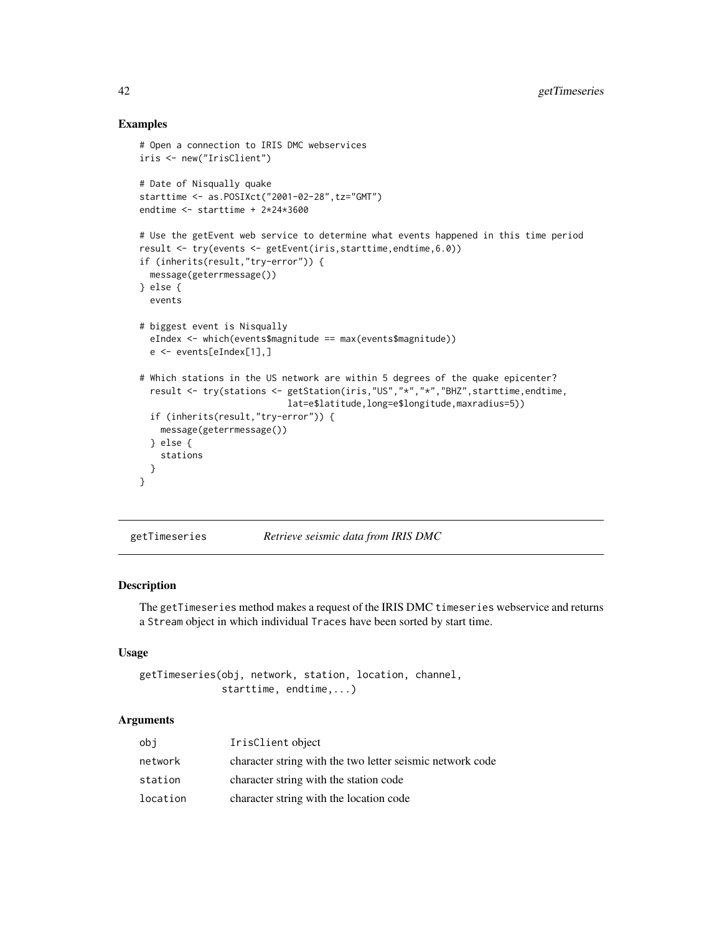## Examples

```
# Open a connection to IRIS DMC webservices
iris <- new("IrisClient")
# Date of Nisqually quake
starttime <- as.POSIXct("2001-02-28",tz="GMT")
endtime <- starttime + 2*24*3600
# Use the getEvent web service to determine what events happened in this time period
result <- try(events <- getEvent(iris,starttime,endtime,6.0))
if (inherits(result,"try-error")) {
 message(geterrmessage())
} else {
 events
# biggest event is Nisqually
 eIndex <- which(events$magnitude == max(events$magnitude))
 e <- events[eIndex[1],]
# Which stations in the US network are within 5 degrees of the quake epicenter?
 result <- try(stations <- getStation(iris,"US","*","*","BHZ",starttime,endtime,
                            lat=e$latitude,long=e$longitude,maxradius=5))
 if (inherits(result,"try-error")) {
    message(geterrmessage())
 } else {
   stations
 }
}
```
getTimeseries *Retrieve seismic data from IRIS DMC*

#### Description

The getTimeseries method makes a request of the IRIS DMC timeseries webservice and returns a Stream object in which individual Traces have been sorted by start time.

## Usage

```
getTimeseries(obj, network, station, location, channel,
              starttime, endtime,...)
```

| obi      | IrisClient object                                         |
|----------|-----------------------------------------------------------|
| network  | character string with the two letter seismic network code |
| station  | character string with the station code                    |
| location | character string with the location code                   |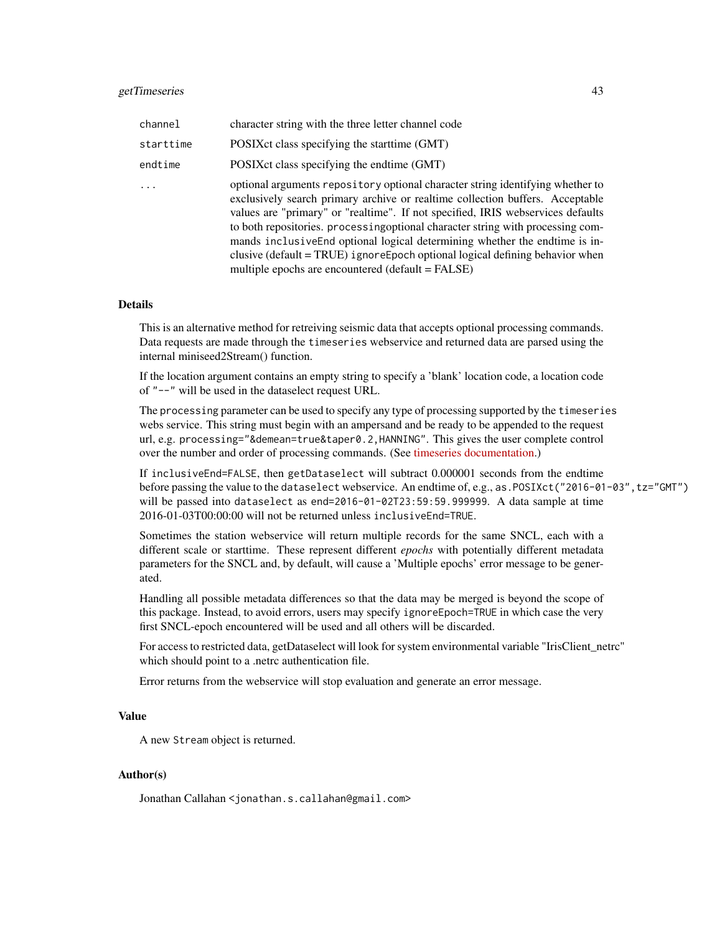| channel   | character string with the three letter channel code                                                                                                                                                                                                                                                                                                                                                                                                                                                                                                           |
|-----------|---------------------------------------------------------------------------------------------------------------------------------------------------------------------------------------------------------------------------------------------------------------------------------------------------------------------------------------------------------------------------------------------------------------------------------------------------------------------------------------------------------------------------------------------------------------|
| starttime | POSIX ct class specifying the start time (GMT)                                                                                                                                                                                                                                                                                                                                                                                                                                                                                                                |
| endtime   | POSIX ct class specifying the endtime (GMT)                                                                                                                                                                                                                                                                                                                                                                                                                                                                                                                   |
|           | optional arguments repository optional character string identifying whether to<br>exclusively search primary archive or realtime collection buffers. Acceptable<br>values are "primary" or "realtime". If not specified, IRIS webservices defaults<br>to both repositories. processing optional character string with processing com-<br>mands inclusive End optional logical determining whether the endtime is in-<br>clusive (default = TRUE) i gnore Epoch optional logical defining behavior when<br>multiple epochs are encountered (default $=$ FALSE) |

#### Details

This is an alternative method for retreiving seismic data that accepts optional processing commands. Data requests are made through the timeseries webservice and returned data are parsed using the internal miniseed2Stream() function.

If the location argument contains an empty string to specify a 'blank' location code, a location code of "--" will be used in the dataselect request URL.

The processing parameter can be used to specify any type of processing supported by the timeseries webs service. This string must begin with an ampersand and be ready to be appended to the request url, e.g. processing="&demean=true&taper0.2,HANNING". This gives the user complete control over the number and order of processing commands. (See [timeseries documentation.](https://service.iris.edu/irisws/timeseries/1/))

If inclusiveEnd=FALSE, then getDataselect will subtract 0.000001 seconds from the endtime before passing the value to the dataselect webservice. An endtime of, e.g., as.POSIXct("2016-01-03", tz="GMT") will be passed into dataselect as end=2016-01-02T23:59:59.999999. A data sample at time 2016-01-03T00:00:00 will not be returned unless inclusiveEnd=TRUE.

Sometimes the station webservice will return multiple records for the same SNCL, each with a different scale or starttime. These represent different *epochs* with potentially different metadata parameters for the SNCL and, by default, will cause a 'Multiple epochs' error message to be generated.

Handling all possible metadata differences so that the data may be merged is beyond the scope of this package. Instead, to avoid errors, users may specify ignoreEpoch=TRUE in which case the very first SNCL-epoch encountered will be used and all others will be discarded.

For access to restricted data, getDataselect will look for system environmental variable "IrisClient\_netrc" which should point to a .netrc authentication file.

Error returns from the webservice will stop evaluation and generate an error message.

#### Value

A new Stream object is returned.

## Author(s)

Jonathan Callahan <jonathan.s.callahan@gmail.com>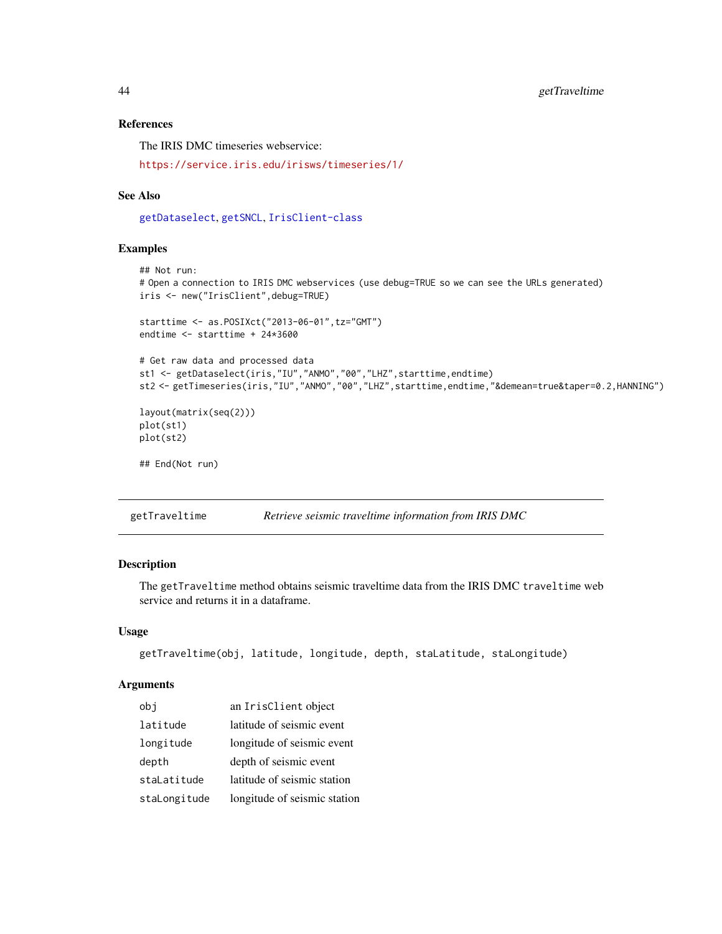# References

The IRIS DMC timeseries webservice:

<https://service.iris.edu/irisws/timeseries/1/>

#### See Also

[getDataselect](#page-27-0), [getSNCL](#page-38-0), [IrisClient-class](#page-51-0)

#### Examples

```
## Not run:
# Open a connection to IRIS DMC webservices (use debug=TRUE so we can see the URLs generated)
iris <- new("IrisClient",debug=TRUE)
starttime <- as.POSIXct("2013-06-01",tz="GMT")
endtime <- starttime + 24*3600
# Get raw data and processed data
st1 <- getDataselect(iris,"IU","ANMO","00","LHZ",starttime,endtime)
st2 <- getTimeseries(iris,"IU","ANMO","00","LHZ",starttime,endtime,"&demean=true&taper=0.2,HANNING")
layout(matrix(seq(2)))
plot(st1)
plot(st2)
## End(Not run)
```
<span id="page-43-0"></span>getTraveltime *Retrieve seismic traveltime information from IRIS DMC*

## Description

The getTraveltime method obtains seismic traveltime data from the IRIS DMC traveltime web service and returns it in a dataframe.

#### Usage

```
getTraveltime(obj, latitude, longitude, depth, staLatitude, staLongitude)
```

| obi          | an IrisClient object         |
|--------------|------------------------------|
| latitude     | latitude of seismic event    |
| longitude    | longitude of seismic event   |
| depth        | depth of seismic event       |
| staLatitude  | latitude of seismic station  |
| staLongitude | longitude of seismic station |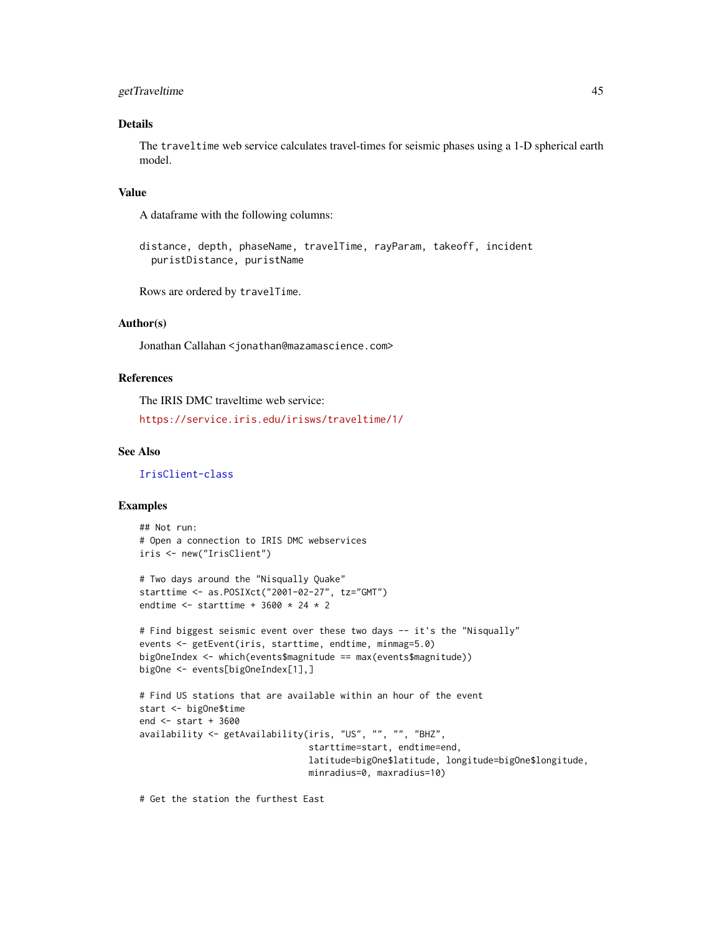# getTraveltime 45

## Details

The traveltime web service calculates travel-times for seismic phases using a 1-D spherical earth model.

## Value

A dataframe with the following columns:

distance, depth, phaseName, travelTime, rayParam, takeoff, incident puristDistance, puristName

Rows are ordered by travelTime.

## Author(s)

Jonathan Callahan <jonathan@mazamascience.com>

## References

The IRIS DMC traveltime web service:

<https://service.iris.edu/irisws/traveltime/1/>

#### See Also

[IrisClient-class](#page-51-0)

## Examples

```
## Not run:
# Open a connection to IRIS DMC webservices
iris <- new("IrisClient")
# Two days around the "Nisqually Quake"
```

```
starttime <- as.POSIXct("2001-02-27", tz="GMT")
endtime \le starttime + 3600 \star 24 \star 2
```

```
# Find biggest seismic event over these two days -- it's the "Nisqually"
events <- getEvent(iris, starttime, endtime, minmag=5.0)
bigOneIndex <- which(events$magnitude == max(events$magnitude))
bigOne <- events[bigOneIndex[1],]
```

```
# Find US stations that are available within an hour of the event
start <- bigOne$time
end <- start + 3600
availability <- getAvailability(iris, "US", "", "", "BHZ",
                                starttime=start, endtime=end,
                                latitude=bigOne$latitude, longitude=bigOne$longitude,
                                minradius=0, maxradius=10)
```
# Get the station the furthest East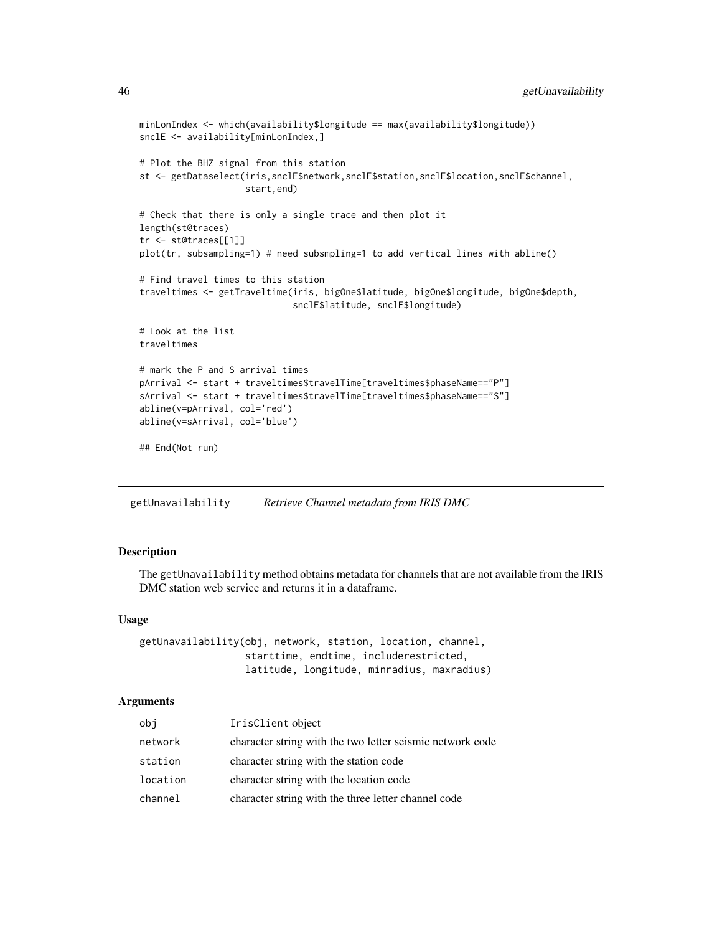```
minLonIndex <- which(availability$longitude == max(availability$longitude))
snclE <- availability[minLonIndex,]
# Plot the BHZ signal from this station
st <- getDataselect(iris,snclE$network,snclE$station,snclE$location,snclE$channel,
                    start,end)
# Check that there is only a single trace and then plot it
length(st@traces)
tr <- st@traces[[1]]
plot(tr, subsampling=1) # need subsmpling=1 to add vertical lines with abline()
# Find travel times to this station
traveltimes <- getTraveltime(iris, bigOne$latitude, bigOne$longitude, bigOne$depth,
                             snclE$latitude, snclE$longitude)
# Look at the list
traveltimes
# mark the P and S arrival times
pArrival <- start + traveltimes$travelTime[traveltimes$phaseName=="P"]
sArrival <- start + traveltimes$travelTime[traveltimes$phaseName=="S"]
abline(v=pArrival, col='red')
abline(v=sArrival, col='blue')
## End(Not run)
```
<span id="page-45-0"></span>getUnavailability *Retrieve Channel metadata from IRIS DMC*

# Description

The getUnavailability method obtains metadata for channels that are not available from the IRIS DMC station web service and returns it in a dataframe.

## Usage

getUnavailability(obj, network, station, location, channel, starttime, endtime, includerestricted, latitude, longitude, minradius, maxradius)

| obj      | IrisClient object                                         |
|----------|-----------------------------------------------------------|
| network  | character string with the two letter seismic network code |
| station  | character string with the station code                    |
| location | character string with the location code                   |
| channel  | character string with the three letter channel code       |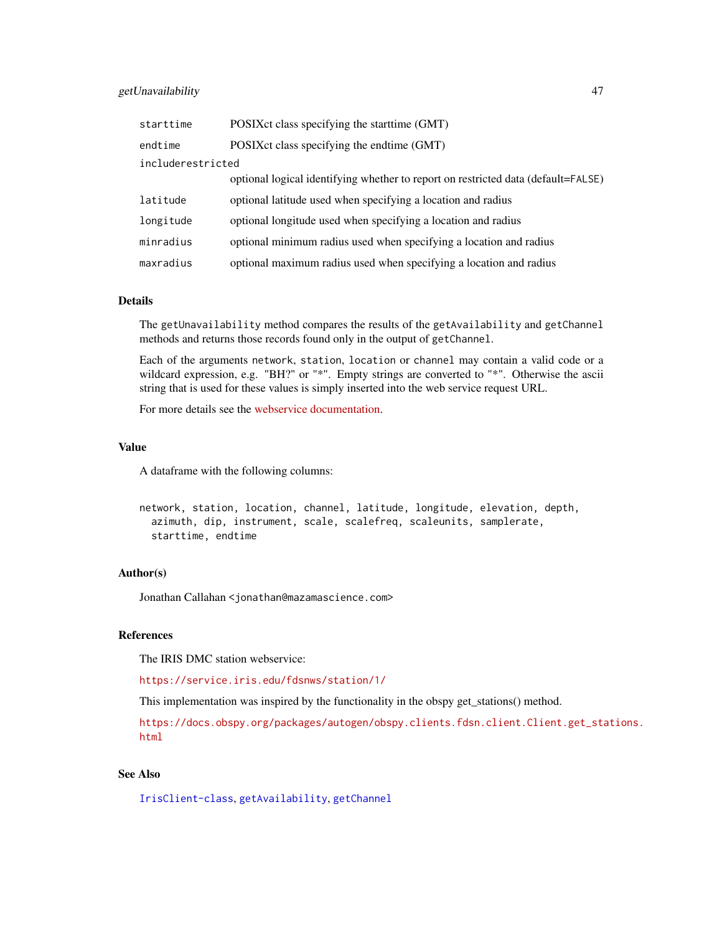## getUnavailability 47

| starttime         | POSIXct class specifying the starttime (GMT)                                      |  |
|-------------------|-----------------------------------------------------------------------------------|--|
| endtime           | POSIX ct class specifying the endtime (GMT)                                       |  |
| includerestricted |                                                                                   |  |
|                   | optional logical identifying whether to report on restricted data (default=FALSE) |  |
| latitude          | optional latitude used when specifying a location and radius                      |  |
| longitude         | optional longitude used when specifying a location and radius                     |  |
| minradius         | optional minimum radius used when specifying a location and radius                |  |
| maxradius         | optional maximum radius used when specifying a location and radius                |  |

## Details

The getUnavailability method compares the results of the getAvailability and getChannel methods and returns those records found only in the output of getChannel.

Each of the arguments network, station, location or channel may contain a valid code or a wildcard expression, e.g. "BH?" or "\*". Empty strings are converted to "\*". Otherwise the ascii string that is used for these values is simply inserted into the web service request URL.

For more details see the [webservice documentation.](https://service.iris.edu/fdsnws/station/1/)

## Value

A dataframe with the following columns:

```
network, station, location, channel, latitude, longitude, elevation, depth,
  azimuth, dip, instrument, scale, scalefreq, scaleunits, samplerate,
  starttime, endtime
```
## Author(s)

Jonathan Callahan <jonathan@mazamascience.com>

## References

The IRIS DMC station webservice:

<https://service.iris.edu/fdsnws/station/1/>

This implementation was inspired by the functionality in the obspy get\_stations() method.

[https://docs.obspy.org/packages/autogen/obspy.clients.fdsn.client.Client.get\\_sta](https://docs.obspy.org/packages/autogen/obspy.clients.fdsn.client.Client.get_stations.html)tions. [html](https://docs.obspy.org/packages/autogen/obspy.clients.fdsn.client.Client.get_stations.html)

## See Also

[IrisClient-class](#page-51-0), [getAvailability](#page-20-0), [getChannel](#page-22-0)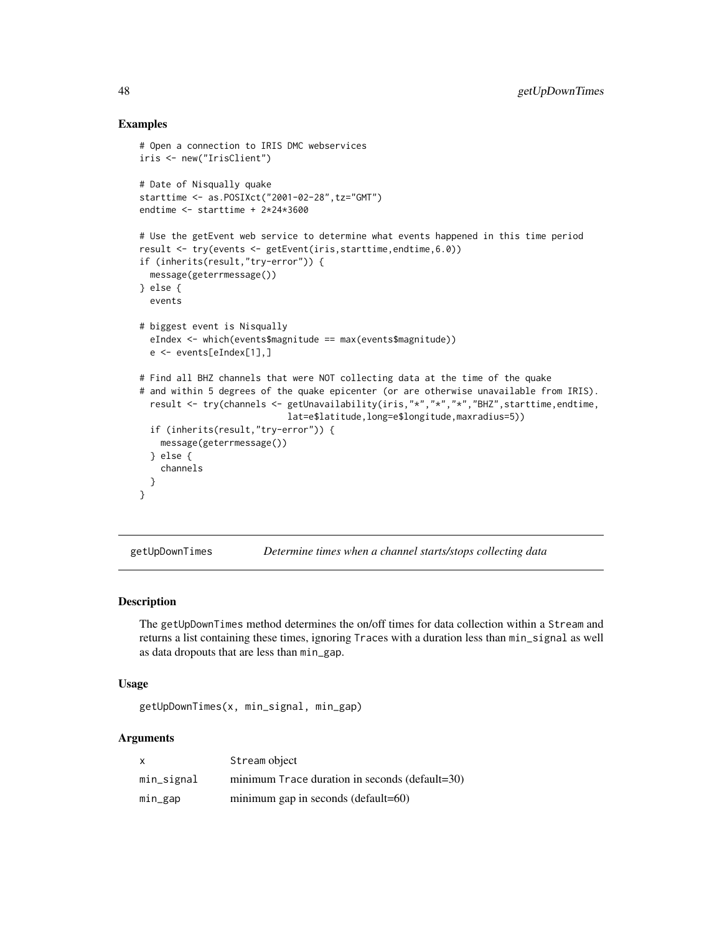## Examples

```
# Open a connection to IRIS DMC webservices
iris <- new("IrisClient")
# Date of Nisqually quake
starttime <- as.POSIXct("2001-02-28",tz="GMT")
endtime <- starttime + 2*24*3600
# Use the getEvent web service to determine what events happened in this time period
result <- try(events <- getEvent(iris,starttime,endtime,6.0))
if (inherits(result,"try-error")) {
 message(geterrmessage())
} else {
 events
# biggest event is Nisqually
 eIndex <- which(events$magnitude == max(events$magnitude))
 e <- events[eIndex[1],]
# Find all BHZ channels that were NOT collecting data at the time of the quake
# and within 5 degrees of the quake epicenter (or are otherwise unavailable from IRIS).
 result <- try(channels <- getUnavailability(iris,"*","*","*","BHZ",starttime,endtime,
                            lat=e$latitude,long=e$longitude,maxradius=5))
 if (inherits(result,"try-error")) {
    message(geterrmessage())
 } else {
    channels
 }
}
```
<span id="page-47-0"></span>getUpDownTimes *Determine times when a channel starts/stops collecting data*

# **Description**

The getUpDownTimes method determines the on/off times for data collection within a Stream and returns a list containing these times, ignoring Traces with a duration less than min\_signal as well as data dropouts that are less than min\_gap.

#### Usage

```
getUpDownTimes(x, min_signal, min_gap)
```

| $\boldsymbol{\mathsf{x}}$ | Stream object                                  |
|---------------------------|------------------------------------------------|
| min_signal                | minimum Trace duration in seconds (default=30) |
| min_gap                   | minimum gap in seconds (default=60)            |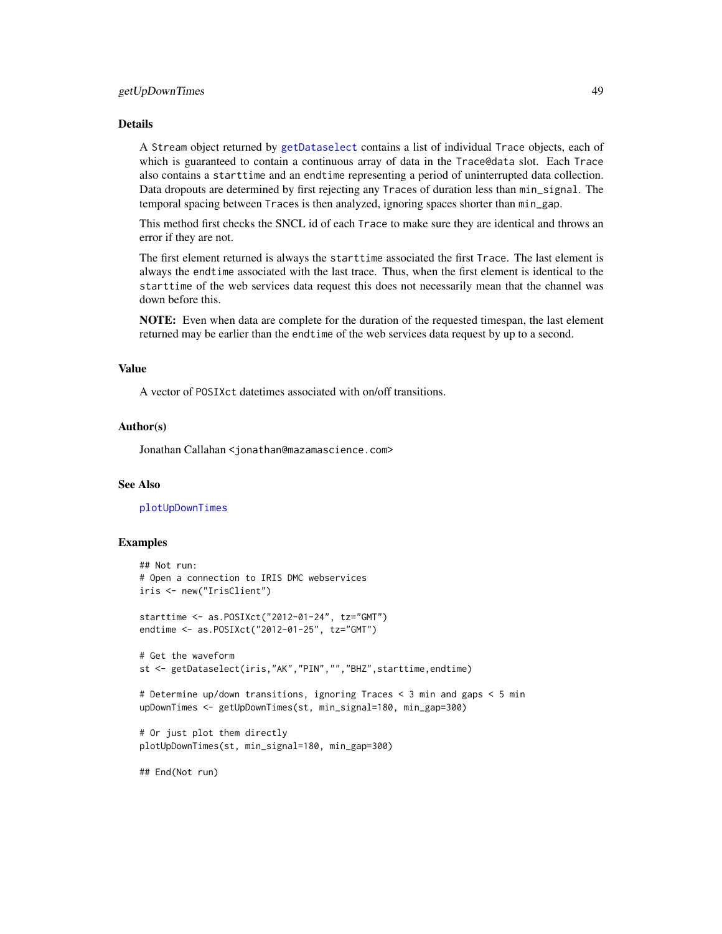## getUpDownTimes 49

## Details

A Stream object returned by [getDataselect](#page-27-0) contains a list of individual Trace objects, each of which is guaranteed to contain a continuous array of data in the Trace@data slot. Each Trace also contains a starttime and an endtime representing a period of uninterrupted data collection. Data dropouts are determined by first rejecting any Traces of duration less than min\_signal. The temporal spacing between Traces is then analyzed, ignoring spaces shorter than min\_gap.

This method first checks the SNCL id of each Trace to make sure they are identical and throws an error if they are not.

The first element returned is always the starttime associated the first Trace. The last element is always the endtime associated with the last trace. Thus, when the first element is identical to the starttime of the web services data request this does not necessarily mean that the channel was down before this.

NOTE: Even when data are complete for the duration of the requested timespan, the last element returned may be earlier than the endtime of the web services data request by up to a second.

## Value

A vector of POSIXct datetimes associated with on/off transitions.

## Author(s)

Jonathan Callahan <jonathan@mazamascience.com>

## See Also

[plotUpDownTimes](#page-79-0)

#### Examples

```
## Not run:
# Open a connection to IRIS DMC webservices
iris <- new("IrisClient")
starttime <- as.POSIXct("2012-01-24", tz="GMT")
endtime <- as.POSIXct("2012-01-25", tz="GMT")
# Get the waveform
st <- getDataselect(iris,"AK","PIN","","BHZ",starttime,endtime)
# Determine up/down transitions, ignoring Traces < 3 min and gaps < 5 min
upDownTimes <- getUpDownTimes(st, min_signal=180, min_gap=300)
# Or just plot them directly
plotUpDownTimes(st, min_signal=180, min_gap=300)
```
## End(Not run)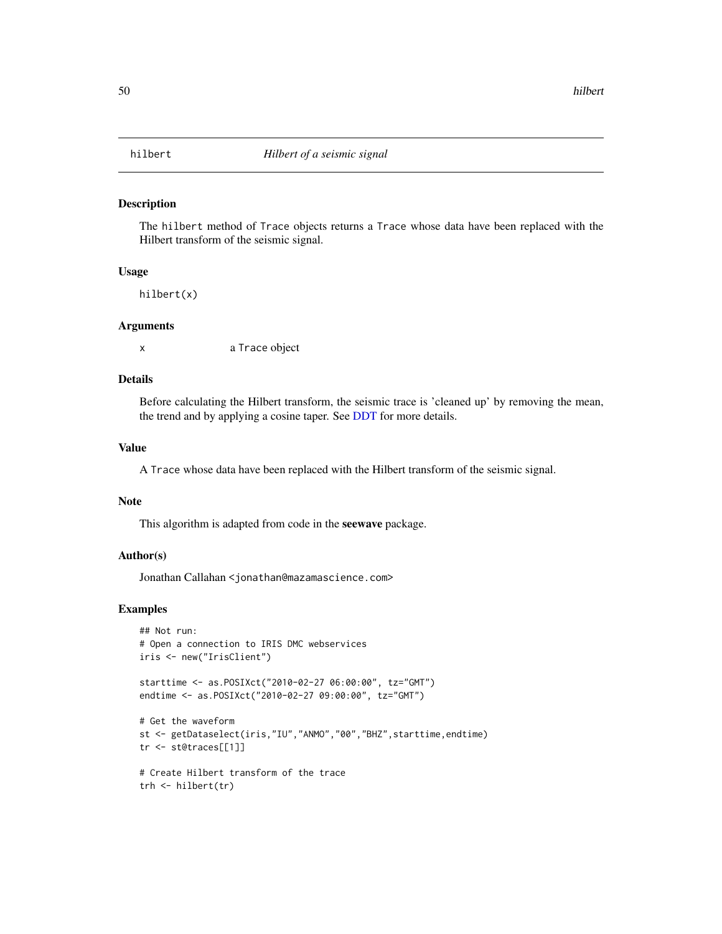#### Description

The hilbert method of Trace objects returns a Trace whose data have been replaced with the Hilbert transform of the seismic signal.

# Usage

hilbert(x)

#### Arguments

x a Trace object

## Details

Before calculating the Hilbert transform, the seismic trace is 'cleaned up' by removing the mean, the trend and by applying a cosine taper. See [DDT](#page-15-0) for more details.

# Value

A Trace whose data have been replaced with the Hilbert transform of the seismic signal.

#### Note

This algorithm is adapted from code in the seewave package.

# Author(s)

Jonathan Callahan <jonathan@mazamascience.com>

## Examples

```
## Not run:
# Open a connection to IRIS DMC webservices
iris <- new("IrisClient")
```

```
starttime <- as.POSIXct("2010-02-27 06:00:00", tz="GMT")
endtime <- as.POSIXct("2010-02-27 09:00:00", tz="GMT")
```

```
# Get the waveform
st <- getDataselect(iris,"IU","ANMO","00","BHZ",starttime,endtime)
tr <- st@traces[[1]]
```

```
# Create Hilbert transform of the trace
trh <- hilbert(tr)
```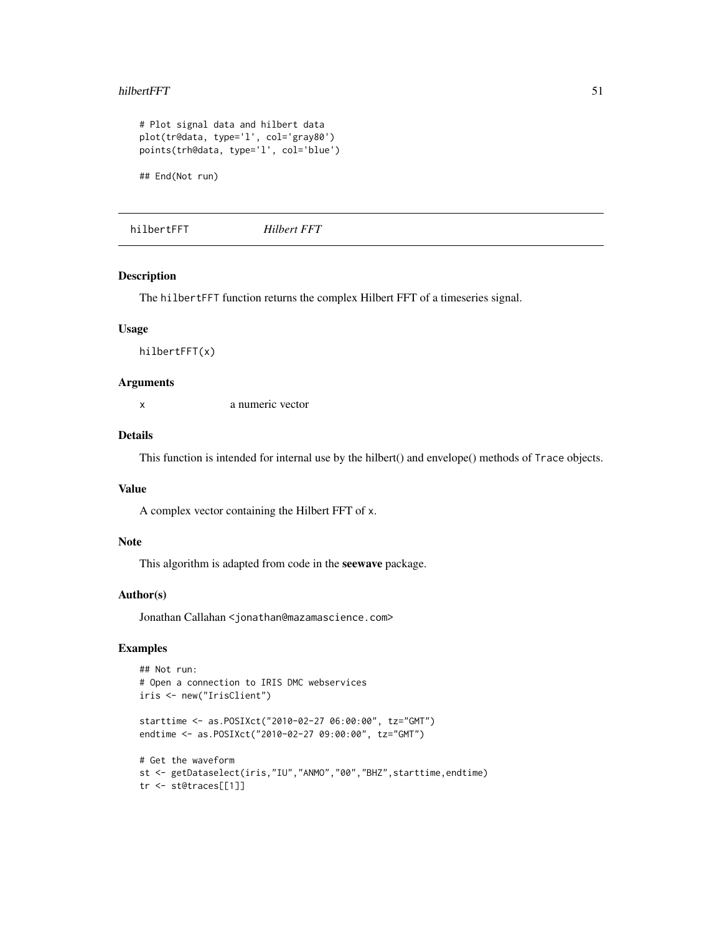#### hilbertFFT 51

```
# Plot signal data and hilbert data
plot(tr@data, type='l', col='gray80')
points(trh@data, type='l', col='blue')
## End(Not run)
```
hilbertFFT *Hilbert FFT*

## Description

The hilbertFFT function returns the complex Hilbert FFT of a timeseries signal.

## Usage

hilbertFFT(x)

# Arguments

x a numeric vector

## Details

This function is intended for internal use by the hilbert() and envelope() methods of Trace objects.

#### Value

A complex vector containing the Hilbert FFT of x.

## Note

This algorithm is adapted from code in the seewave package.

#### Author(s)

Jonathan Callahan <jonathan@mazamascience.com>

# Examples

```
## Not run:
# Open a connection to IRIS DMC webservices
iris <- new("IrisClient")
starttime <- as.POSIXct("2010-02-27 06:00:00", tz="GMT")
endtime <- as.POSIXct("2010-02-27 09:00:00", tz="GMT")
# Get the waveform
st <- getDataselect(iris,"IU","ANMO","00","BHZ",starttime,endtime)
tr <- st@traces[[1]]
```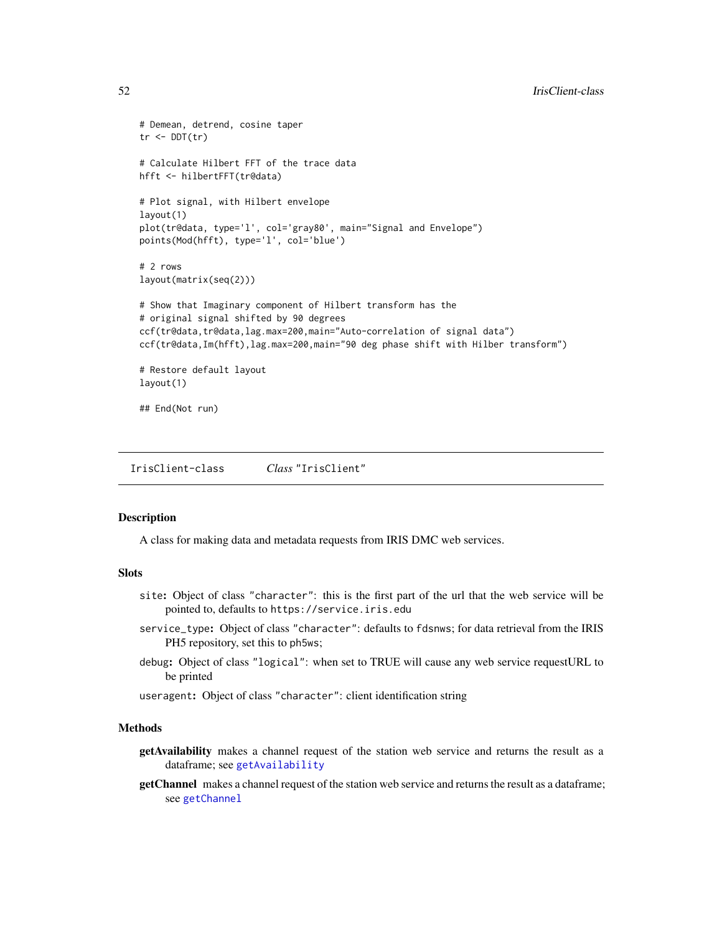```
# Demean, detrend, cosine taper
tr < DDT(tr)# Calculate Hilbert FFT of the trace data
hfft <- hilbertFFT(tr@data)
# Plot signal, with Hilbert envelope
layout(1)
plot(tr@data, type='l', col='gray80', main="Signal and Envelope")
points(Mod(hfft), type='l', col='blue')
# 2 rows
layout(matrix(seq(2)))
# Show that Imaginary component of Hilbert transform has the
# original signal shifted by 90 degrees
ccf(tr@data,tr@data,lag.max=200,main="Auto-correlation of signal data")
ccf(tr@data,Im(hfft),lag.max=200,main="90 deg phase shift with Hilber transform")
# Restore default layout
layout(1)
```

```
## End(Not run)
```
<span id="page-51-0"></span>IrisClient-class *Class* "IrisClient"

#### **Description**

A class for making data and metadata requests from IRIS DMC web services.

#### **Slots**

- site: Object of class "character": this is the first part of the url that the web service will be pointed to, defaults to https://service.iris.edu
- service\_type: Object of class "character": defaults to fdsnws; for data retrieval from the IRIS PH5 repository, set this to ph5ws;
- debug: Object of class "logical": when set to TRUE will cause any web service requestURL to be printed

useragent: Object of class "character": client identification string

#### Methods

- getAvailability makes a channel request of the station web service and returns the result as a dataframe; see [getAvailability](#page-20-0)
- getChannel makes a channel request of the station web service and returns the result as a dataframe; see [getChannel](#page-22-0)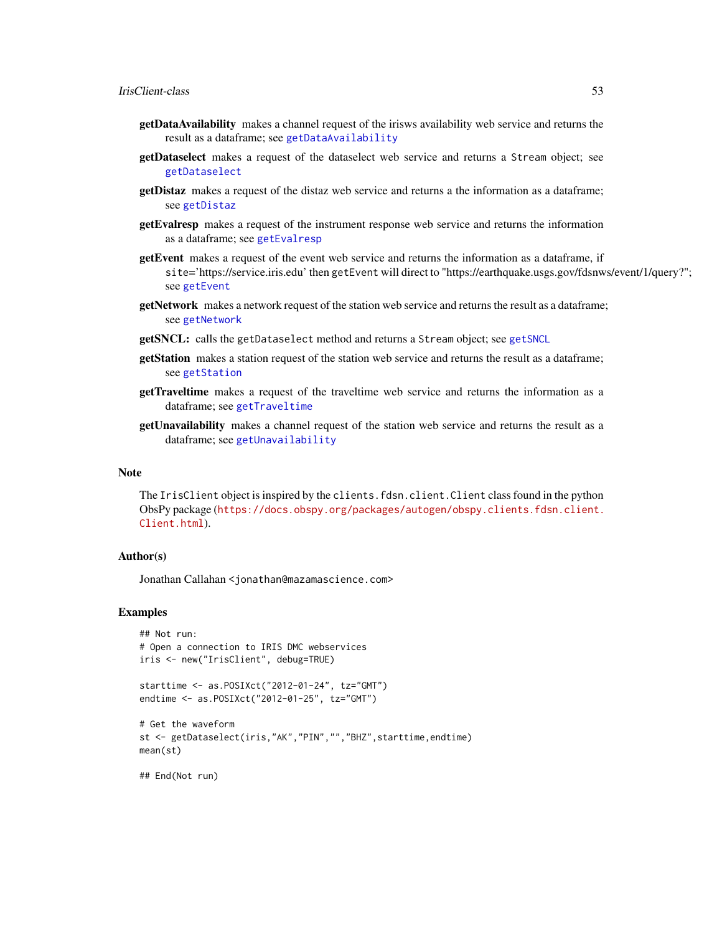- getDataAvailability makes a channel request of the irisws availability web service and returns the result as a dataframe; see [getDataAvailability](#page-24-0)
- getDataselect makes a request of the dataselect web service and returns a Stream object; see [getDataselect](#page-27-0)
- getDistaz makes a request of the distaz web service and returns a the information as a dataframe; see [getDistaz](#page-29-0)
- getEvalresp makes a request of the instrument response web service and returns the information as a dataframe; see [getEvalresp](#page-30-0)
- getEvent makes a request of the event web service and returns the information as a dataframe, if site='https://service.iris.edu' then getEvent will direct to "https://earthquake.usgs.gov/fdsnws/event/1/query?"; see [getEvent](#page-31-0)
- getNetwork makes a network request of the station web service and returns the result as a dataframe; see [getNetwork](#page-34-0)
- getSNCL: calls the getDataselect method and returns a Stream object; see [getSNCL](#page-38-0)
- getStation makes a station request of the station web service and returns the result as a dataframe; see [getStation](#page-39-0)
- getTraveltime makes a request of the traveltime web service and returns the information as a dataframe; see [getTraveltime](#page-43-0)
- getUnavailability makes a channel request of the station web service and returns the result as a dataframe; see [getUnavailability](#page-45-0)

#### Note

The IrisClient object is inspired by the clients.fdsn.client.Client class found in the python ObsPy package ([https://docs.obspy.org/packages/autogen/obspy.clients.fdsn.client.](https://docs.obspy.org/packages/autogen/obspy.clients.fdsn.client.Client.html) [Client.html](https://docs.obspy.org/packages/autogen/obspy.clients.fdsn.client.Client.html)).

## Author(s)

Jonathan Callahan <jonathan@mazamascience.com>

#### Examples

```
## Not run:
# Open a connection to IRIS DMC webservices
iris <- new("IrisClient", debug=TRUE)
```

```
starttime <- as.POSIXct("2012-01-24", tz="GMT")
endtime <- as.POSIXct("2012-01-25", tz="GMT")
```

```
# Get the waveform
st <- getDataselect(iris,"AK","PIN","","BHZ",starttime,endtime)
mean(st)
```
## End(Not run)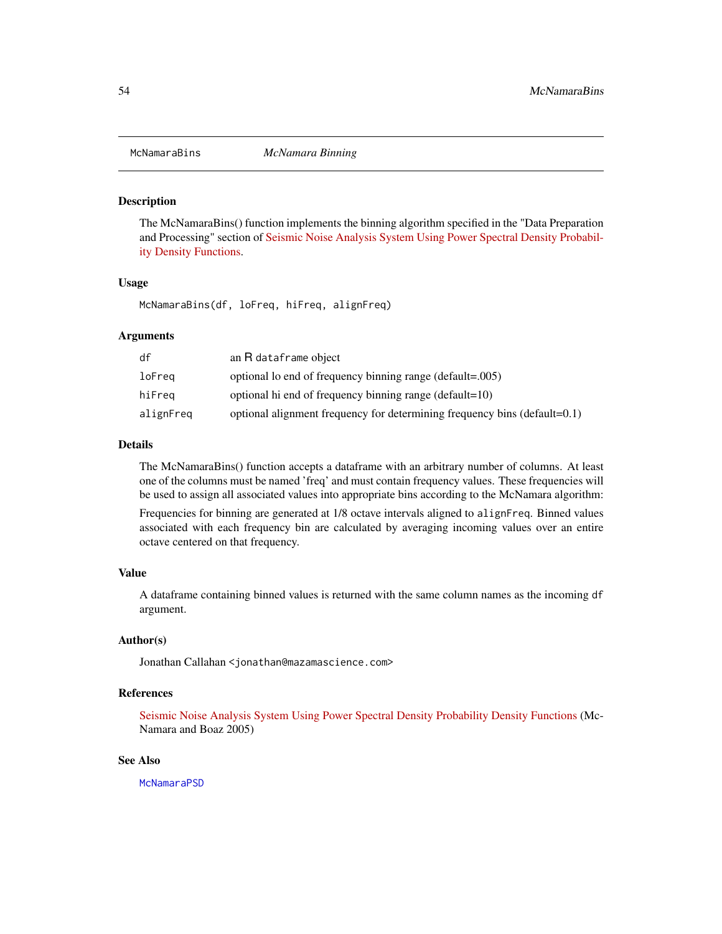<span id="page-53-0"></span>

## Description

The McNamaraBins() function implements the binning algorithm specified in the "Data Preparation and Processing" section of [Seismic Noise Analysis System Using Power Spectral Density Probabil](http://pubs.usgs.gov/of/2005/1438/pdf/OFR-1438.pdf)[ity Density Functions.](http://pubs.usgs.gov/of/2005/1438/pdf/OFR-1438.pdf)

#### Usage

McNamaraBins(df, loFreq, hiFreq, alignFreq)

#### Arguments

| df        | an R dataframe object                                                     |
|-----------|---------------------------------------------------------------------------|
| loFreq    | optional lo end of frequency binning range (default=.005)                 |
| hiFreq    | optional hi end of frequency binning range (default=10)                   |
| alignFreq | optional alignment frequency for determining frequency bins (default=0.1) |

#### Details

The McNamaraBins() function accepts a dataframe with an arbitrary number of columns. At least one of the columns must be named 'freq' and must contain frequency values. These frequencies will be used to assign all associated values into appropriate bins according to the McNamara algorithm:

Frequencies for binning are generated at 1/8 octave intervals aligned to alignFreq. Binned values associated with each frequency bin are calculated by averaging incoming values over an entire octave centered on that frequency.

#### Value

A dataframe containing binned values is returned with the same column names as the incoming df argument.

## Author(s)

Jonathan Callahan <jonathan@mazamascience.com>

# References

[Seismic Noise Analysis System Using Power Spectral Density Probability Density Functions](http://pubs.usgs.gov/of/2005/1438/pdf/OFR-1438.pdf) (Mc-Namara and Boaz 2005)

## See Also

**[McNamaraPSD](#page-54-0)**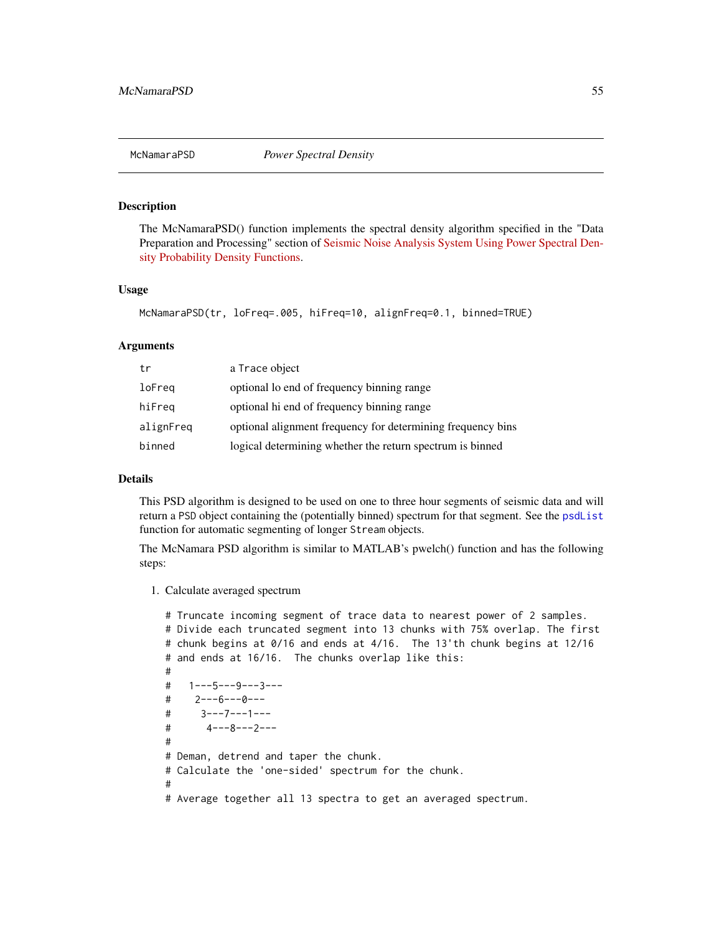<span id="page-54-0"></span>

## Description

The McNamaraPSD() function implements the spectral density algorithm specified in the "Data Preparation and Processing" section of [Seismic Noise Analysis System Using Power Spectral Den](http://pubs.usgs.gov/of/2005/1438/pdf/OFR-1438.pdf)[sity Probability Density Functions.](http://pubs.usgs.gov/of/2005/1438/pdf/OFR-1438.pdf)

#### Usage

```
McNamaraPSD(tr, loFreq=.005, hiFreq=10, alignFreq=0.1, binned=TRUE)
```
#### Arguments

| tr        | a Trace object                                              |
|-----------|-------------------------------------------------------------|
| loFreq    | optional lo end of frequency binning range                  |
| hiFreq    | optional hi end of frequency binning range                  |
| alignFreq | optional alignment frequency for determining frequency bins |
| binned    | logical determining whether the return spectrum is binned   |

#### Details

This PSD algorithm is designed to be used on one to three hour segments of seismic data and will return a PSD object containing the (potentially binned) spectrum for that segment. See the [psdList](#page-64-0) function for automatic segmenting of longer Stream objects.

The McNamara PSD algorithm is similar to MATLAB's pwelch() function and has the following steps:

1. Calculate averaged spectrum

```
# Truncate incoming segment of trace data to nearest power of 2 samples.
# Divide each truncated segment into 13 chunks with 75% overlap. The first
# chunk begins at 0/16 and ends at 4/16. The 13'th chunk begins at 12/16
# and ends at 16/16. The chunks overlap like this:
#
# 1---5---9---3---
# 2---6---0---
# 3---7---1---
# 4---8---2---
#
# Deman, detrend and taper the chunk.
# Calculate the 'one-sided' spectrum for the chunk.
#
# Average together all 13 spectra to get an averaged spectrum.
```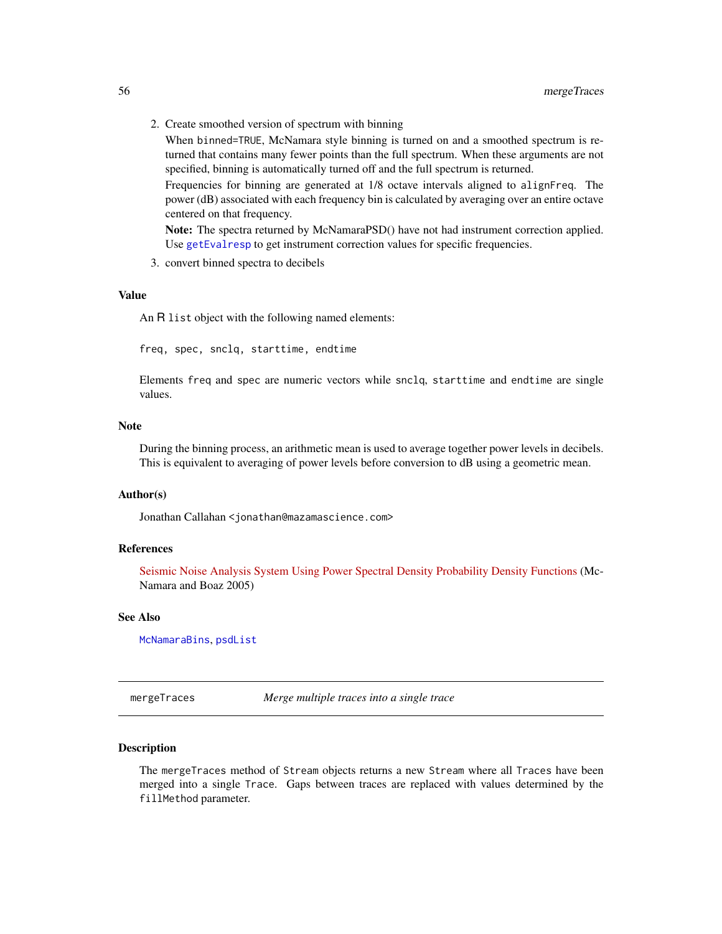2. Create smoothed version of spectrum with binning

When binned=TRUE, McNamara style binning is turned on and a smoothed spectrum is returned that contains many fewer points than the full spectrum. When these arguments are not specified, binning is automatically turned off and the full spectrum is returned.

Frequencies for binning are generated at 1/8 octave intervals aligned to alignFreq. The power (dB) associated with each frequency bin is calculated by averaging over an entire octave centered on that frequency.

Note: The spectra returned by McNamaraPSD() have not had instrument correction applied. Use [getEvalresp](#page-30-0) to get instrument correction values for specific frequencies.

3. convert binned spectra to decibels

## Value

An R list object with the following named elements:

freq, spec, snclq, starttime, endtime

Elements freq and spec are numeric vectors while snclq, starttime and endtime are single values.

## **Note**

During the binning process, an arithmetic mean is used to average together power levels in decibels. This is equivalent to averaging of power levels before conversion to dB using a geometric mean.

#### Author(s)

Jonathan Callahan <jonathan@mazamascience.com>

#### References

[Seismic Noise Analysis System Using Power Spectral Density Probability Density Functions](http://pubs.usgs.gov/of/2005/1438/pdf/OFR-1438.pdf) (Mc-Namara and Boaz 2005)

# See Also

[McNamaraBins](#page-53-0), [psdList](#page-64-0)

mergeTraces *Merge multiple traces into a single trace*

## Description

The mergeTraces method of Stream objects returns a new Stream where all Traces have been merged into a single Trace. Gaps between traces are replaced with values determined by the fillMethod parameter.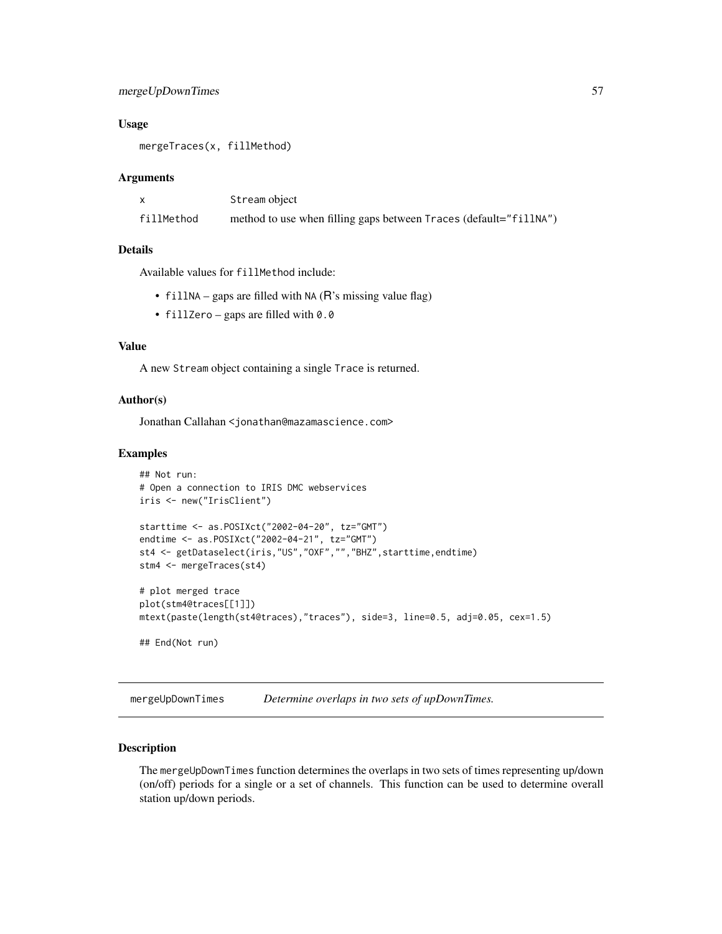# mergeUpDownTimes 57

#### Usage

mergeTraces(x, fillMethod)

#### Arguments

|            | Stream object                                                     |
|------------|-------------------------------------------------------------------|
| fillMethod | method to use when filling gaps between Traces (default="fillNA") |

## Details

Available values for fillMethod include:

- fillNA gaps are filled with NA ( $\overline{R}$ 's missing value flag)
- fillZero gaps are filled with 0.0

# Value

A new Stream object containing a single Trace is returned.

## Author(s)

Jonathan Callahan <jonathan@mazamascience.com>

#### Examples

```
## Not run:
# Open a connection to IRIS DMC webservices
iris <- new("IrisClient")
starttime <- as.POSIXct("2002-04-20", tz="GMT")
endtime <- as.POSIXct("2002-04-21", tz="GMT")
st4 <- getDataselect(iris,"US","OXF","","BHZ",starttime,endtime)
stm4 <- mergeTraces(st4)
# plot merged trace
plot(stm4@traces[[1]])
mtext(paste(length(st4@traces),"traces"), side=3, line=0.5, adj=0.05, cex=1.5)
## End(Not run)
```
mergeUpDownTimes *Determine overlaps in two sets of upDownTimes.*

## Description

The mergeUpDownTimes function determines the overlaps in two sets of times representing up/down (on/off) periods for a single or a set of channels. This function can be used to determine overall station up/down periods.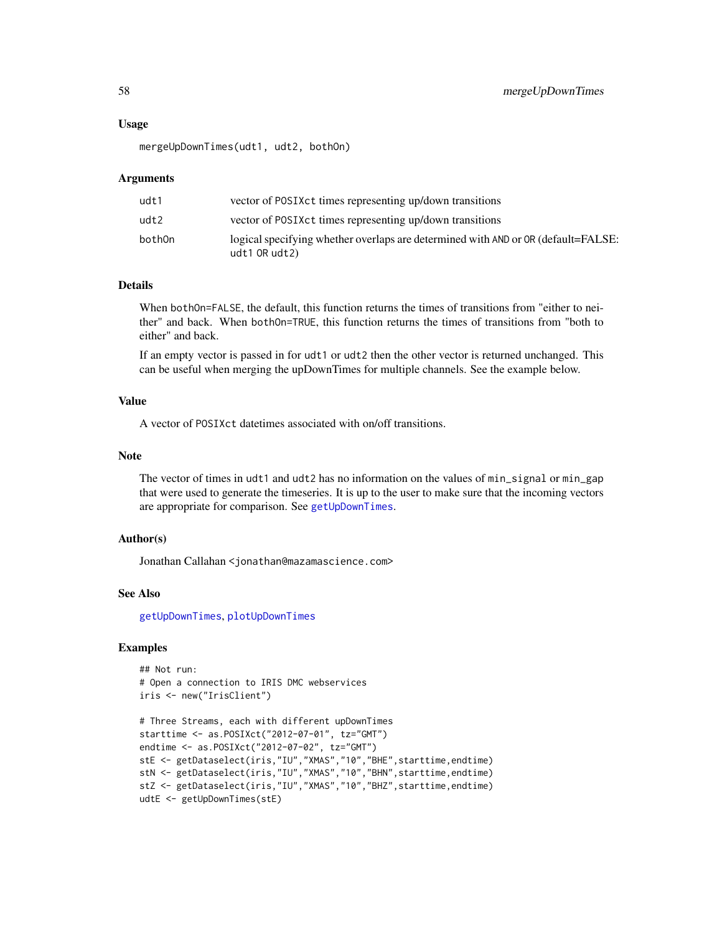## Usage

mergeUpDownTimes(udt1, udt2, bothOn)

#### Arguments

| udt1    | vector of POSIX ct times representing up/down transitions                                            |
|---------|------------------------------------------------------------------------------------------------------|
| udt2    | vector of POSIX ct times representing up/down transitions                                            |
| bothOn. | logical specifying whether overlaps are determined with AND or OR (default=FALSE:<br>udt1 $OR$ udt2) |

# Details

When bothOn=FALSE, the default, this function returns the times of transitions from "either to neither" and back. When bothOn=TRUE, this function returns the times of transitions from "both to either" and back.

If an empty vector is passed in for udt1 or udt2 then the other vector is returned unchanged. This can be useful when merging the upDownTimes for multiple channels. See the example below.

#### Value

A vector of POSIXct datetimes associated with on/off transitions.

## Note

The vector of times in udt1 and udt2 has no information on the values of min\_signal or min\_gap that were used to generate the timeseries. It is up to the user to make sure that the incoming vectors are appropriate for comparison. See [getUpDownTimes](#page-47-0).

## Author(s)

Jonathan Callahan <jonathan@mazamascience.com>

#### See Also

[getUpDownTimes](#page-47-0), [plotUpDownTimes](#page-79-0)

# Examples

```
## Not run:
# Open a connection to IRIS DMC webservices
iris <- new("IrisClient")
```

```
# Three Streams, each with different upDownTimes
starttime <- as.POSIXct("2012-07-01", tz="GMT")
endtime <- as.POSIXct("2012-07-02", tz="GMT")
stE <- getDataselect(iris,"IU","XMAS","10","BHE",starttime,endtime)
stN <- getDataselect(iris,"IU","XMAS","10","BHN",starttime,endtime)
stZ <- getDataselect(iris,"IU","XMAS","10","BHZ",starttime,endtime)
udtE <- getUpDownTimes(stE)
```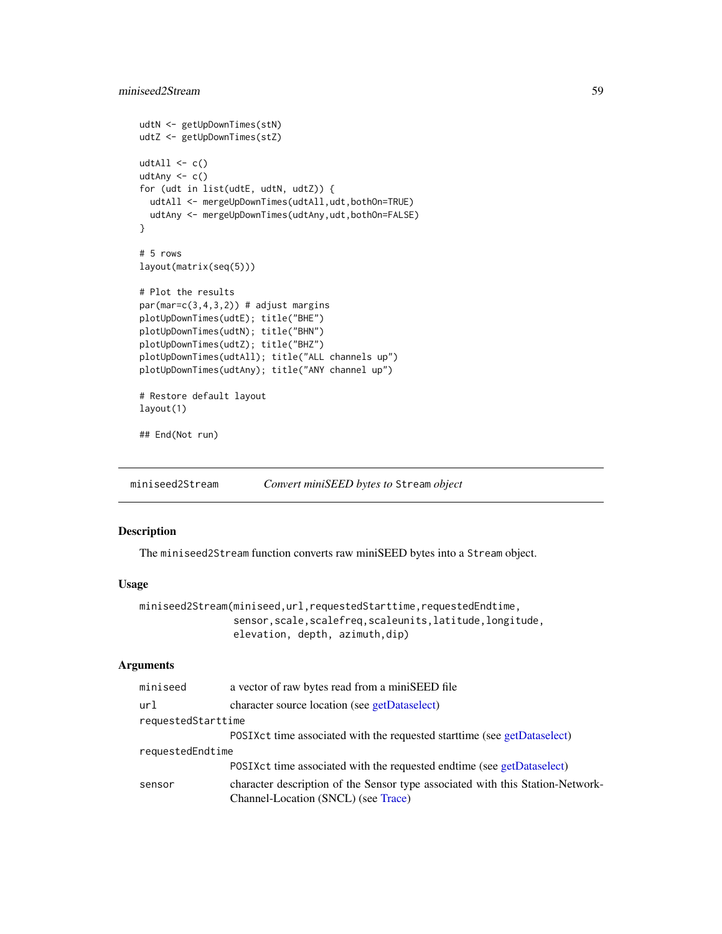```
udtN <- getUpDownTimes(stN)
udtZ <- getUpDownTimes(stZ)
udtAll \leftarrow c()
udtAny <- c()
for (udt in list(udtE, udtN, udtZ)) {
 udtAll <- mergeUpDownTimes(udtAll,udt,bothOn=TRUE)
  udtAny <- mergeUpDownTimes(udtAny,udt,bothOn=FALSE)
}
# 5 rows
layout(matrix(seq(5)))
# Plot the results
par(max=c(3,4,3,2)) # adjust margins
plotUpDownTimes(udtE); title("BHE")
plotUpDownTimes(udtN); title("BHN")
plotUpDownTimes(udtZ); title("BHZ")
plotUpDownTimes(udtAll); title("ALL channels up")
plotUpDownTimes(udtAny); title("ANY channel up")
# Restore default layout
layout(1)
## End(Not run)
```
<span id="page-58-0"></span>miniseed2Stream *Convert miniSEED bytes to* Stream *object*

# Description

The miniseed2Stream function converts raw miniSEED bytes into a Stream object.

# Usage

```
miniseed2Stream(miniseed,url,requestedStarttime,requestedEndtime,
                sensor,scale,scalefreq,scaleunits,latitude,longitude,
                elevation, depth, azimuth,dip)
```

| miniseed           | a vector of raw bytes read from a miniSEED file                                |
|--------------------|--------------------------------------------------------------------------------|
| url                | character source location (see getDataselect)                                  |
| requestedStarttime |                                                                                |
|                    | POSIX ct time associated with the requested start time (see getDataselect)     |
| requestedEndtime   |                                                                                |
|                    | POSIX ct time associated with the requested endtime (see getDataselect)        |
| sensor             | character description of the Sensor type associated with this Station-Network- |
|                    | Channel-Location (SNCL) (see Trace)                                            |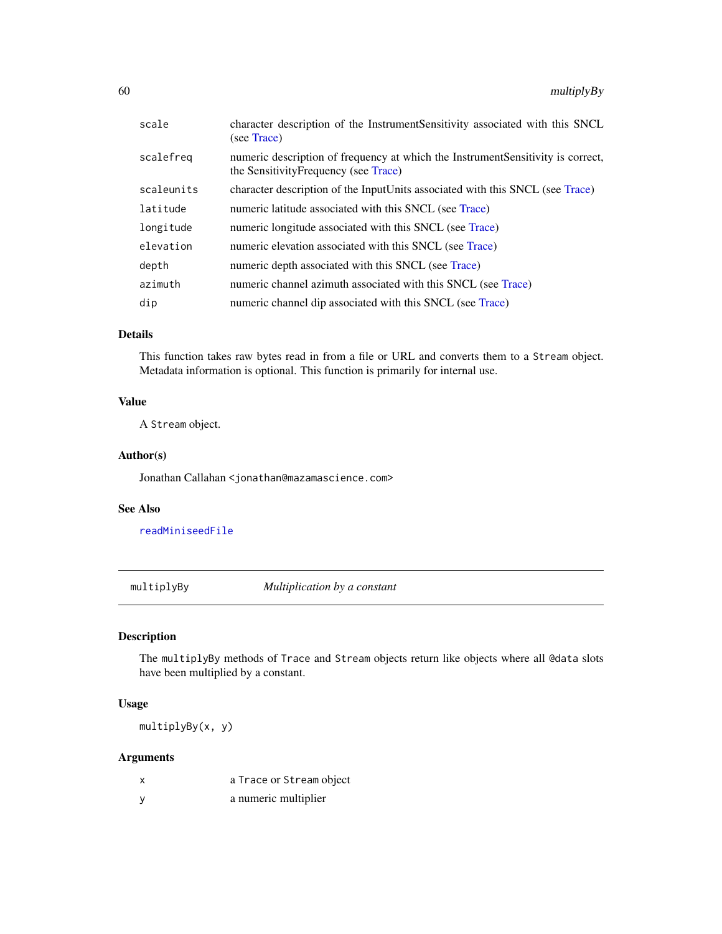| scale      | character description of the InstrumentSensitivity associated with this SNCL<br>(see Trace)                              |
|------------|--------------------------------------------------------------------------------------------------------------------------|
| scalefreg  | numeric description of frequency at which the InstrumentSensitivity is correct,<br>the Sensitivity Frequency (see Trace) |
| scaleunits | character description of the InputUnits associated with this SNCL (see Trace)                                            |
| latitude   | numeric latitude associated with this SNCL (see Trace)                                                                   |
| longitude  | numeric longitude associated with this SNCL (see Trace)                                                                  |
| elevation  | numeric elevation associated with this SNCL (see Trace)                                                                  |
| depth      | numeric depth associated with this SNCL (see Trace)                                                                      |
| azimuth    | numeric channel azimuth associated with this SNCL (see Trace)                                                            |
| dip        | numeric channel dip associated with this SNCL (see Trace)                                                                |
|            |                                                                                                                          |

## Details

This function takes raw bytes read in from a file or URL and converts them to a Stream object. Metadata information is optional. This function is primarily for internal use.

# Value

A Stream object.

## Author(s)

Jonathan Callahan <jonathan@mazamascience.com>

# See Also

[readMiniseedFile](#page-70-0)

multiplyBy *Multiplication by a constant*

# Description

The multiplyBy methods of Trace and Stream objects return like objects where all @data slots have been multiplied by a constant.

## Usage

multiplyBy(x, y)

| a Trace or Stream object |
|--------------------------|
| a numeric multiplier     |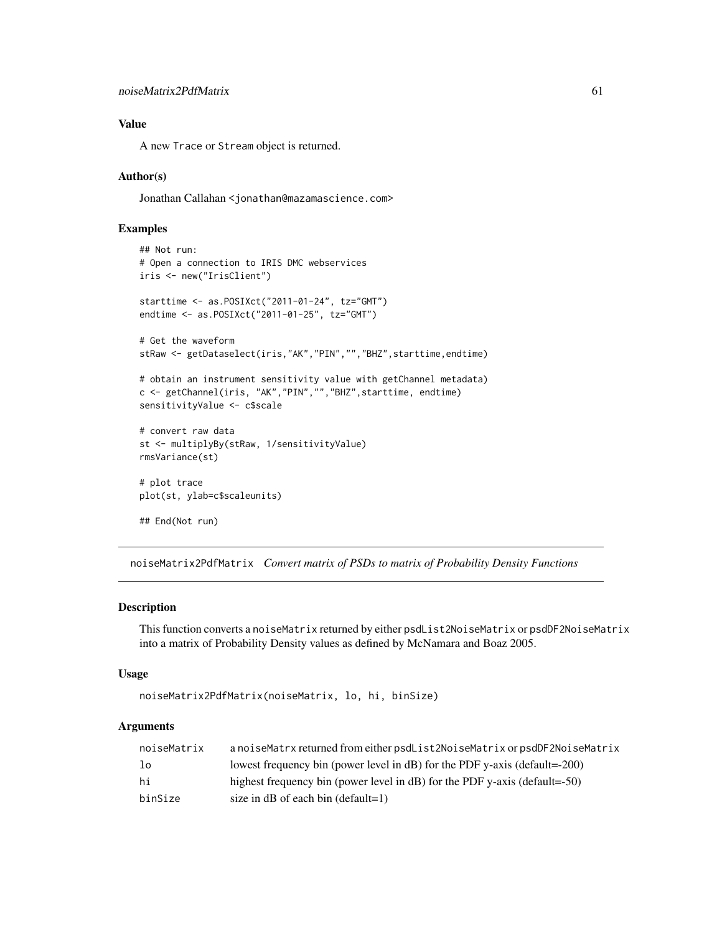## Value

A new Trace or Stream object is returned.

## Author(s)

Jonathan Callahan <jonathan@mazamascience.com>

## Examples

```
## Not run:
# Open a connection to IRIS DMC webservices
iris <- new("IrisClient")
starttime <- as.POSIXct("2011-01-24", tz="GMT")
endtime <- as.POSIXct("2011-01-25", tz="GMT")
# Get the waveform
stRaw <- getDataselect(iris,"AK","PIN","","BHZ",starttime,endtime)
# obtain an instrument sensitivity value with getChannel metadata)
c <- getChannel(iris, "AK","PIN","","BHZ",starttime, endtime)
sensitivityValue <- c$scale
# convert raw data
st <- multiplyBy(stRaw, 1/sensitivityValue)
rmsVariance(st)
# plot trace
plot(st, ylab=c$scaleunits)
## End(Not run)
```
noiseMatrix2PdfMatrix *Convert matrix of PSDs to matrix of Probability Density Functions*

#### Description

This function converts a noiseMatrix returned by either psdList2NoiseMatrix or psdDF2NoiseMatrix into a matrix of Probability Density values as defined by McNamara and Boaz 2005.

## Usage

```
noiseMatrix2PdfMatrix(noiseMatrix, lo, hi, binSize)
```

| noiseMatrix | a noiseMatrx returned from either psdList2NoiseMatrix or psdDF2NoiseMatrix    |
|-------------|-------------------------------------------------------------------------------|
| lo          | lowest frequency bin (power level in $dB$ ) for the PDF y-axis (default=-200) |
| hi          | highest frequency bin (power level in dB) for the PDF y-axis (default=-50)    |
| binSize     | size in $dB$ of each bin (default=1)                                          |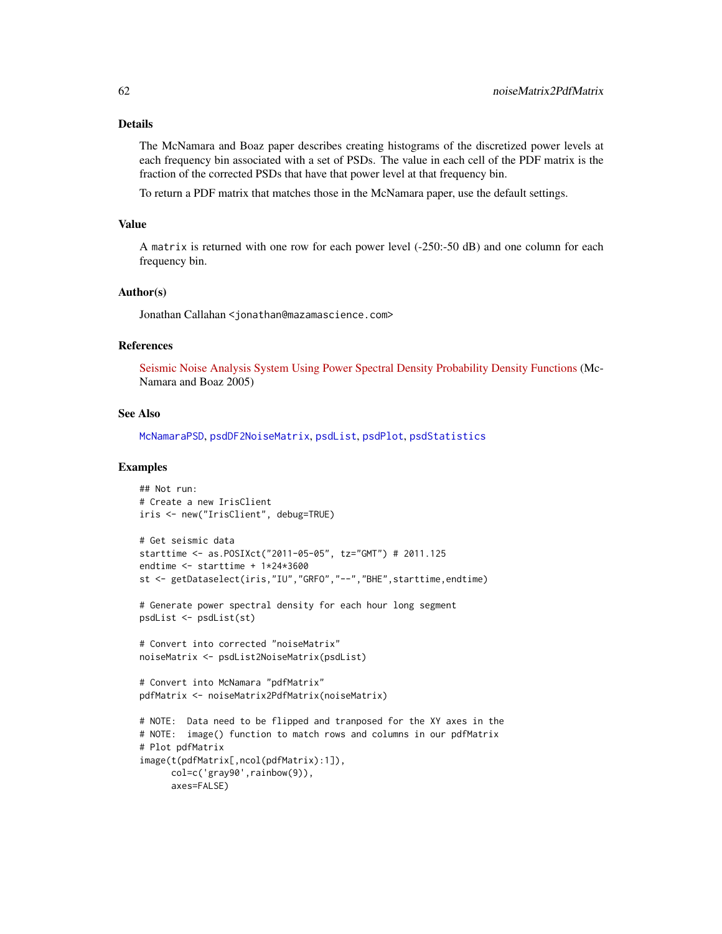#### Details

The McNamara and Boaz paper describes creating histograms of the discretized power levels at each frequency bin associated with a set of PSDs. The value in each cell of the PDF matrix is the fraction of the corrected PSDs that have that power level at that frequency bin.

To return a PDF matrix that matches those in the McNamara paper, use the default settings.

#### Value

A matrix is returned with one row for each power level (-250:-50 dB) and one column for each frequency bin.

#### Author(s)

Jonathan Callahan <jonathan@mazamascience.com>

## References

[Seismic Noise Analysis System Using Power Spectral Density Probability Density Functions](http://pubs.usgs.gov/of/2005/1438/pdf/OFR-1438.pdf) (Mc-Namara and Boaz 2005)

#### See Also

[McNamaraPSD](#page-54-0), [psdDF2NoiseMatrix](#page-63-0), [psdList](#page-64-0), [psdPlot](#page-67-0), [psdStatistics](#page-69-0)

#### Examples

```
## Not run:
# Create a new IrisClient
iris <- new("IrisClient", debug=TRUE)
```

```
# Get seismic data
starttime <- as.POSIXct("2011-05-05", tz="GMT") # 2011.125
endtime <- starttime + 1*24*3600
st <- getDataselect(iris,"IU","GRFO","--","BHE",starttime,endtime)
```

```
# Generate power spectral density for each hour long segment
psdList <- psdList(st)
```

```
# Convert into corrected "noiseMatrix"
noiseMatrix <- psdList2NoiseMatrix(psdList)
```

```
# Convert into McNamara "pdfMatrix"
pdfMatrix <- noiseMatrix2PdfMatrix(noiseMatrix)
```

```
# NOTE: Data need to be flipped and tranposed for the XY axes in the
# NOTE: image() function to match rows and columns in our pdfMatrix
# Plot pdfMatrix
image(t(pdfMatrix[,ncol(pdfMatrix):1]),
     col=c('gray90',rainbow(9)),
     axes=FALSE)
```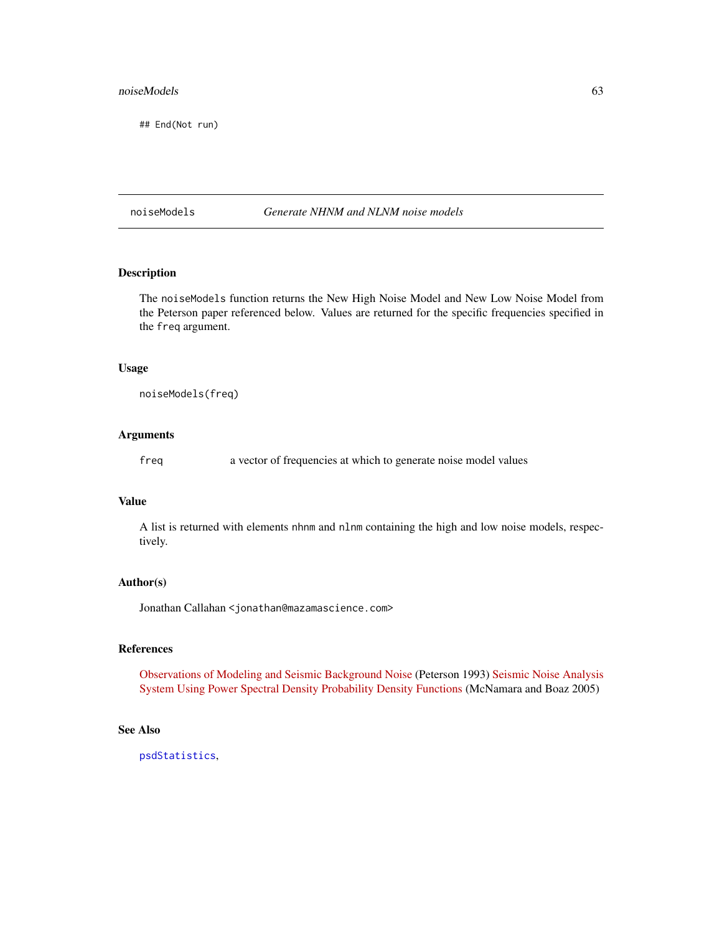#### noiseModels 63

## End(Not run)

noiseModels *Generate NHNM and NLNM noise models*

# Description

The noiseModels function returns the New High Noise Model and New Low Noise Model from the Peterson paper referenced below. Values are returned for the specific frequencies specified in the freq argument.

## Usage

noiseModels(freq)

## Arguments

freq a vector of frequencies at which to generate noise model values

## Value

A list is returned with elements nhnm and nlnm containing the high and low noise models, respectively.

## Author(s)

Jonathan Callahan <jonathan@mazamascience.com>

# References

[Observations of Modeling and Seismic Background Noise](https://pubs.er.usgs.gov/publication/ofr93322) (Peterson 1993) [Seismic Noise Analysis](https://pubs.usgs.gov/of/2005/1438/pdf/OFR-1438.pdf) [System Using Power Spectral Density Probability Density Functions](https://pubs.usgs.gov/of/2005/1438/pdf/OFR-1438.pdf) (McNamara and Boaz 2005)

# See Also

[psdStatistics](#page-69-0),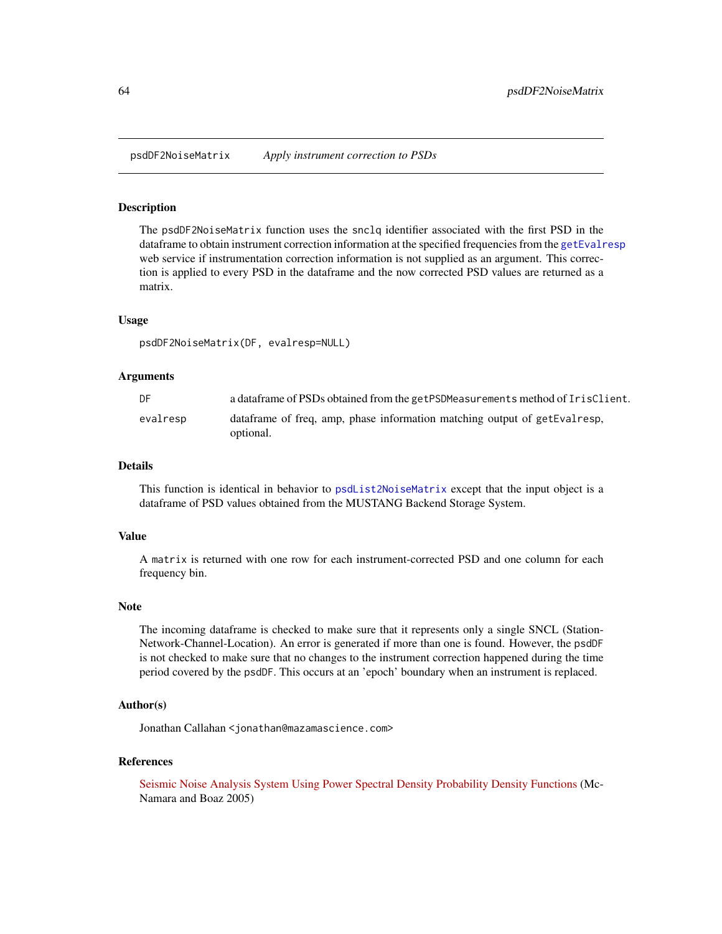<span id="page-63-0"></span>psdDF2NoiseMatrix *Apply instrument correction to PSDs*

# Description

The psdDF2NoiseMatrix function uses the snclq identifier associated with the first PSD in the dataframe to obtain instrument correction information at the specified frequencies from the [getEvalresp](#page-30-0) web service if instrumentation correction information is not supplied as an argument. This correction is applied to every PSD in the dataframe and the now corrected PSD values are returned as a matrix.

#### Usage

psdDF2NoiseMatrix(DF, evalresp=NULL)

## Arguments

| DF.      | a data frame of PSDs obtained from the getPSDMeasurements method of IrisClient.         |
|----------|-----------------------------------------------------------------------------------------|
| evalresp | data frame of freq, amp, phase information matching output of getEvalresp,<br>optional. |

#### Details

This function is identical in behavior to [psdList2NoiseMatrix](#page-66-0) except that the input object is a dataframe of PSD values obtained from the MUSTANG Backend Storage System.

#### Value

A matrix is returned with one row for each instrument-corrected PSD and one column for each frequency bin.

#### Note

The incoming dataframe is checked to make sure that it represents only a single SNCL (Station-Network-Channel-Location). An error is generated if more than one is found. However, the psdDF is not checked to make sure that no changes to the instrument correction happened during the time period covered by the psdDF. This occurs at an 'epoch' boundary when an instrument is replaced.

## Author(s)

Jonathan Callahan <jonathan@mazamascience.com>

#### References

[Seismic Noise Analysis System Using Power Spectral Density Probability Density Functions](http://pubs.usgs.gov/of/2005/1438/pdf/OFR-1438.pdf) (Mc-Namara and Boaz 2005)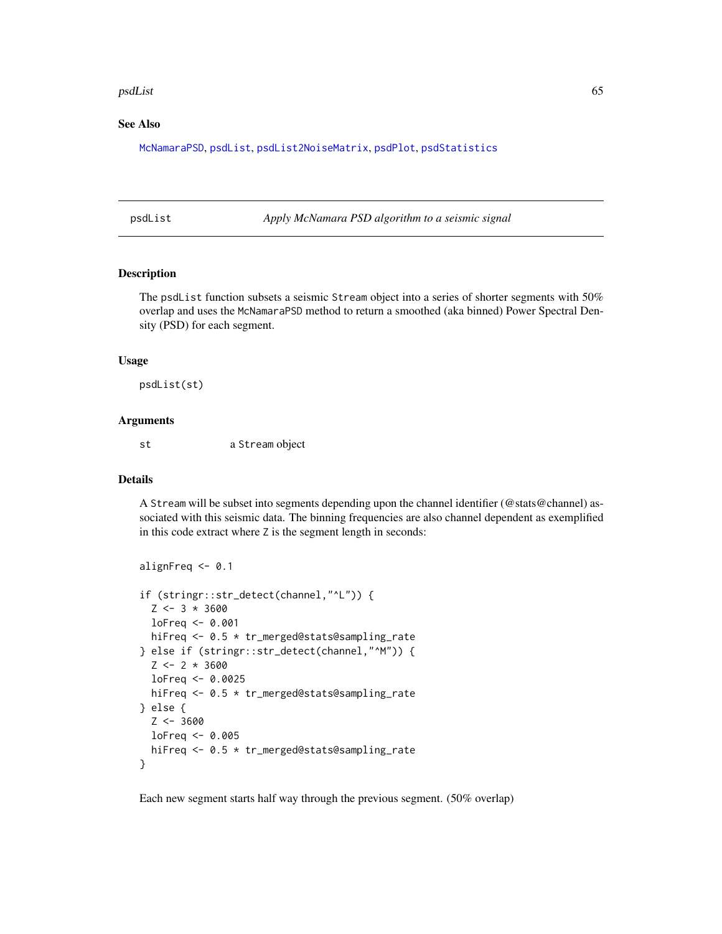#### psdList 65

## See Also

[McNamaraPSD](#page-54-0), [psdList](#page-64-0), [psdList2NoiseMatrix](#page-66-0), [psdPlot](#page-67-0), [psdStatistics](#page-69-0)

<span id="page-64-0"></span>psdList *Apply McNamara PSD algorithm to a seismic signal*

#### Description

The psdList function subsets a seismic Stream object into a series of shorter segments with 50% overlap and uses the McNamaraPSD method to return a smoothed (aka binned) Power Spectral Density (PSD) for each segment.

#### Usage

psdList(st)

# Arguments

st a Stream object

## Details

A Stream will be subset into segments depending upon the channel identifier (@stats@channel) associated with this seismic data. The binning frequencies are also channel dependent as exemplified in this code extract where Z is the segment length in seconds:

```
alignFreq <- 0.1
if (stringr::str_detect(channel,"^L")) {
  Z \leftarrow 3 * 3600loFreq <- 0.001
 hiFreq <- 0.5 * tr_merged@stats@sampling_rate
} else if (stringr::str_detect(channel,"^M")) {
  Z \leftarrow 2 * 3600loFreq <- 0.0025
 hiFreq <- 0.5 * tr_merged@stats@sampling_rate
} else {
  Z <- 3600
 loFreq <- 0.005
 hiFreq <- 0.5 * tr_merged@stats@sampling_rate
}
```
Each new segment starts half way through the previous segment. (50% overlap)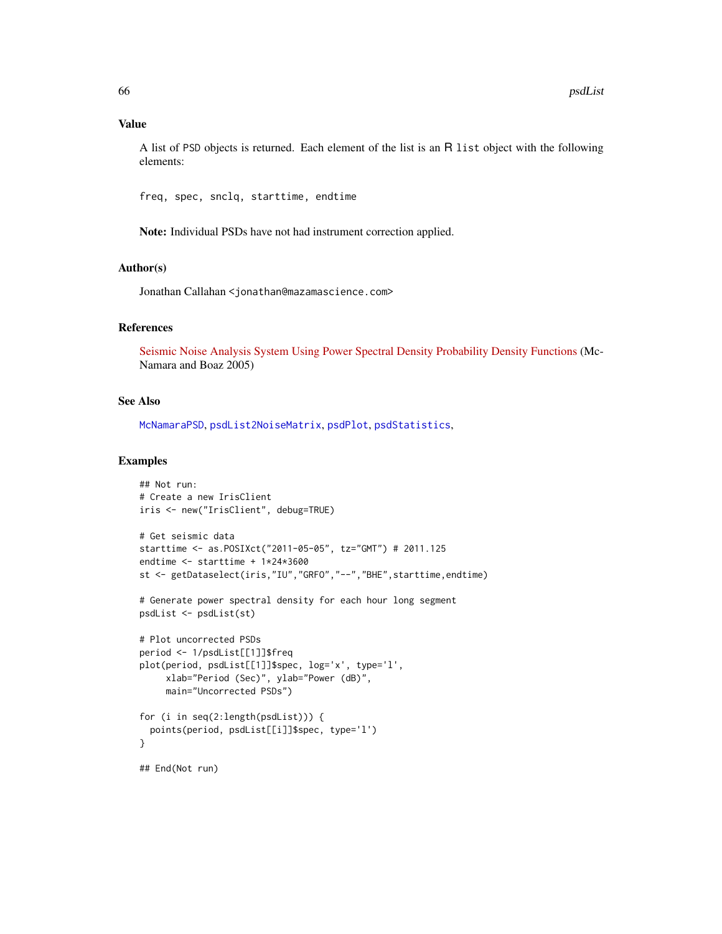## Value

A list of PSD objects is returned. Each element of the list is an R list object with the following elements:

freq, spec, snclq, starttime, endtime

Note: Individual PSDs have not had instrument correction applied.

## Author(s)

Jonathan Callahan <jonathan@mazamascience.com>

# References

[Seismic Noise Analysis System Using Power Spectral Density Probability Density Functions](http://pubs.usgs.gov/of/2005/1438/pdf/OFR-1438.pdf) (Mc-Namara and Boaz 2005)

## See Also

[McNamaraPSD](#page-54-0), [psdList2NoiseMatrix](#page-66-0), [psdPlot](#page-67-0), [psdStatistics](#page-69-0),

## Examples

```
## Not run:
# Create a new IrisClient
iris <- new("IrisClient", debug=TRUE)
# Get seismic data
starttime <- as.POSIXct("2011-05-05", tz="GMT") # 2011.125
endtime <- starttime + 1*24*3600
st <- getDataselect(iris,"IU","GRFO","--","BHE",starttime,endtime)
# Generate power spectral density for each hour long segment
psdList <- psdList(st)
# Plot uncorrected PSDs
period <- 1/psdList[[1]]$freq
plot(period, psdList[[1]]$spec, log='x', type='l',
     xlab="Period (Sec)", ylab="Power (dB)",
     main="Uncorrected PSDs")
for (i in seq(2:length(psdList))) {
  points(period, psdList[[i]]$spec, type='l')
}
## End(Not run)
```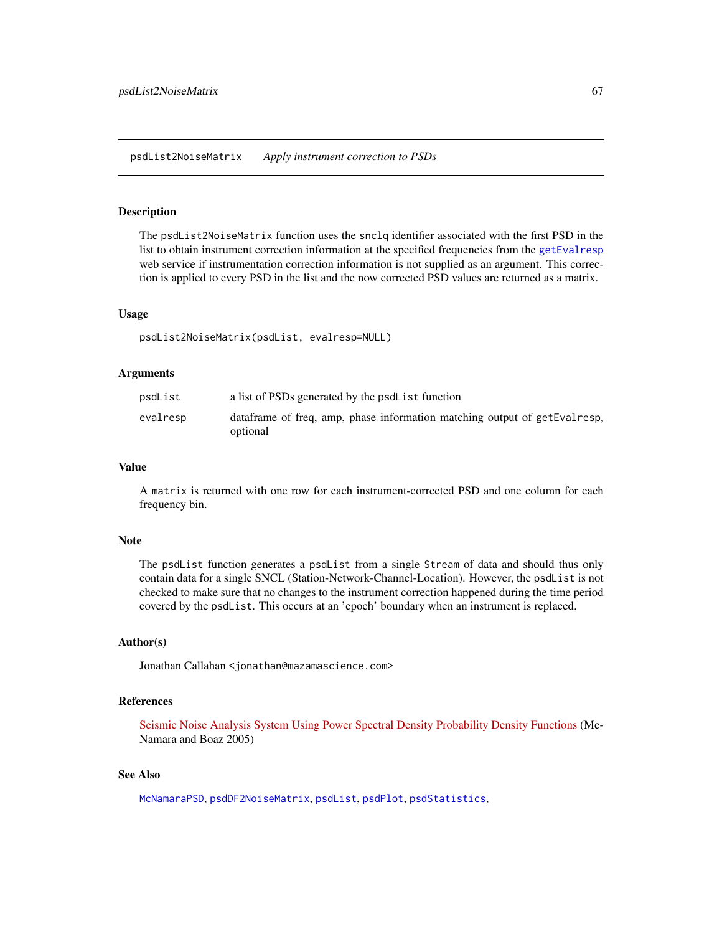<span id="page-66-0"></span>psdList2NoiseMatrix *Apply instrument correction to PSDs*

## Description

The psdList2NoiseMatrix function uses the snclq identifier associated with the first PSD in the list to obtain instrument correction information at the specified frequencies from the [getEvalresp](#page-30-0) web service if instrumentation correction information is not supplied as an argument. This correction is applied to every PSD in the list and the now corrected PSD values are returned as a matrix.

#### Usage

psdList2NoiseMatrix(psdList, evalresp=NULL)

#### Arguments

| psdList  | a list of PSDs generated by the psdL ist function                                      |
|----------|----------------------------------------------------------------------------------------|
| evalresp | data frame of freq, amp, phase information matching output of getEvalresp,<br>optional |

#### Value

A matrix is returned with one row for each instrument-corrected PSD and one column for each frequency bin.

# Note

The psdList function generates a psdList from a single Stream of data and should thus only contain data for a single SNCL (Station-Network-Channel-Location). However, the psdList is not checked to make sure that no changes to the instrument correction happened during the time period covered by the psdList. This occurs at an 'epoch' boundary when an instrument is replaced.

## Author(s)

Jonathan Callahan <jonathan@mazamascience.com>

# References

[Seismic Noise Analysis System Using Power Spectral Density Probability Density Functions](http://pubs.usgs.gov/of/2005/1438/pdf/OFR-1438.pdf) (Mc-Namara and Boaz 2005)

## See Also

[McNamaraPSD](#page-54-0), [psdDF2NoiseMatrix](#page-63-0), [psdList](#page-64-0), [psdPlot](#page-67-0), [psdStatistics](#page-69-0),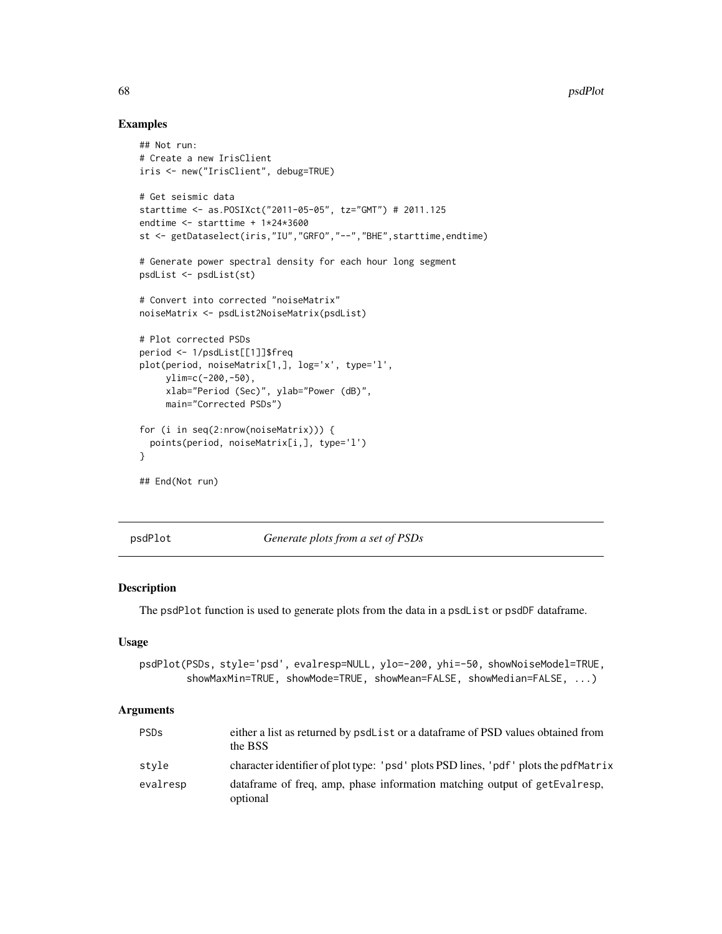## Examples

```
## Not run:
# Create a new IrisClient
iris <- new("IrisClient", debug=TRUE)
# Get seismic data
starttime <- as.POSIXct("2011-05-05", tz="GMT") # 2011.125
endtime <- starttime + 1*24*3600
st <- getDataselect(iris,"IU","GRFO","--","BHE",starttime,endtime)
# Generate power spectral density for each hour long segment
psdList <- psdList(st)
# Convert into corrected "noiseMatrix"
noiseMatrix <- psdList2NoiseMatrix(psdList)
# Plot corrected PSDs
period <- 1/psdList[[1]]$freq
plot(period, noiseMatrix[1,], log='x', type='l',
     ylim=c(-200,-50),
     xlab="Period (Sec)", ylab="Power (dB)",
    main="Corrected PSDs")
for (i in seq(2:nrow(noiseMatrix))) {
  points(period, noiseMatrix[i,], type='l')
}
## End(Not run)
```
<span id="page-67-0"></span>

psdPlot *Generate plots from a set of PSDs*

## Description

The psdP1ot function is used to generate plots from the data in a psdList or psdDF dataframe.

## Usage

```
psdPlot(PSDs, style='psd', evalresp=NULL, ylo=-200, yhi=-50, showNoiseModel=TRUE,
        showMaxMin=TRUE, showMode=TRUE, showMean=FALSE, showMedian=FALSE, ...)
```

| <b>PSDs</b> | either a list as returned by psdList or a dataframe of PSD values obtained from<br>the BSS |
|-------------|--------------------------------------------------------------------------------------------|
| stvle       | character identifier of plot type: 'psd' plots PSD lines, 'pdf' plots the pdfMatrix        |
| evalresp    | data frame of freq, amp, phase information matching output of get Eval resp.<br>optional   |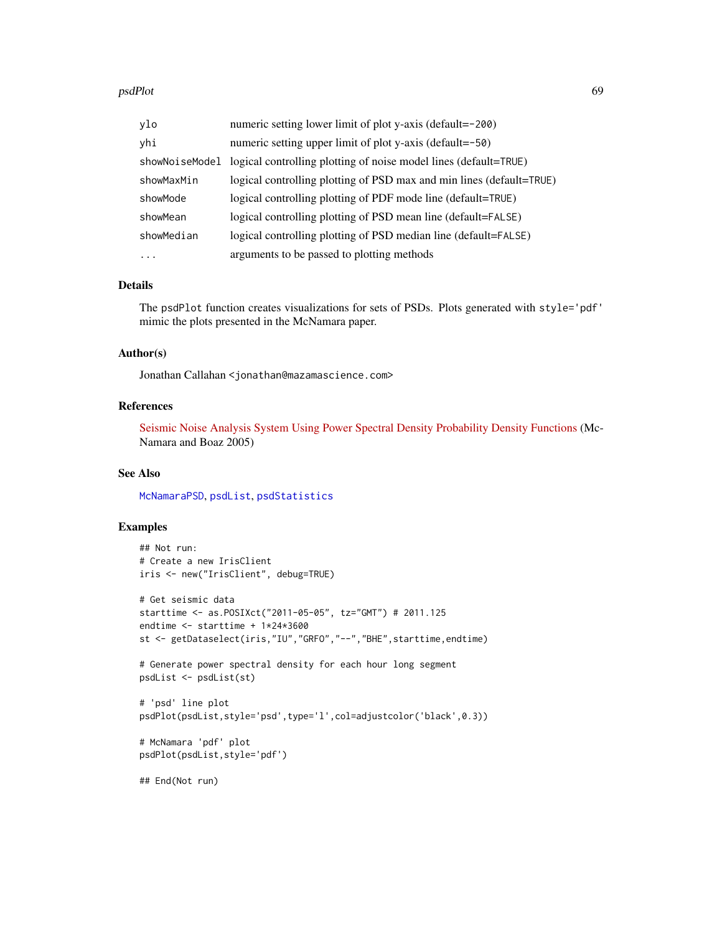| ylo            | numeric setting lower limit of plot y-axis (default=-200)            |
|----------------|----------------------------------------------------------------------|
| yhi            | numeric setting upper limit of plot y-axis (default=-50)             |
| showNoiseModel | logical controlling plotting of noise model lines (default=TRUE)     |
| showMaxMin     | logical controlling plotting of PSD max and min lines (default=TRUE) |
| showMode       | logical controlling plotting of PDF mode line (default=TRUE)         |
| showMean       | logical controlling plotting of PSD mean line (default=FALSE)        |
| showMedian     | logical controlling plotting of PSD median line (default=FALSE)      |
| $\cdots$       | arguments to be passed to plotting methods                           |

# Details

The psdPlot function creates visualizations for sets of PSDs. Plots generated with style='pdf' mimic the plots presented in the McNamara paper.

#### Author(s)

Jonathan Callahan <jonathan@mazamascience.com>

# References

[Seismic Noise Analysis System Using Power Spectral Density Probability Density Functions](http://pubs.usgs.gov/of/2005/1438/pdf/OFR-1438.pdf) (Mc-Namara and Boaz 2005)

# See Also

[McNamaraPSD](#page-54-0), [psdList](#page-64-0), [psdStatistics](#page-69-0)

# Examples

```
## Not run:
# Create a new IrisClient
iris <- new("IrisClient", debug=TRUE)
# Get seismic data
starttime <- as.POSIXct("2011-05-05", tz="GMT") # 2011.125
endtime <- starttime + 1*24*3600
st <- getDataselect(iris,"IU","GRFO","--","BHE",starttime,endtime)
# Generate power spectral density for each hour long segment
psdList <- psdList(st)
# 'psd' line plot
psdPlot(psdList,style='psd',type='l',col=adjustcolor('black',0.3))
# McNamara 'pdf' plot
psdPlot(psdList,style='pdf')
```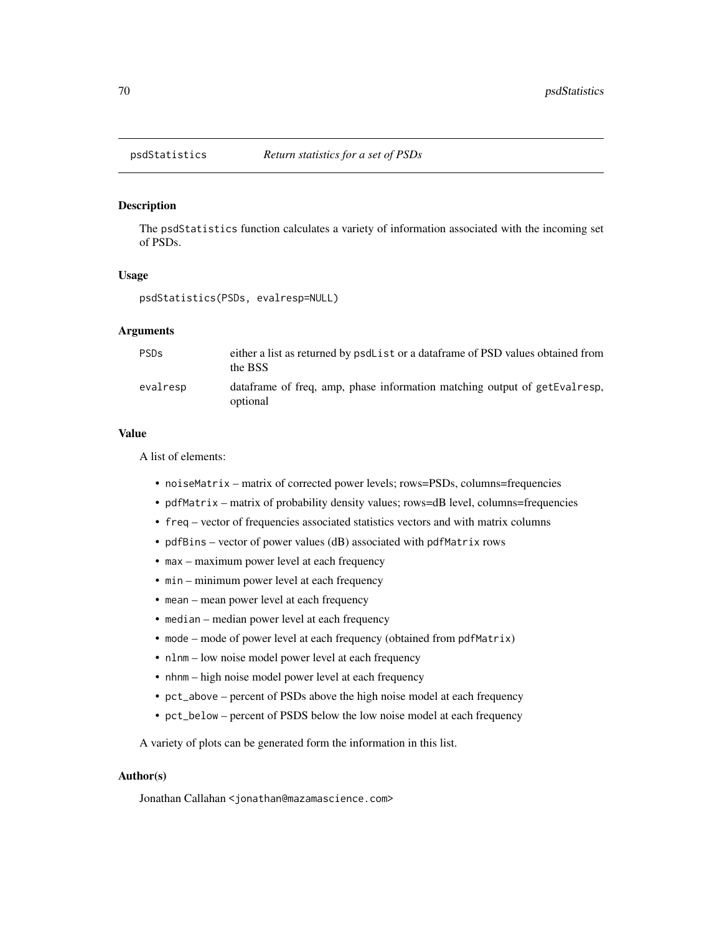<span id="page-69-0"></span>

## Description

The psdStatistics function calculates a variety of information associated with the incoming set of PSDs.

## Usage

psdStatistics(PSDs, evalresp=NULL)

# Arguments

| <b>PSDs</b> | either a list as returned by psdList or a data frame of PSD values obtained from<br>the BSS |
|-------------|---------------------------------------------------------------------------------------------|
| evalresp    | data frame of freq, amp, phase information matching output of getEvalresp,<br>optional      |

## Value

A list of elements:

- noiseMatrix matrix of corrected power levels; rows=PSDs, columns=frequencies
- pdfMatrix matrix of probability density values; rows=dB level, columns=frequencies
- freq vector of frequencies associated statistics vectors and with matrix columns
- pdfBins vector of power values (dB) associated with pdfMatrix rows
- max maximum power level at each frequency
- min minimum power level at each frequency
- mean mean power level at each frequency
- median median power level at each frequency
- mode mode of power level at each frequency (obtained from pdfMatrix)
- nlnm low noise model power level at each frequency
- nhnm high noise model power level at each frequency
- pct\_above percent of PSDs above the high noise model at each frequency
- pct\_below percent of PSDS below the low noise model at each frequency

A variety of plots can be generated form the information in this list.

## Author(s)

Jonathan Callahan <jonathan@mazamascience.com>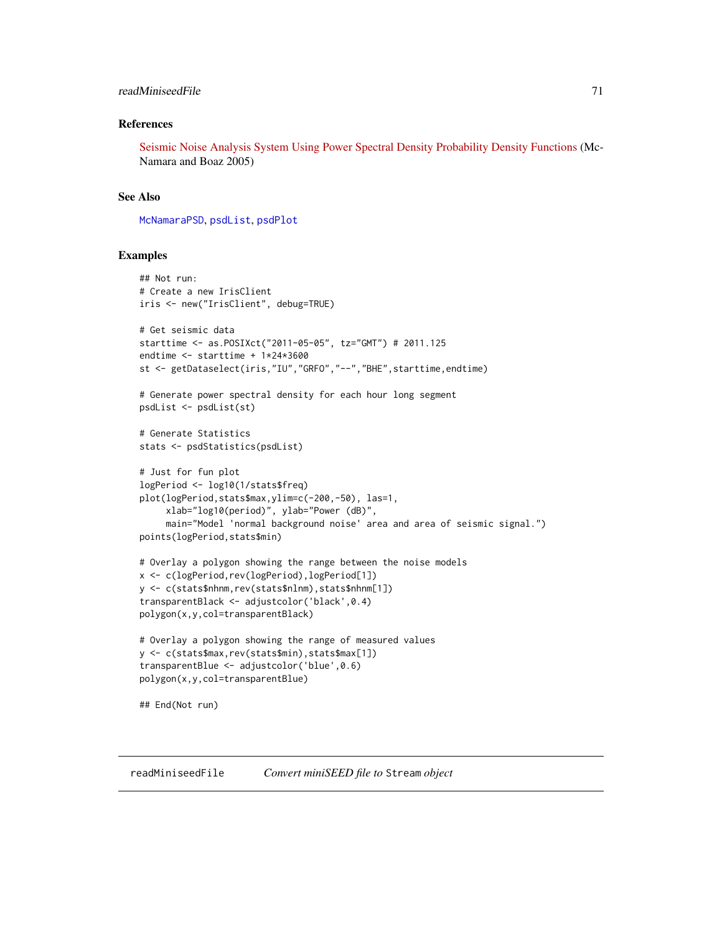## readMiniseedFile 71

## References

[Seismic Noise Analysis System Using Power Spectral Density Probability Density Functions](http://pubs.usgs.gov/of/2005/1438/pdf/OFR-1438.pdf) (Mc-Namara and Boaz 2005)

## See Also

[McNamaraPSD](#page-54-0), [psdList](#page-64-0), [psdPlot](#page-67-0)

#### Examples

```
## Not run:
# Create a new IrisClient
iris <- new("IrisClient", debug=TRUE)
# Get seismic data
starttime <- as.POSIXct("2011-05-05", tz="GMT") # 2011.125
endtime <- starttime + 1*24*3600
st <- getDataselect(iris,"IU","GRFO","--","BHE",starttime,endtime)
# Generate power spectral density for each hour long segment
psdList <- psdList(st)
# Generate Statistics
stats <- psdStatistics(psdList)
# Just for fun plot
logPeriod <- log10(1/stats$freq)
plot(logPeriod,stats$max,ylim=c(-200,-50), las=1,
     xlab="log10(period)", ylab="Power (dB)",
     main="Model 'normal background noise' area and area of seismic signal.")
points(logPeriod,stats$min)
# Overlay a polygon showing the range between the noise models
x <- c(logPeriod,rev(logPeriod),logPeriod[1])
y <- c(stats$nhnm,rev(stats$nlnm),stats$nhnm[1])
transparentBlack <- adjustcolor('black',0.4)
polygon(x,y,col=transparentBlack)
# Overlay a polygon showing the range of measured values
y <- c(stats$max,rev(stats$min),stats$max[1])
transparentBlue <- adjustcolor('blue',0.6)
polygon(x,y,col=transparentBlue)
## End(Not run)
```
<span id="page-70-0"></span>readMiniseedFile *Convert miniSEED file to* Stream *object*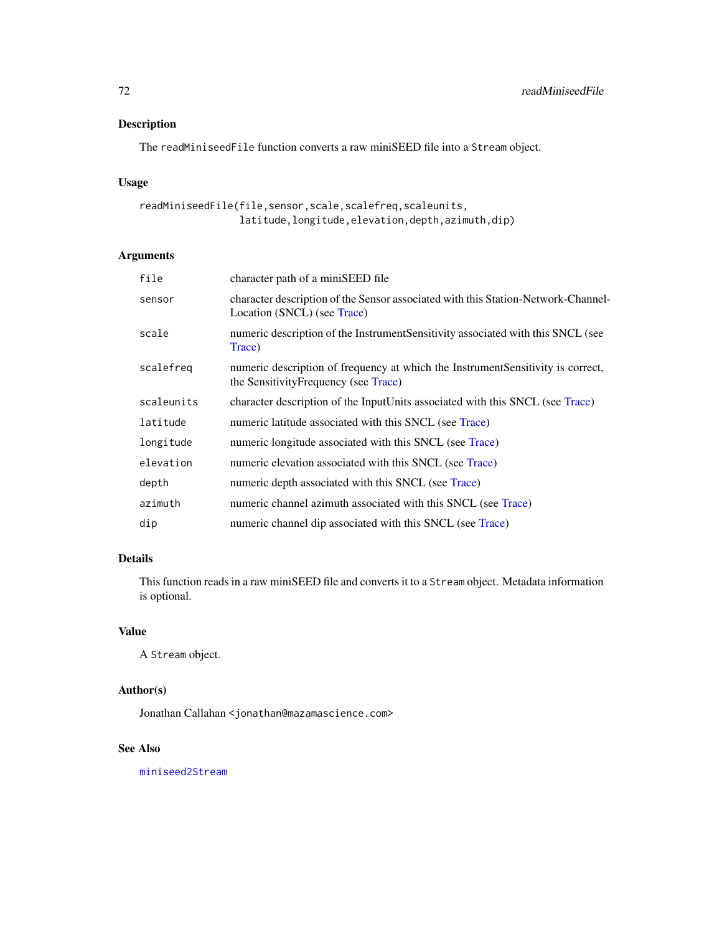# Description

The readMiniseedFile function converts a raw miniSEED file into a Stream object.

# Usage

```
readMiniseedFile(file,sensor,scale,scalefreq,scaleunits,
                latitude,longitude,elevation,depth,azimuth,dip)
```
# Arguments

| file       | character path of a miniSEED file                                                                                         |
|------------|---------------------------------------------------------------------------------------------------------------------------|
| sensor     | character description of the Sensor associated with this Station-Network-Channel-<br>Location (SNCL) (see Trace)          |
| scale      | numeric description of the Instrument Sensitivity associated with this SNCL (see<br>Trace)                                |
| scalefreg  | numeric description of frequency at which the Instrument Sensitivity is correct,<br>the Sensitivity Frequency (see Trace) |
| scaleunits | character description of the InputUnits associated with this SNCL (see Trace)                                             |
| latitude   | numeric latitude associated with this SNCL (see Trace)                                                                    |
| longitude  | numeric longitude associated with this SNCL (see Trace)                                                                   |
| elevation  | numeric elevation associated with this SNCL (see Trace)                                                                   |
| depth      | numeric depth associated with this SNCL (see Trace)                                                                       |
| azimuth    | numeric channel azimuth associated with this SNCL (see Trace)                                                             |
| dip        | numeric channel dip associated with this SNCL (see Trace)                                                                 |

# Details

This function reads in a raw miniSEED file and converts it to a Stream object. Metadata information is optional.

# Value

A Stream object.

# Author(s)

Jonathan Callahan <jonathan@mazamascience.com>

# See Also

[miniseed2Stream](#page-58-0)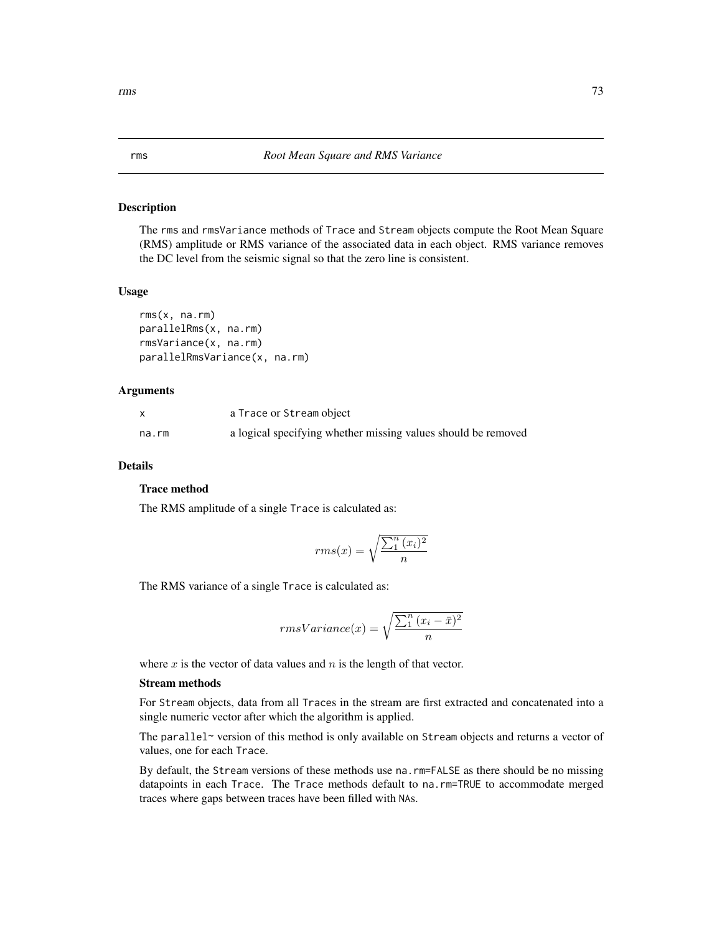## <span id="page-72-0"></span>Description

The rms and rmsVariance methods of Trace and Stream objects compute the Root Mean Square (RMS) amplitude or RMS variance of the associated data in each object. RMS variance removes the DC level from the seismic signal so that the zero line is consistent.

#### Usage

```
rms(x, na.rm)
parallelRms(x, na.rm)
rmsVariance(x, na.rm)
parallelRmsVariance(x, na.rm)
```
#### Arguments

|       | a Trace or Stream object                                      |
|-------|---------------------------------------------------------------|
| na.rm | a logical specifying whether missing values should be removed |

## Details

#### Trace method

The RMS amplitude of a single Trace is calculated as:

$$
rms(x) = \sqrt{\frac{\sum_{1}^{n} (x_i)^2}{n}}
$$

The RMS variance of a single Trace is calculated as:

$$
rmsVariance(x) = \sqrt{\frac{\sum_1^n (x_i - \bar{x})^2}{n}}
$$

where  $x$  is the vector of data values and  $n$  is the length of that vector.

#### Stream methods

For Stream objects, data from all Traces in the stream are first extracted and concatenated into a single numeric vector after which the algorithm is applied.

The parallel~ version of this method is only available on Stream objects and returns a vector of values, one for each Trace.

By default, the Stream versions of these methods use na.rm=FALSE as there should be no missing datapoints in each Trace. The Trace methods default to na.rm=TRUE to accommodate merged traces where gaps between traces have been filled with NAs.

<span id="page-72-2"></span> $\frac{1}{3}$ 

<span id="page-72-1"></span>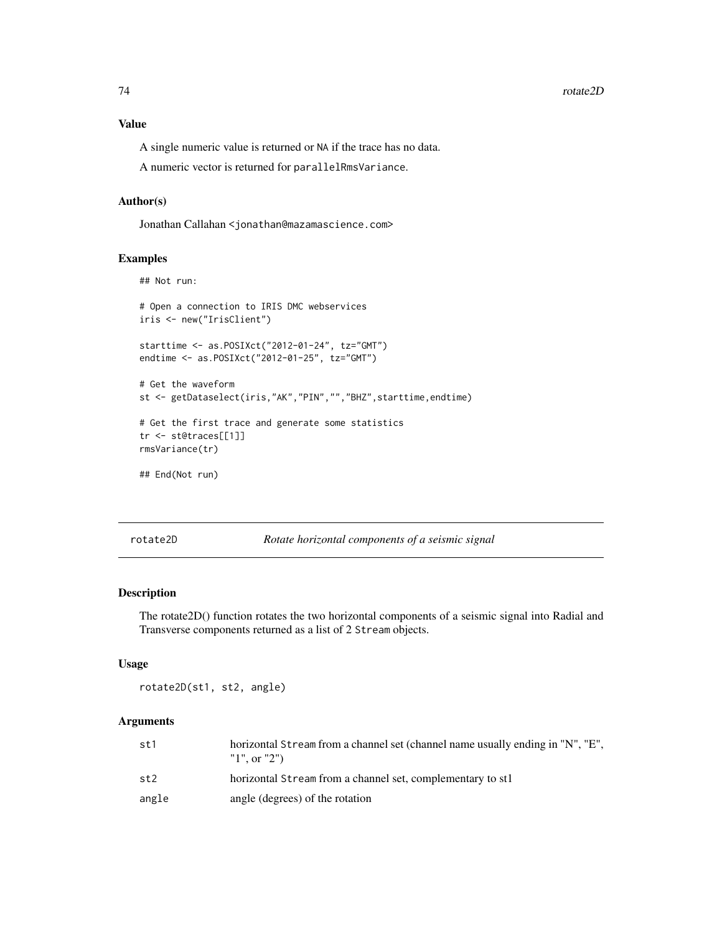## <span id="page-73-0"></span>Value

A single numeric value is returned or NA if the trace has no data.

A numeric vector is returned for parallelRmsVariance.

### Author(s)

Jonathan Callahan <jonathan@mazamascience.com>

## Examples

```
## Not run:
```

```
# Open a connection to IRIS DMC webservices
iris <- new("IrisClient")
starttime <- as.POSIXct("2012-01-24", tz="GMT")
endtime <- as.POSIXct("2012-01-25", tz="GMT")
# Get the waveform
st <- getDataselect(iris,"AK","PIN","","BHZ",starttime,endtime)
# Get the first trace and generate some statistics
tr <- st@traces[[1]]
```

```
rmsVariance(tr)
```
## End(Not run)

rotate2D *Rotate horizontal components of a seismic signal*

## Description

The rotate2D() function rotates the two horizontal components of a seismic signal into Radial and Transverse components returned as a list of 2 Stream objects.

#### Usage

```
rotate2D(st1, st2, angle)
```
#### Arguments

| st1   | horizontal Stream from a channel set (channel name usually ending in "N", "E",<br>"1", or "2") |
|-------|------------------------------------------------------------------------------------------------|
| st2   | horizontal Stream from a channel set, complementary to st1                                     |
| angle | angle (degrees) of the rotation                                                                |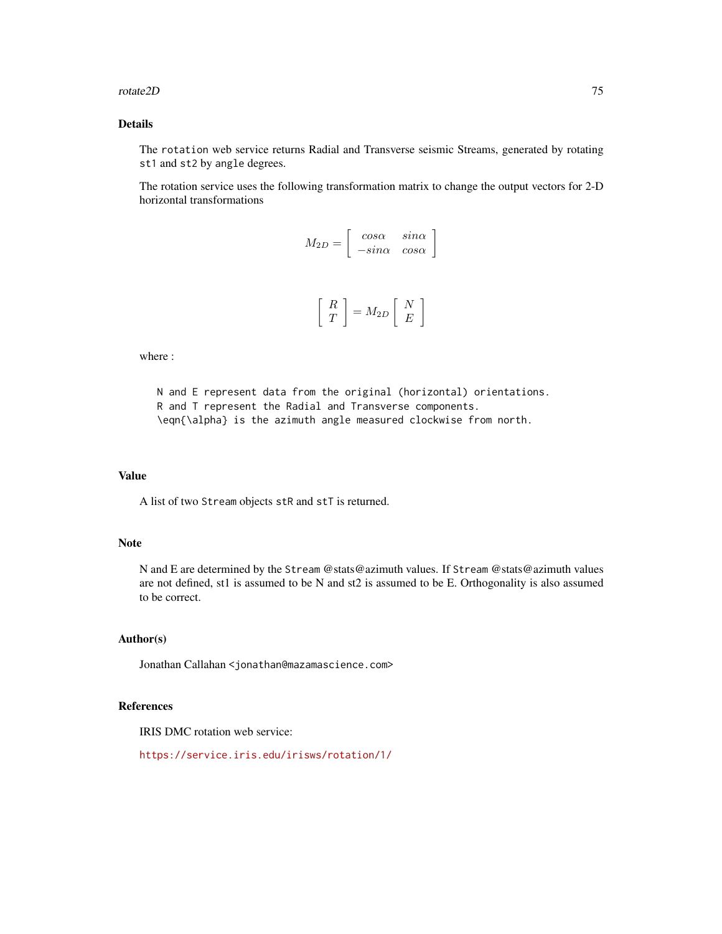#### rotate2D 75

## Details

The rotation web service returns Radial and Transverse seismic Streams, generated by rotating st1 and st2 by angle degrees.

The rotation service uses the following transformation matrix to change the output vectors for 2-D horizontal transformations

| $M_{2D}$ | $\begin{array}{ccc} cos\alpha & sin\alpha \ -sin\alpha & cos\alpha \end{array}$      | $sin\alpha$ |  |
|----------|--------------------------------------------------------------------------------------|-------------|--|
|          | $\begin{bmatrix} R \\ T \end{bmatrix} = M_{2D} \begin{bmatrix} N \\ E \end{bmatrix}$ |             |  |

where :

N and E represent data from the original (horizontal) orientations. R and T represent the Radial and Transverse components. \eqn{\alpha} is the azimuth angle measured clockwise from north.

#### Value

A list of two Stream objects stR and stT is returned.

## Note

N and E are determined by the Stream @stats@azimuth values. If Stream @stats@azimuth values are not defined, st1 is assumed to be N and st2 is assumed to be E. Orthogonality is also assumed to be correct.

## Author(s)

Jonathan Callahan <jonathan@mazamascience.com>

## References

IRIS DMC rotation web service:

```
https://service.iris.edu/irisws/rotation/1/
```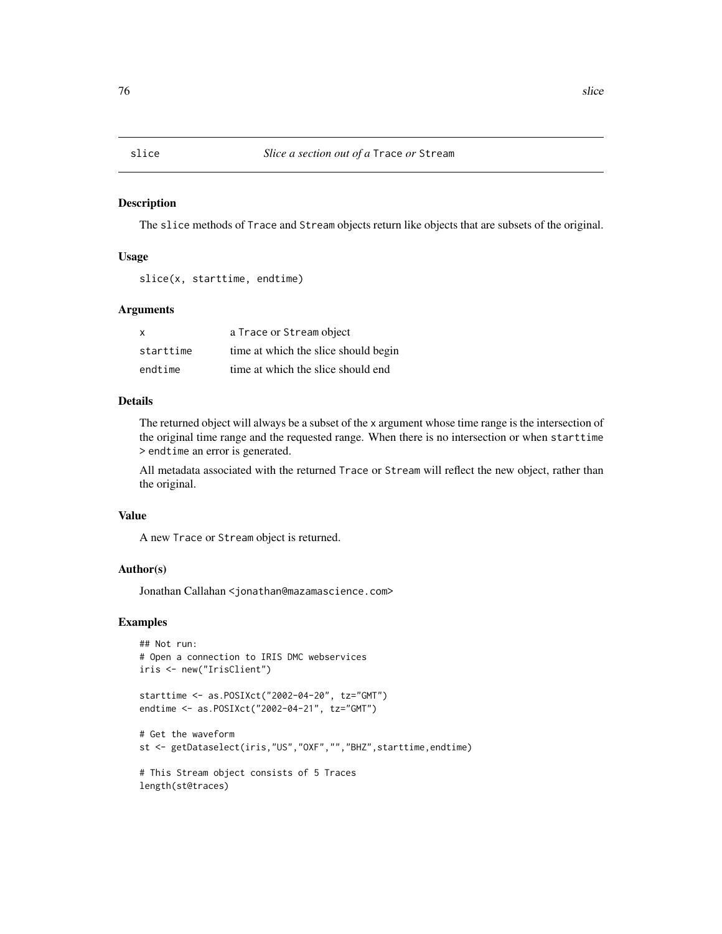<span id="page-75-1"></span><span id="page-75-0"></span>

#### Description

The slice methods of Trace and Stream objects return like objects that are subsets of the original.

#### Usage

slice(x, starttime, endtime)

## Arguments

| X         | a Trace or Stream object             |
|-----------|--------------------------------------|
| starttime | time at which the slice should begin |
| endtime   | time at which the slice should end   |

## Details

The returned object will always be a subset of the x argument whose time range is the intersection of the original time range and the requested range. When there is no intersection or when starttime > endtime an error is generated.

All metadata associated with the returned Trace or Stream will reflect the new object, rather than the original.

#### Value

A new Trace or Stream object is returned.

## Author(s)

Jonathan Callahan <jonathan@mazamascience.com>

```
## Not run:
# Open a connection to IRIS DMC webservices
iris <- new("IrisClient")
starttime <- as.POSIXct("2002-04-20", tz="GMT")
endtime <- as.POSIXct("2002-04-21", tz="GMT")
# Get the waveform
st <- getDataselect(iris,"US","OXF","","BHZ",starttime,endtime)
# This Stream object consists of 5 Traces
```

```
length(st@traces)
```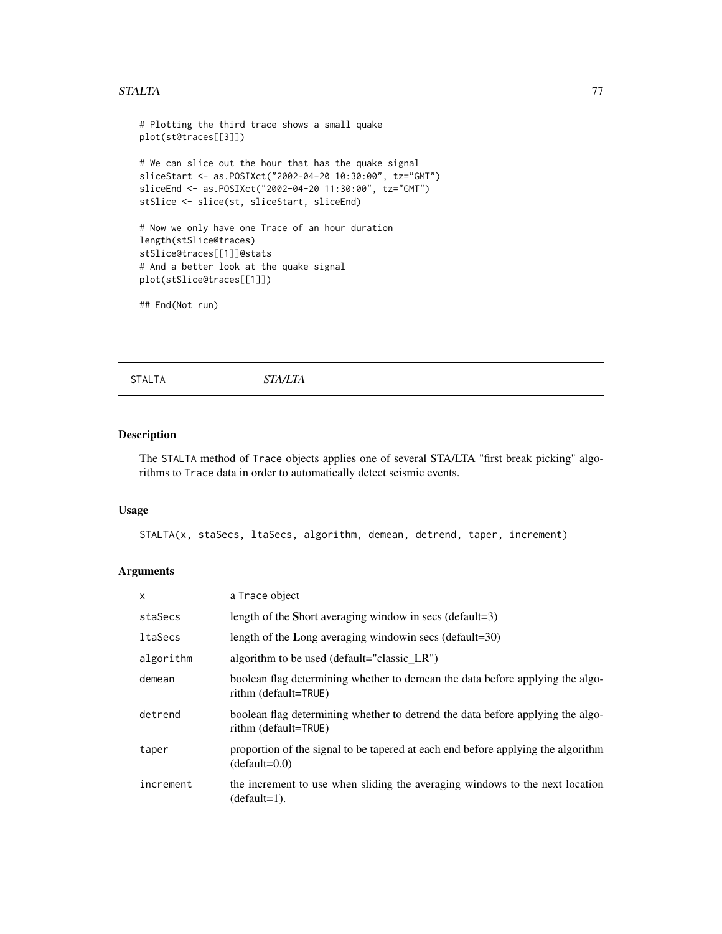#### <span id="page-76-1"></span>STALTA 77

# Plotting the third trace shows a small quake plot(st@traces[[3]]) # We can slice out the hour that has the quake signal sliceStart <- as.POSIXct("2002-04-20 10:30:00", tz="GMT") sliceEnd <- as.POSIXct("2002-04-20 11:30:00", tz="GMT") stSlice <- slice(st, sliceStart, sliceEnd) # Now we only have one Trace of an hour duration length(stSlice@traces) stSlice@traces[[1]]@stats # And a better look at the quake signal plot(stSlice@traces[[1]]) ## End(Not run)

<span id="page-76-0"></span>STALTA *STA/LTA*

## Description

The STALTA method of Trace objects applies one of several STA/LTA "first break picking" algorithms to Trace data in order to automatically detect seismic events.

#### Usage

STALTA(x, staSecs, ltaSecs, algorithm, demean, detrend, taper, increment)

## Arguments

| X              | a Trace object                                                                                         |
|----------------|--------------------------------------------------------------------------------------------------------|
| staSecs        | length of the Short averaging window in secs (default=3)                                               |
| <b>ltaSecs</b> | length of the Long averaging window n secs (default= $30$ )                                            |
| algorithm      | algorithm to be used (default="classic_LR")                                                            |
| demean         | boolean flag determining whether to demean the data before applying the algo-<br>rithm (default=TRUE)  |
| detrend        | boolean flag determining whether to detrend the data before applying the algo-<br>rithm (default=TRUE) |
| taper          | proportion of the signal to be tapered at each end before applying the algorithm<br>$(default=0.0)$    |
| increment      | the increment to use when sliding the averaging windows to the next location<br>(default=1).           |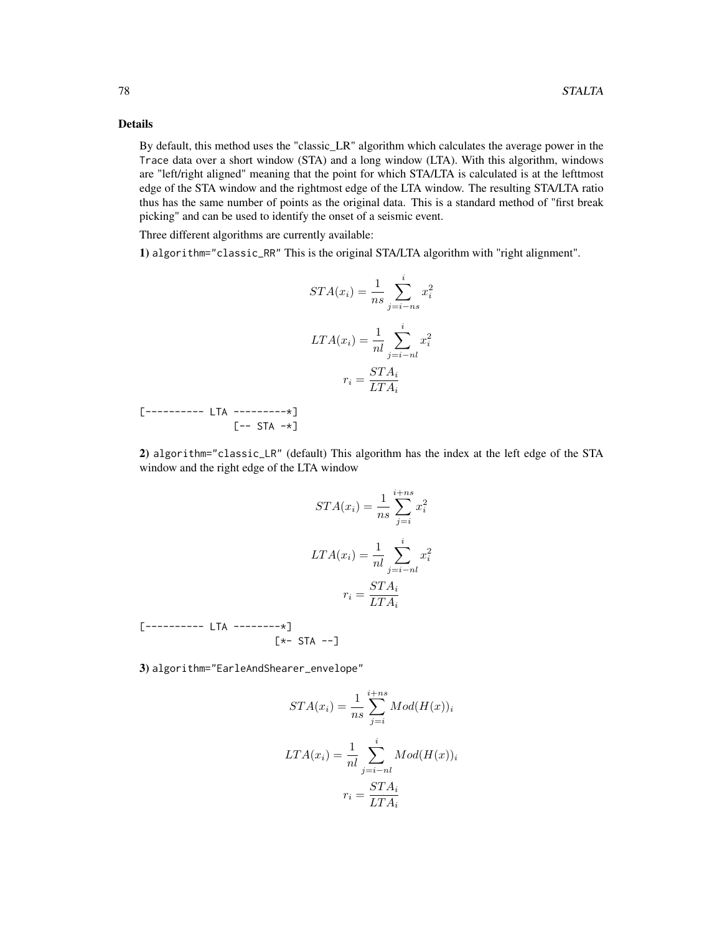## Details

By default, this method uses the "classic\_LR" algorithm which calculates the average power in the Trace data over a short window (STA) and a long window (LTA). With this algorithm, windows are "left/right aligned" meaning that the point for which STA/LTA is calculated is at the lefttmost edge of the STA window and the rightmost edge of the LTA window. The resulting STA/LTA ratio thus has the same number of points as the original data. This is a standard method of "first break picking" and can be used to identify the onset of a seismic event.

Three different algorithms are currently available:

1) algorithm="classic\_RR" This is the original STA/LTA algorithm with "right alignment".

$$
STA(x_i) = \frac{1}{ns} \sum_{j=i-ns}^{i} x_i^2
$$

$$
LTA(x_i) = \frac{1}{nl} \sum_{j=i-nl}^{i} x_i^2
$$

$$
r_i = \frac{STA_i}{LTA_i}
$$

[---------- LTA ---------\*]  $[--$  STA  $-\star]$ 

2) algorithm="classic\_LR" (default) This algorithm has the index at the left edge of the STA window and the right edge of the LTA window

$$
STA(x_i) = \frac{1}{ns} \sum_{j=i}^{i+ns} x_i^2
$$

$$
LTA(x_i) = \frac{1}{nl} \sum_{j=i-nl}^{i} x_i^2
$$

$$
r_i = \frac{STA_i}{LTA_i}
$$

[---------- LTA --------\*]  $[\star-$  STA  $--]$ 

3) algorithm="EarleAndShearer\_envelope"

$$
STA(x_i) = \frac{1}{ns} \sum_{j=i}^{i+ns} Mod(H(x))_i
$$

$$
LTA(x_i) = \frac{1}{nl} \sum_{j=i-nl}^{i} Mod(H(x))_i
$$

$$
r_i = \frac{STA_i}{LTA_i}
$$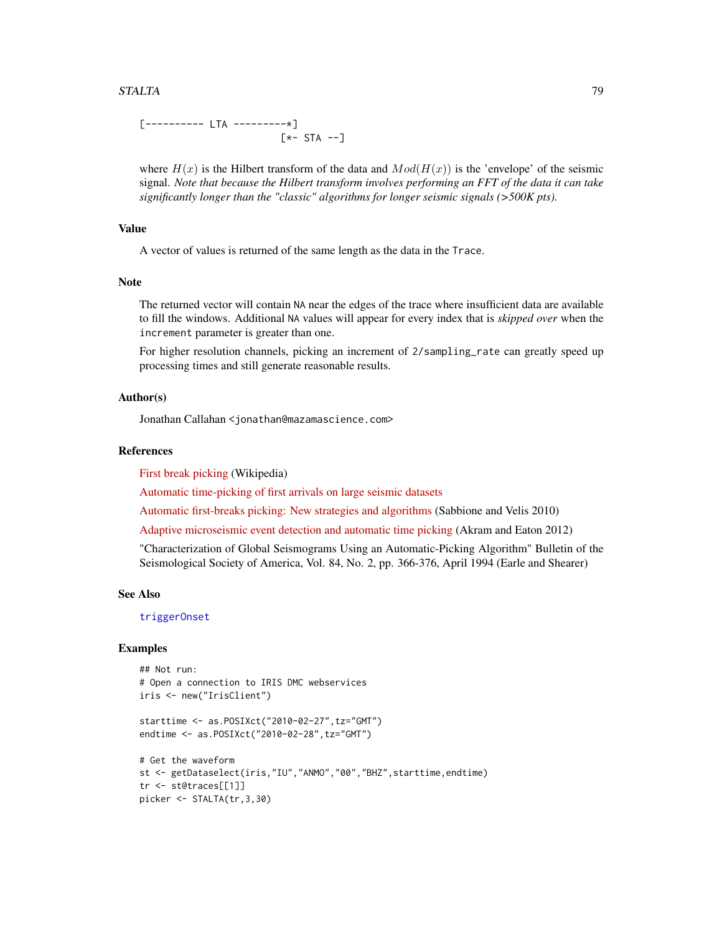#### <span id="page-78-0"></span>STALTA 79

[---------- LTA ---------\*] [\*- STA --]

where  $H(x)$  is the Hilbert transform of the data and  $Mod(H(x))$  is the 'envelope' of the seismic signal. *Note that because the Hilbert transform involves performing an FFT of the data it can take significantly longer than the "classic" algorithms for longer seismic signals (>500K pts).*

## Value

A vector of values is returned of the same length as the data in the Trace.

#### Note

The returned vector will contain NA near the edges of the trace where insufficient data are available to fill the windows. Additional NA values will appear for every index that is *skipped over* when the increment parameter is greater than one.

For higher resolution channels, picking an increment of 2/sampling\_rate can greatly speed up processing times and still generate reasonable results.

#### Author(s)

Jonathan Callahan <jonathan@mazamascience.com>

#### References

[First break picking](https://en.wikipedia.org/wiki/First_break_picking) (Wikipedia)

[Automatic time-picking of first arrivals on large seismic datasets](https://www.crewes.org/Documents/ResearchReports/2014/CRR201476.pdf)

[Automatic first-breaks picking: New strategies and algorithms](http://www.fcaglp.unlp.edu.ar/~velis/papers/PickingGeop10.pdf) (Sabbione and Velis 2010)

[Adaptive microseismic event detection and automatic time picking](https://cseg.ca/assets/files/resources/abstracts/2012/279_GC2012_Adaptive_Microseismic_Event_Detection.pdf) (Akram and Eaton 2012)

"Characterization of Global Seismograms Using an Automatic-Picking Algorithm" Bulletin of the Seismological Society of America, Vol. 84, No. 2, pp. 366-376, April 1994 (Earle and Shearer)

#### See Also

[triggerOnset](#page-87-0)

```
## Not run:
# Open a connection to IRIS DMC webservices
iris <- new("IrisClient")
starttime <- as.POSIXct("2010-02-27",tz="GMT")
endtime <- as.POSIXct("2010-02-28",tz="GMT")
```

```
# Get the waveform
st <- getDataselect(iris,"IU","ANMO","00","BHZ",starttime,endtime)
tr <- st@traces[[1]]
picker <- STALTA(tr,3,30)
```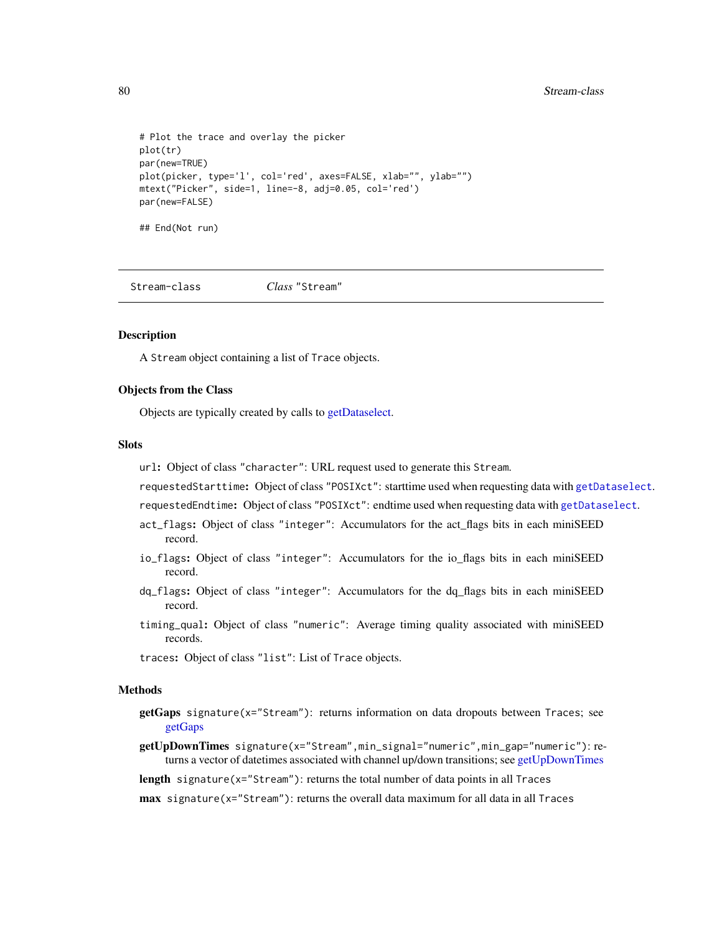```
# Plot the trace and overlay the picker
plot(tr)
par(new=TRUE)
plot(picker, type='l', col='red', axes=FALSE, xlab="", ylab="")
mtext("Picker", side=1, line=-8, adj=0.05, col='red')
par(new=FALSE)
## End(Not run)
```
<span id="page-79-0"></span>Stream-class *Class* "Stream"

### Description

A Stream object containing a list of Trace objects.

## Objects from the Class

Objects are typically created by calls to [getDataselect.](#page-27-0)

#### **Slots**

url: Object of class "character": URL request used to generate this Stream.

requestedStarttime: Object of class "POSIXct": starttime used when requesting data with [getDataselect](#page-27-0).

requestedEndtime: Object of class "POSIXct": endtime used when requesting data with [getDataselect](#page-27-0).

- act\_flags: Object of class "integer": Accumulators for the act\_flags bits in each miniSEED record.
- io\_flags: Object of class "integer": Accumulators for the io\_flags bits in each miniSEED record.
- dq\_flags: Object of class "integer": Accumulators for the dq\_flags bits in each miniSEED record.
- timing\_qual: Object of class "numeric": Average timing quality associated with miniSEED records.

traces: Object of class "list": List of Trace objects.

#### Methods

- getGaps signature(x="Stream"): returns information on data dropouts between Traces; see [getGaps](#page-33-0)
- getUpDownTimes signature(x="Stream",min\_signal="numeric",min\_gap="numeric"): returns a vector of datetimes associated with channel up/down transitions; see [getUpDownTimes](#page-47-0)
- length signature( $x=$ "Stream"): returns the total number of data points in all Traces

max signature(x="Stream"): returns the overall data maximum for all data in all Traces

<span id="page-79-1"></span>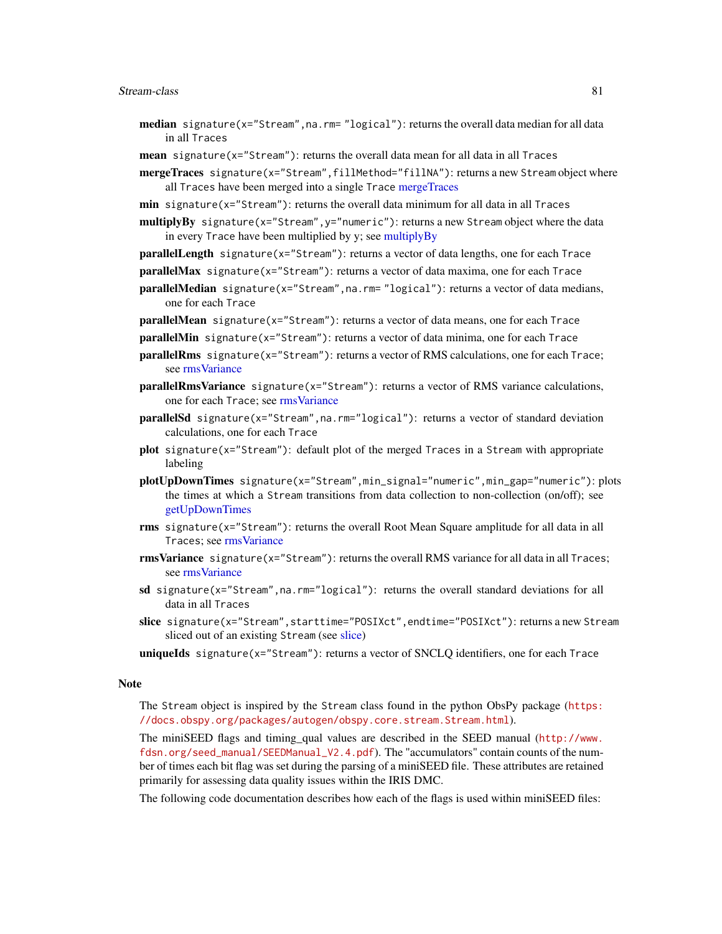#### <span id="page-80-0"></span>Stream-class 81

- **median** signature( $x =$ "Stream", na.rm= "logical"): returns the overall data median for all data in all Traces
- mean signature(x="Stream"): returns the overall data mean for all data in all Traces
- mergeTraces signature(x="Stream",fillMethod="fillNA"): returns a new Stream object where all Traces have been merged into a single Trace [mergeTraces](#page-55-0)
- **min** signature( $x =$ "Stream"): returns the overall data minimum for all data in all Traces

multiplyBy signature(x="Stream", y="numeric"): returns a new Stream object where the data in every Trace have been multiplied by y; see [multiplyBy](#page-59-0)

- parallelLength signature(x="Stream"): returns a vector of data lengths, one for each Trace
- parallelMax signature(x="Stream"): returns a vector of data maxima, one for each Trace
- parallelMedian signature(x="Stream",na.rm= "logical"): returns a vector of data medians, one for each Trace
- parallelMean signature(x="Stream"): returns a vector of data means, one for each Trace
- parallelMin signature(x="Stream"): returns a vector of data minima, one for each Trace
- parallelRms signature(x="Stream"): returns a vector of RMS calculations, one for each Trace; see [rmsVariance](#page-72-0)
- parallelRmsVariance signature(x="Stream"): returns a vector of RMS variance calculations, one for each Trace; see [rmsVariance](#page-72-0)
- parallelSd signature(x="Stream",na.rm="logical"): returns a vector of standard deviation calculations, one for each Trace
- plot signature(x="Stream"): default plot of the merged Traces in a Stream with appropriate labeling
- plotUpDownTimes signature(x="Stream",min\_signal="numeric",min\_gap="numeric"): plots the times at which a Stream transitions from data collection to non-collection (on/off); see [getUpDownTimes](#page-47-0)
- rms signature(x="Stream"): returns the overall Root Mean Square amplitude for all data in all Traces; see [rmsVariance](#page-72-0)
- $rmsVariance$  signature( $x = "Stream"$ ): returns the overall RMS variance for all data in all Traces; see [rmsVariance](#page-72-0)
- sd signature( $x =$ "Stream", na. rm="logical"): returns the overall standard deviations for all data in all Traces
- slice signature(x="Stream",starttime="POSIXct",endtime="POSIXct"): returns a new Stream sliced out of an existing Stream (see [slice\)](#page-75-0)
- uniqueIds signature(x="Stream"): returns a vector of SNCLQ identifiers, one for each Trace

#### Note

The Stream object is inspired by the Stream class found in the python ObsPy package ([https:](https://docs.obspy.org/packages/autogen/obspy.core.stream.Stream.html) [//docs.obspy.org/packages/autogen/obspy.core.stream.Stream.html](https://docs.obspy.org/packages/autogen/obspy.core.stream.Stream.html)).

The miniSEED flags and timing\_qual values are described in the SEED manual ([http://www.](http://www.fdsn.org/seed_manual/SEEDManual_V2.4.pdf) [fdsn.org/seed\\_manual/SEEDManual\\_V2.4.pdf](http://www.fdsn.org/seed_manual/SEEDManual_V2.4.pdf)). The "accumulators" contain counts of the number of times each bit flag was set during the parsing of a miniSEED file. These attributes are retained primarily for assessing data quality issues within the IRIS DMC.

The following code documentation describes how each of the flags is used within miniSEED files: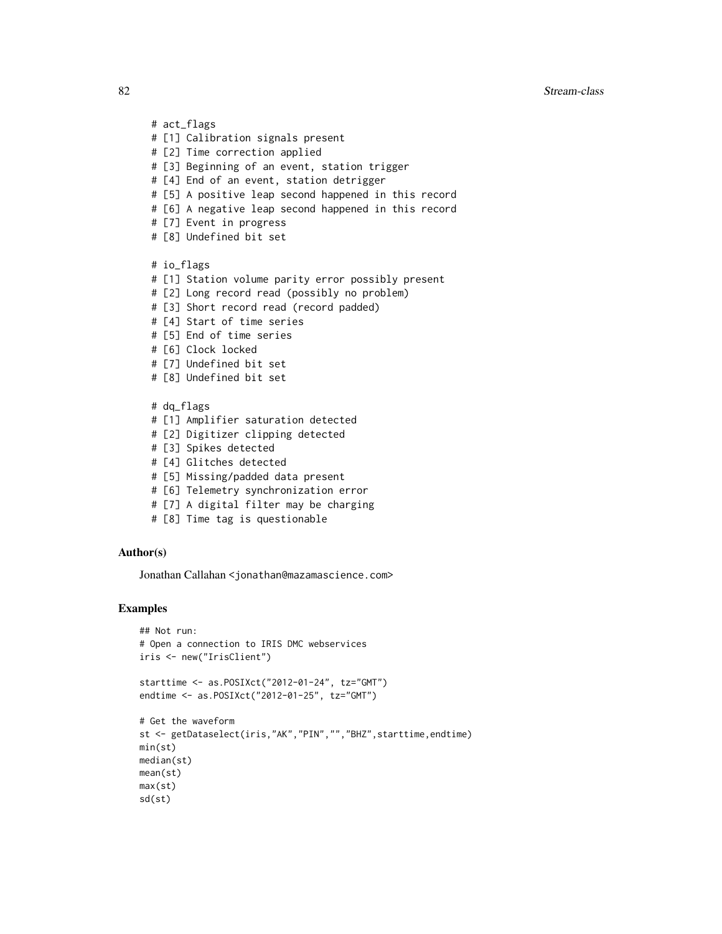# act\_flags # [1] Calibration signals present # [2] Time correction applied # [3] Beginning of an event, station trigger # [4] End of an event, station detrigger # [5] A positive leap second happened in this record # [6] A negative leap second happened in this record # [7] Event in progress # [8] Undefined bit set # io\_flags # [1] Station volume parity error possibly present # [2] Long record read (possibly no problem) # [3] Short record read (record padded) # [4] Start of time series # [5] End of time series # [6] Clock locked # [7] Undefined bit set # [8] Undefined bit set # dq\_flags # [1] Amplifier saturation detected # [2] Digitizer clipping detected # [3] Spikes detected # [4] Glitches detected # [5] Missing/padded data present # [6] Telemetry synchronization error

- # [7] A digital filter may be charging
- # [8] Time tag is questionable

#### Author(s)

Jonathan Callahan <jonathan@mazamascience.com>

```
## Not run:
# Open a connection to IRIS DMC webservices
iris <- new("IrisClient")
starttime <- as.POSIXct("2012-01-24", tz="GMT")
endtime <- as.POSIXct("2012-01-25", tz="GMT")
# Get the waveform
st <- getDataselect(iris,"AK","PIN","","BHZ",starttime,endtime)
min(st)
median(st)
mean(st)
max(st)
sd(st)
```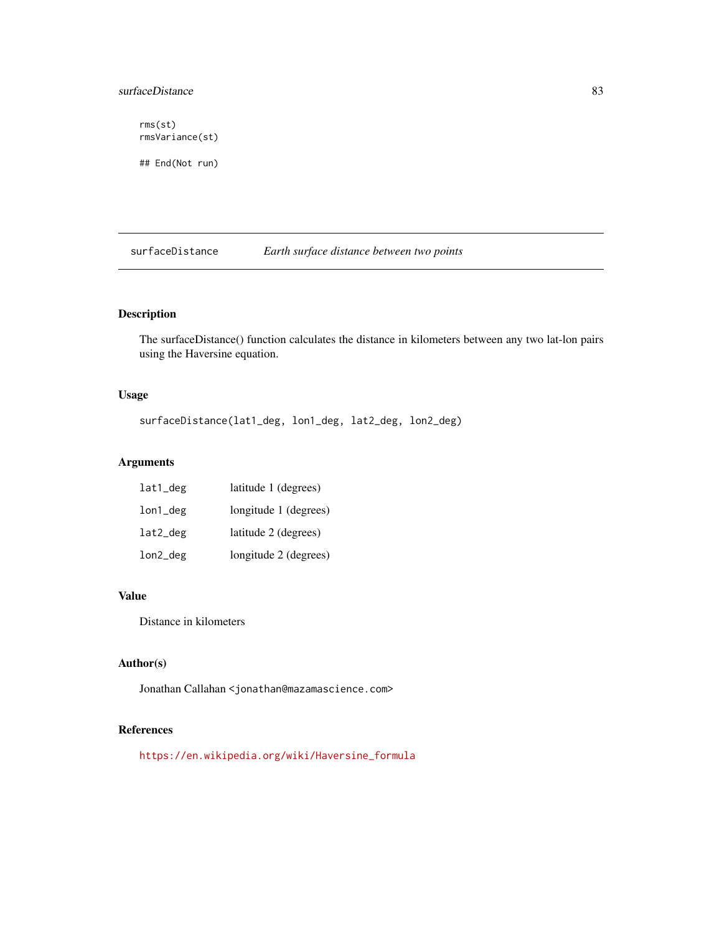## <span id="page-82-0"></span>surfaceDistance 83

rms(st) rmsVariance(st)

## End(Not run)

surfaceDistance *Earth surface distance between two points*

## Description

The surfaceDistance() function calculates the distance in kilometers between any two lat-lon pairs using the Haversine equation.

## Usage

surfaceDistance(lat1\_deg, lon1\_deg, lat2\_deg, lon2\_deg)

## Arguments

| lat1_deg | latitude 1 (degrees)  |
|----------|-----------------------|
| lon1_deg | longitude 1 (degrees) |
| lat2_deg | latitude 2 (degrees)  |
| lon2_deg | longitude 2 (degrees) |

## Value

Distance in kilometers

## Author(s)

Jonathan Callahan <jonathan@mazamascience.com>

## References

[https://en.wikipedia.org/wiki/Haversine\\_formula](https://en.wikipedia.org/wiki/Haversine_formula)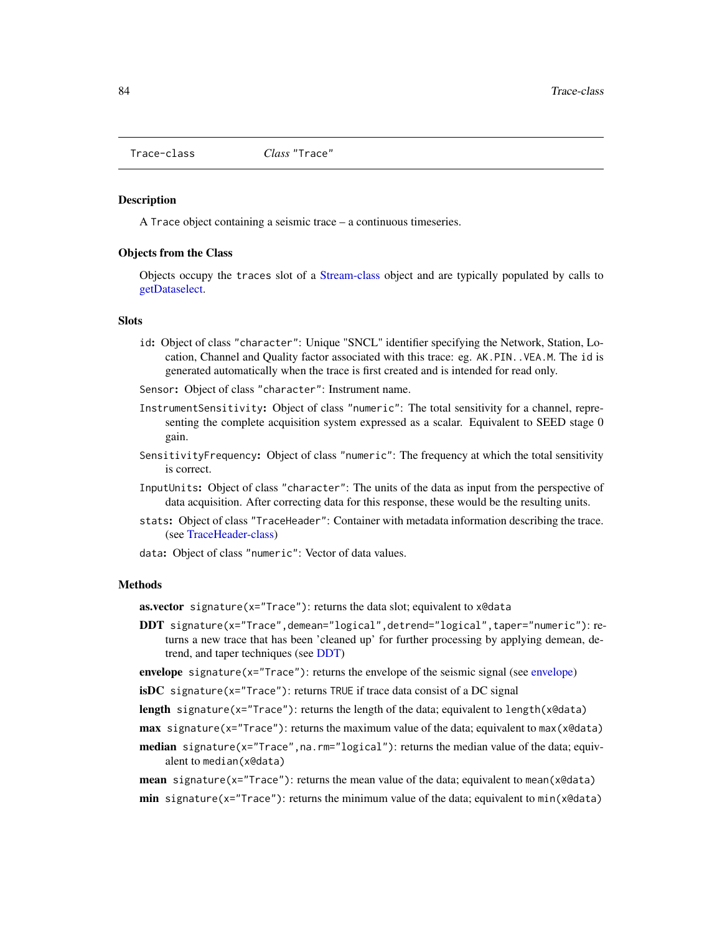<span id="page-83-0"></span>

#### **Description**

A Trace object containing a seismic trace – a continuous timeseries.

#### Objects from the Class

Objects occupy the traces slot of a [Stream-class](#page-79-0) object and are typically populated by calls to [getDataselect.](#page-27-0)

#### **Slots**

- id: Object of class "character": Unique "SNCL" identifier specifying the Network, Station, Location, Channel and Quality factor associated with this trace: eg. AK.PIN. . VEA.M. The id is generated automatically when the trace is first created and is intended for read only.
- Sensor: Object of class "character": Instrument name.
- InstrumentSensitivity: Object of class "numeric": The total sensitivity for a channel, representing the complete acquisition system expressed as a scalar. Equivalent to SEED stage 0 gain.
- SensitivityFrequency: Object of class "numeric": The frequency at which the total sensitivity is correct.
- InputUnits: Object of class "character": The units of the data as input from the perspective of data acquisition. After correcting data for this response, these would be the resulting units.
- stats: Object of class "TraceHeader": Container with metadata information describing the trace. (see [TraceHeader-class\)](#page-85-0)
- data: Object of class "numeric": Vector of data values.

## Methods

**as.vector** signature( $x=$ "Trace"): returns the data slot; equivalent to  $x \cdot \theta$ data

- DDT signature(x="Trace",demean="logical",detrend="logical",taper="numeric"): returns a new trace that has been 'cleaned up' for further processing by applying demean, detrend, and taper techniques (see [DDT\)](#page-15-0)
- envelope signature( $x =$ "Trace"): returns the envelope of the seismic signal (see [envelope\)](#page-17-0)
- $isDC$  signature(x="Trace"): returns TRUE if trace data consist of a DC signal
- length signature(x="Trace"): returns the length of the data; equivalent to length(x@data)
- **max** signature(x="Trace"): returns the maximum value of the data; equivalent to max(x@data)
- **median** signature( $x =$ "Trace", na.rm="logical"): returns the median value of the data; equivalent to median(x@data)
- **mean** signature( $x = "Trace"$ ): returns the mean value of the data; equivalent to mean( $x \cdot \theta$ data) min signature( $x = "Trace"$ ): returns the minimum value of the data; equivalent to  $min(x@data)$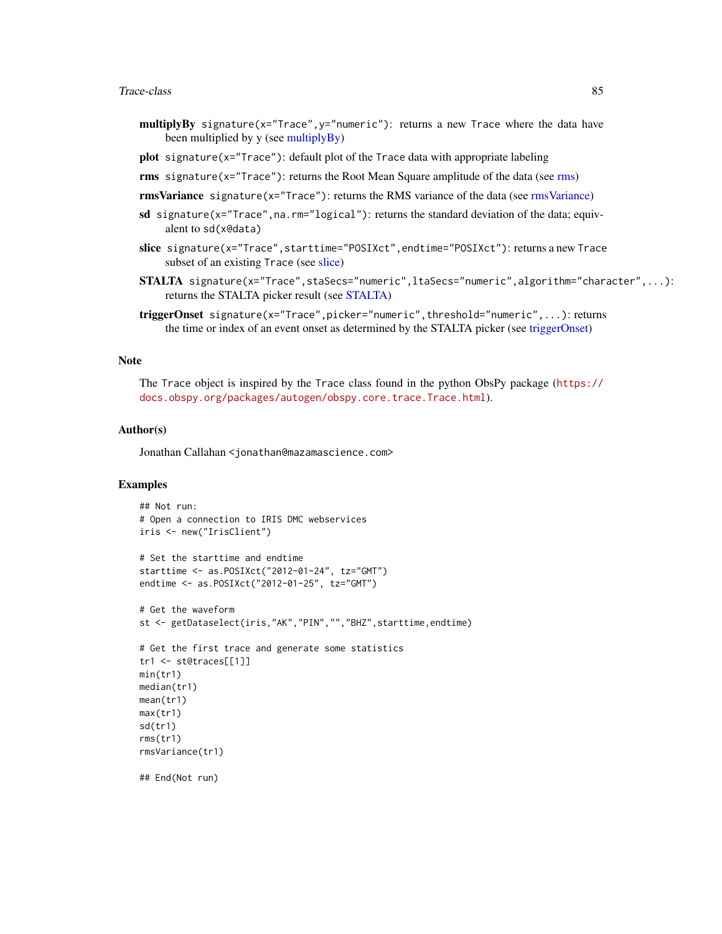#### <span id="page-84-0"></span>Trace-class 85

- multiplyBy signature(x="Trace", y="numeric"): returns a new Trace where the data have been multiplied by y (see [multiplyBy\)](#page-59-0)
- plot signature(x="Trace"): default plot of the Trace data with appropriate labeling
- **rms** signature( $x = "Trace"$ ): returns the Root Mean Square amplitude of the data (see [rms\)](#page-72-1)

rmsVariance signature(x="Trace"): returns the RMS variance of the data (see [rmsVariance\)](#page-72-0)

- sd signature( $x = "Trace",$ na.rm="logical"): returns the standard deviation of the data; equivalent to sd(x@data)
- slice signature(x="Trace",starttime="POSIXct",endtime="POSIXct"): returns a new Trace subset of an existing Trace (see [slice\)](#page-75-0)
- STALTA signature(x="Trace",staSecs="numeric",ltaSecs="numeric",algorithm="character",...): returns the STALTA picker result (see [STALTA\)](#page-76-0)
- triggerOnset signature(x="Trace",picker="numeric",threshold="numeric",...): returns the time or index of an event onset as determined by the STALTA picker (see [triggerOnset\)](#page-87-0)

#### **Note**

The Trace object is inspired by the Trace class found in the python ObsPy package ([https://](https://docs.obspy.org/packages/autogen/obspy.core.trace.Trace.html) [docs.obspy.org/packages/autogen/obspy.core.trace.Trace.html](https://docs.obspy.org/packages/autogen/obspy.core.trace.Trace.html)).

#### Author(s)

Jonathan Callahan <jonathan@mazamascience.com>

```
## Not run:
# Open a connection to IRIS DMC webservices
iris <- new("IrisClient")
# Set the starttime and endtime
starttime <- as.POSIXct("2012-01-24", tz="GMT")
endtime <- as.POSIXct("2012-01-25", tz="GMT")
# Get the waveform
st <- getDataselect(iris,"AK","PIN","","BHZ",starttime,endtime)
# Get the first trace and generate some statistics
tr1 <- st@traces[[1]]
min(tr1)
median(tr1)
mean(tr1)
max(tr1)
sd(tr1)
rms(tr1)
rmsVariance(tr1)
## End(Not run)
```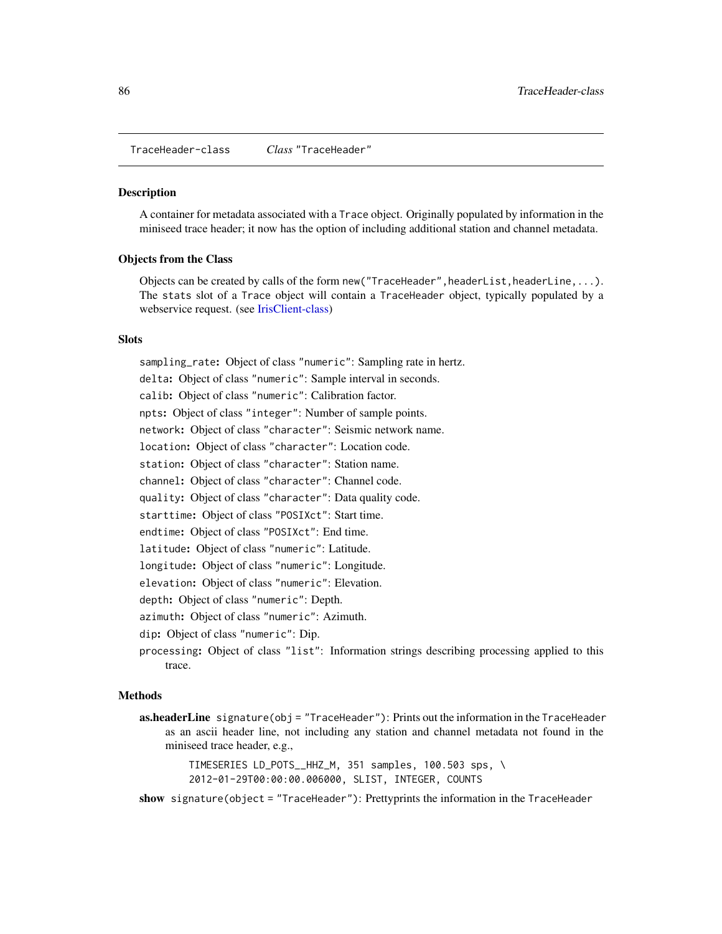<span id="page-85-1"></span><span id="page-85-0"></span>TraceHeader-class *Class* "TraceHeader"

#### **Description**

A container for metadata associated with a Trace object. Originally populated by information in the miniseed trace header; it now has the option of including additional station and channel metadata.

## Objects from the Class

Objects can be created by calls of the form new("TraceHeader",headerList,headerLine,...). The stats slot of a Trace object will contain a TraceHeader object, typically populated by a webservice request. (see [IrisClient-class\)](#page-51-0)

### Slots

sampling\_rate: Object of class "numeric": Sampling rate in hertz. delta: Object of class "numeric": Sample interval in seconds. calib: Object of class "numeric": Calibration factor. npts: Object of class "integer": Number of sample points. network: Object of class "character": Seismic network name. location: Object of class "character": Location code. station: Object of class "character": Station name. channel: Object of class "character": Channel code. quality: Object of class "character": Data quality code. starttime: Object of class "POSIXct": Start time. endtime: Object of class "POSIXct": End time. latitude: Object of class "numeric": Latitude. longitude: Object of class "numeric": Longitude. elevation: Object of class "numeric": Elevation. depth: Object of class "numeric": Depth. azimuth: Object of class "numeric": Azimuth.

dip: Object of class "numeric": Dip.

processing: Object of class "list": Information strings describing processing applied to this trace.

## Methods

as.headerLine signature(obj = "TraceHeader"): Prints out the information in the TraceHeader as an ascii header line, not including any station and channel metadata not found in the miniseed trace header, e.g.,

> TIMESERIES LD\_POTS\_\_HHZ\_M, 351 samples, 100.503 sps, \ 2012-01-29T00:00:00.006000, SLIST, INTEGER, COUNTS

show signature(object = "TraceHeader"): Prettyprints the information in the TraceHeader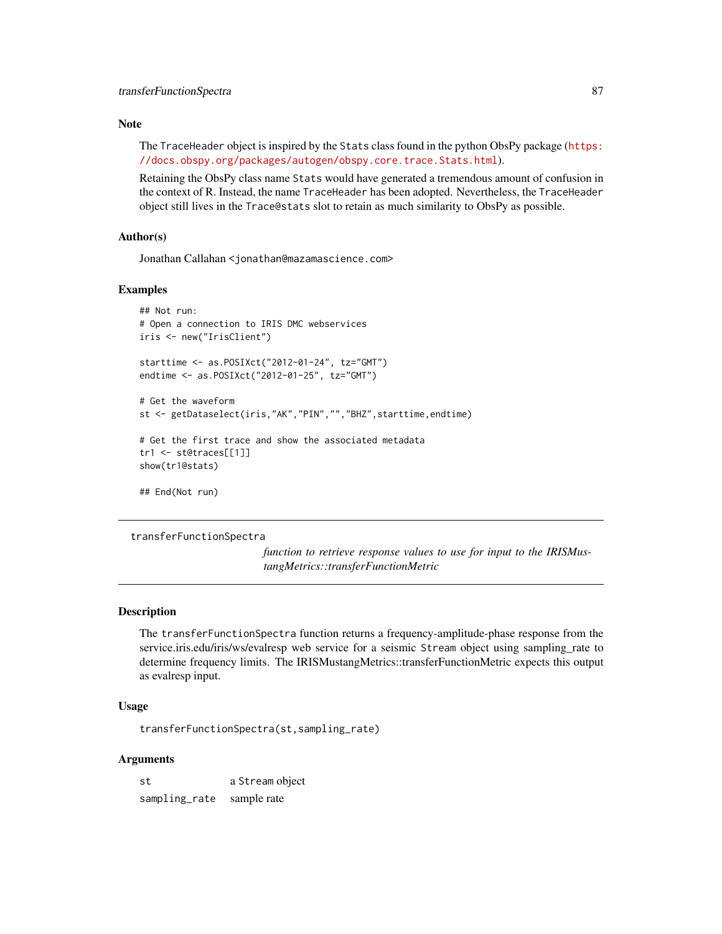## <span id="page-86-0"></span>Note

The TraceHeader object is inspired by the Stats class found in the python ObsPy package ([https:](https://docs.obspy.org/packages/autogen/obspy.core.trace.Stats.html) [//docs.obspy.org/packages/autogen/obspy.core.trace.Stats.html](https://docs.obspy.org/packages/autogen/obspy.core.trace.Stats.html)).

Retaining the ObsPy class name Stats would have generated a tremendous amount of confusion in the context of R. Instead, the name TraceHeader has been adopted. Nevertheless, the TraceHeader object still lives in the Trace@stats slot to retain as much similarity to ObsPy as possible.

## Author(s)

Jonathan Callahan <jonathan@mazamascience.com>

## Examples

```
## Not run:
# Open a connection to IRIS DMC webservices
iris <- new("IrisClient")
starttime <- as.POSIXct("2012-01-24", tz="GMT")
endtime <- as.POSIXct("2012-01-25", tz="GMT")
# Get the waveform
st <- getDataselect(iris,"AK","PIN","","BHZ",starttime,endtime)
# Get the first trace and show the associated metadata
tr1 <- st@traces[[1]]
show(tr1@stats)
## End(Not run)
```
transferFunctionSpectra

*function to retrieve response values to use for input to the IRISMustangMetrics::transferFunctionMetric*

#### Description

The transferFunctionSpectra function returns a frequency-amplitude-phase response from the service.iris.edu/iris/ws/evalresp web service for a seismic Stream object using sampling\_rate to determine frequency limits. The IRISMustangMetrics::transferFunctionMetric expects this output as evalresp input.

## Usage

transferFunctionSpectra(st,sampling\_rate)

## Arguments

st a Stream object sampling\_rate sample rate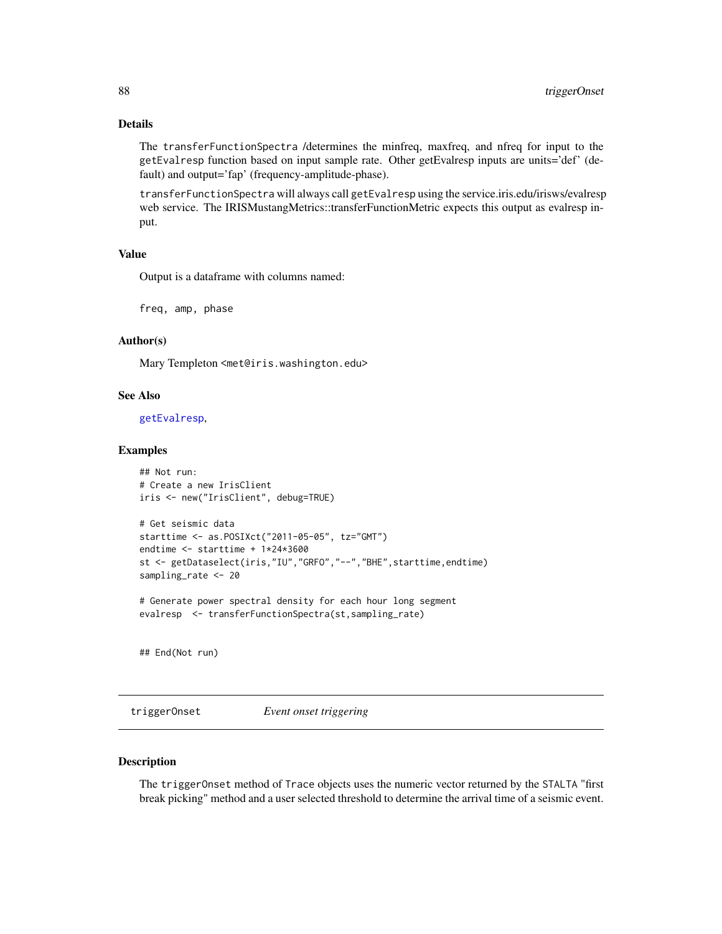## <span id="page-87-1"></span>Details

The transferFunctionSpectra /determines the minfreq, maxfreq, and nfreq for input to the getEvalresp function based on input sample rate. Other getEvalresp inputs are units='def' (default) and output='fap' (frequency-amplitude-phase).

transferFunctionSpectra will always call getEvalresp using the service.iris.edu/irisws/evalresp web service. The IRISMustangMetrics::transferFunctionMetric expects this output as evalresp input.

#### Value

Output is a dataframe with columns named:

freq, amp, phase

## Author(s)

Mary Templeton <met@iris.washington.edu>

## See Also

[getEvalresp](#page-30-0),

#### Examples

## Not run: # Create a new IrisClient iris <- new("IrisClient", debug=TRUE)

```
# Get seismic data
starttime <- as.POSIXct("2011-05-05", tz="GMT")
endtime <- starttime + 1*24*3600
st <- getDataselect(iris,"IU","GRFO","--","BHE",starttime,endtime)
sampling_rate <- 20
```
# Generate power spectral density for each hour long segment evalresp <- transferFunctionSpectra(st,sampling\_rate)

## End(Not run)

<span id="page-87-0"></span>triggerOnset *Event onset triggering*

#### Description

The triggerOnset method of Trace objects uses the numeric vector returned by the STALTA "first break picking" method and a user selected threshold to determine the arrival time of a seismic event.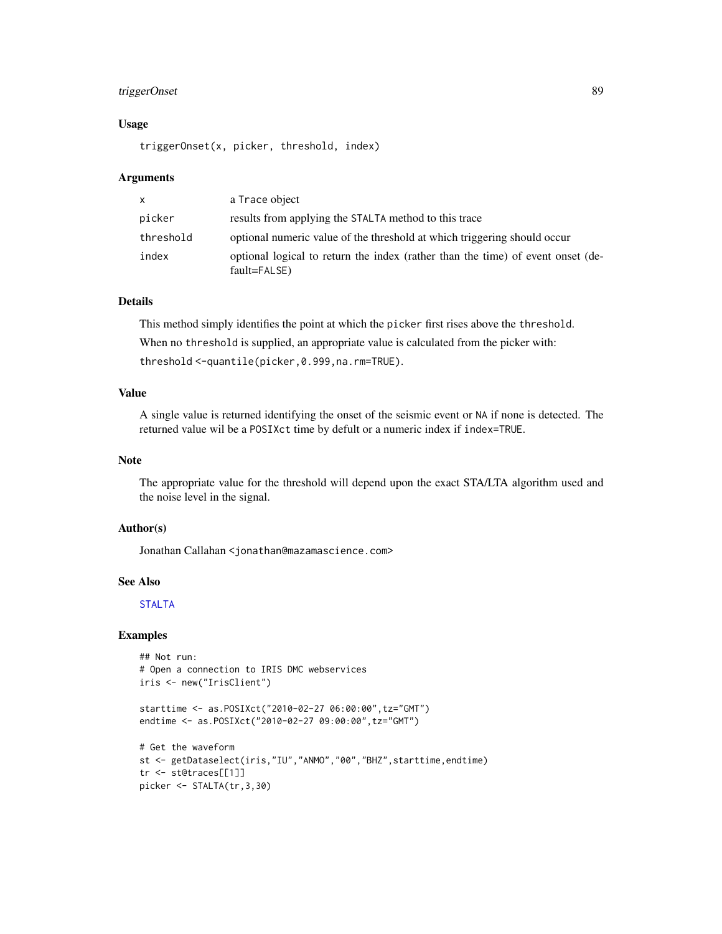## <span id="page-88-0"></span>triggerOnset 89

### Usage

triggerOnset(x, picker, threshold, index)

#### Arguments

| X         | a Trace object                                                                                  |
|-----------|-------------------------------------------------------------------------------------------------|
| picker    | results from applying the STALTA method to this trace                                           |
| threshold | optional numeric value of the threshold at which triggering should occur                        |
| index     | optional logical to return the index (rather than the time) of event onset (de-<br>fault=FALSE) |

#### Details

This method simply identifies the point at which the picker first rises above the threshold. When no threshold is supplied, an appropriate value is calculated from the picker with: threshold <-quantile(picker,0.999,na.rm=TRUE).

### Value

A single value is returned identifying the onset of the seismic event or NA if none is detected. The returned value wil be a POSIXct time by defult or a numeric index if index=TRUE.

## Note

The appropriate value for the threshold will depend upon the exact STA/LTA algorithm used and the noise level in the signal.

## Author(s)

Jonathan Callahan <jonathan@mazamascience.com>

#### See Also

[STALTA](#page-76-0)

```
## Not run:
# Open a connection to IRIS DMC webservices
iris <- new("IrisClient")
starttime <- as.POSIXct("2010-02-27 06:00:00",tz="GMT")
endtime <- as.POSIXct("2010-02-27 09:00:00",tz="GMT")
```

```
# Get the waveform
st <- getDataselect(iris,"IU","ANMO","00","BHZ",starttime,endtime)
tr <- st@traces[[1]]
picker <- STALTA(tr,3,30)
```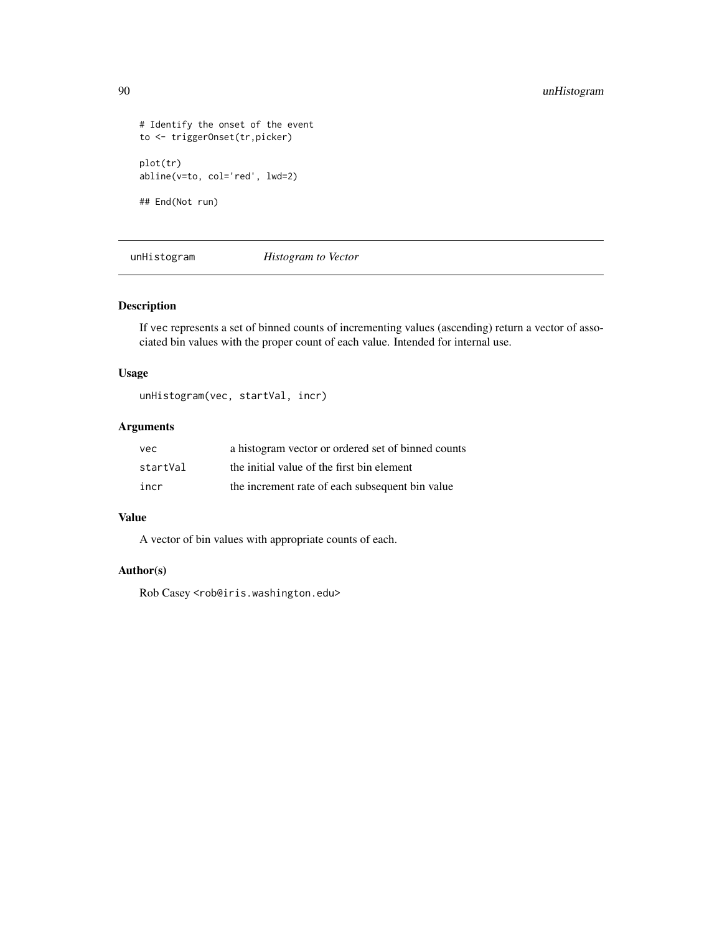```
# Identify the onset of the event
to <- triggerOnset(tr,picker)
plot(tr)
abline(v=to, col='red', lwd=2)
## End(Not run)
```
unHistogram *Histogram to Vector*

## Description

If vec represents a set of binned counts of incrementing values (ascending) return a vector of associated bin values with the proper count of each value. Intended for internal use.

#### Usage

```
unHistogram(vec, startVal, incr)
```
## Arguments

| vec      | a histogram vector or ordered set of binned counts |
|----------|----------------------------------------------------|
| startVal | the initial value of the first bin element         |
| incr     | the increment rate of each subsequent bin value    |

## Value

A vector of bin values with appropriate counts of each.

## Author(s)

Rob Casey <rob@iris.washington.edu>

<span id="page-89-0"></span>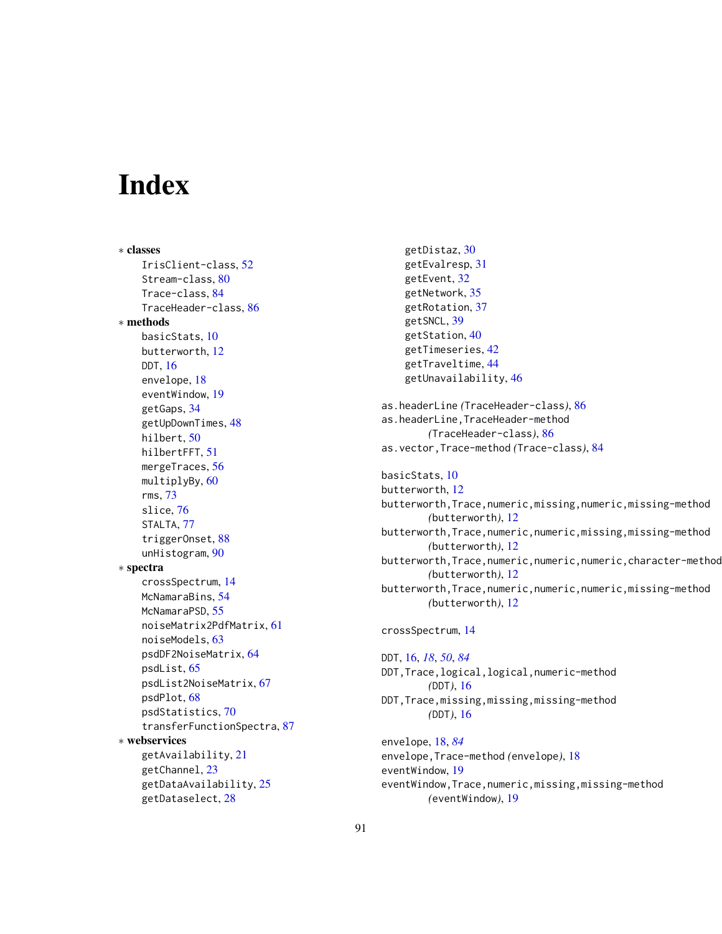# **Index**

∗ classes IrisClient-class, [52](#page-51-1) Stream-class, [80](#page-79-1) Trace-class, [84](#page-83-0) TraceHeader-class, [86](#page-85-1) ∗ methods basicStats, [10](#page-9-0) butterworth, [12](#page-11-0) DDT, [16](#page-15-1) envelope, [18](#page-17-1) eventWindow, [19](#page-18-0) getGaps, [34](#page-33-1) getUpDownTimes, [48](#page-47-1) hilbert, [50](#page-49-0) hilbertFFT, [51](#page-50-0) mergeTraces, [56](#page-55-1) multiplyBy, [60](#page-59-1) rms, [73](#page-72-2) slice, [76](#page-75-1) STALTA, [77](#page-76-1) triggerOnset, [88](#page-87-1) unHistogram, [90](#page-89-0) ∗ spectra crossSpectrum, [14](#page-13-0) McNamaraBins, [54](#page-53-0) McNamaraPSD, [55](#page-54-0) noiseMatrix2PdfMatrix, [61](#page-60-0) noiseModels, [63](#page-62-0) psdDF2NoiseMatrix, [64](#page-63-0) psdList, [65](#page-64-0) psdList2NoiseMatrix, [67](#page-66-0) psdPlot, [68](#page-67-0) psdStatistics, [70](#page-69-0) transferFunctionSpectra, [87](#page-86-0) ∗ webservices getAvailability, [21](#page-20-0) getChannel, [23](#page-22-0) getDataAvailability, [25](#page-24-0) getDataselect, [28](#page-27-1)

getDistaz, [30](#page-29-0) getEvalresp, [31](#page-30-1) getEvent, [32](#page-31-0) getNetwork, [35](#page-34-0) getRotation, [37](#page-36-0) getSNCL, [39](#page-38-0) getStation, [40](#page-39-0) getTimeseries, [42](#page-41-0) getTraveltime, [44](#page-43-0) getUnavailability, [46](#page-45-0) as.headerLine *(*TraceHeader-class*)*, [86](#page-85-1) as.headerLine,TraceHeader-method *(*TraceHeader-class*)*, [86](#page-85-1) as.vector,Trace-method *(*Trace-class*)*, [84](#page-83-0) basicStats, [10](#page-9-0) butterworth, [12](#page-11-0) butterworth,Trace,numeric,missing,numeric,missing-method *(*butterworth*)*, [12](#page-11-0) butterworth,Trace,numeric,numeric,missing,missing-method *(*butterworth*)*, [12](#page-11-0) butterworth, Trace, numeric, numeric, numeric, character-method *(*butterworth*)*, [12](#page-11-0) butterworth,Trace,numeric,numeric,numeric,missing-method *(*butterworth*)*, [12](#page-11-0) crossSpectrum, [14](#page-13-0) DDT, [16,](#page-15-1) *[18](#page-17-1)*, *[50](#page-49-0)*, *[84](#page-83-0)* DDT,Trace,logical,logical,numeric-method *(*DDT*)*, [16](#page-15-1) DDT,Trace,missing,missing,missing-method *(*DDT*)*, [16](#page-15-1) envelope, [18,](#page-17-1) *[84](#page-83-0)* envelope,Trace-method *(*envelope*)*, [18](#page-17-1) eventWindow, [19](#page-18-0) eventWindow,Trace,numeric,missing,missing-method

91

*(*eventWindow*)*, [19](#page-18-0)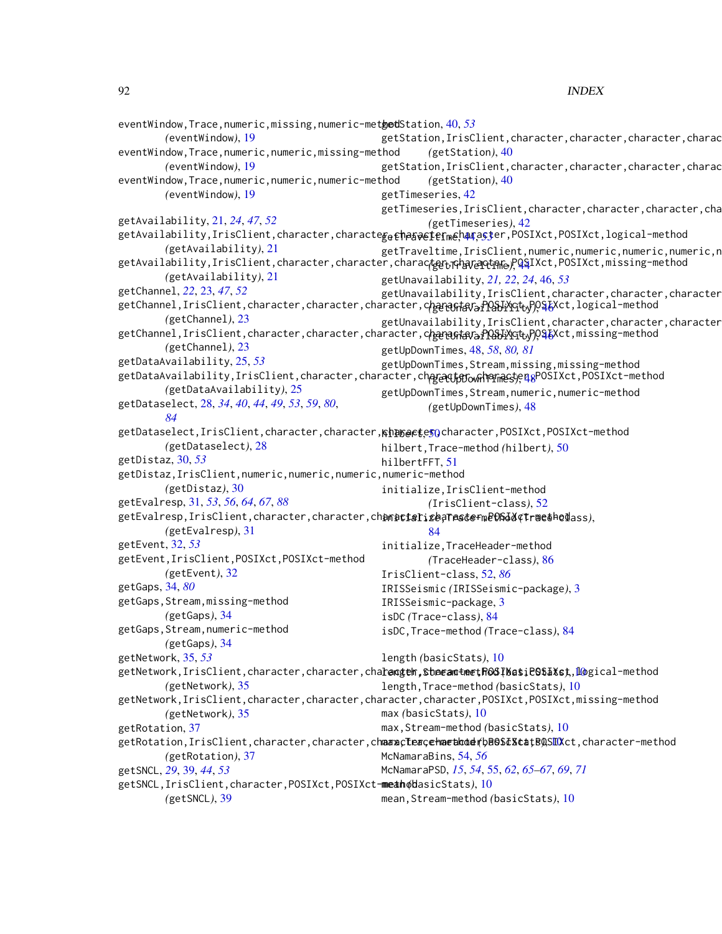### 92 **INDEX**

eventWindow,Trace,numeric,missing,numeric-metgodStation, [40,](#page-39-0)[53](#page-52-0) *(*eventWindow*)*, [19](#page-18-0) eventWindow,Trace,numeric,numeric,missing-method *(*eventWindow*)*, [19](#page-18-0) eventWindow,Trace,numeric,numeric,numeric-method *(*eventWindow*)*, [19](#page-18-0) getAvailability, [21,](#page-20-0) *[24](#page-23-0)*, *[47](#page-46-0)*, *[52](#page-51-1)* getAvailability,IrisClient,character,characte<sub>ge E</sub>hasaeter<sub>me</sub>haraster,POSIXct,POSIXct,logical-method *(*getAvailability*)*, [21](#page-20-0) getAvailability,IrisClient,character,character,characte<del>gr,IcharaQtane), QS</del>IXct,POSIXct,missing-method *(*getAvailability*)*, [21](#page-20-0) getChannel, *[22](#page-21-0)*, [23,](#page-22-0) *[47](#page-46-0)*, *[52](#page-51-1)* getChannel,IrisClient,character,character,character,ch<del>aracter,cheding</del>), <mark>10&JiYGt<sub>v</sub>)), \$t</mark>Xct,logical-method *(*getChannel*)*, [23](#page-22-0) getChannel,IrisClient,character,character,character,ch<del>aracter,cheft</del>aling.html *(*getChannel*)*, [23](#page-22-0) getDataAvailability, [25,](#page-24-0) *[53](#page-52-0)* getDataAvailability,IrisClient,character,character,character,charact<del>y</del> ownPar<sub>l</sub>actyen&POSIXct,POSIXct-method *(*getDataAvailability*)*, [25](#page-24-0) getDataselect, [28,](#page-27-1) *[34](#page-33-1)*, *[40](#page-39-0)*, *[44](#page-43-0)*, *[49](#page-48-0)*, *[53](#page-52-0)*, *[59](#page-58-0)*, *[80](#page-79-1)*, *[84](#page-83-0)* getDataselect,IrisClient,character,character,<mark>khph@ete[50](#page-49-0)</mark>character,POSIXct,POSIXct-method *(*getDataselect*)*, [28](#page-27-1) getDistaz, [30,](#page-29-0) *[53](#page-52-0)* getDistaz,IrisClient,numeric,numeric,numeric,numeric-method *(*getDistaz*)*, [30](#page-29-0) getEvalresp, [31,](#page-30-1) *[53](#page-52-0)*, *[56](#page-55-1)*, *[64](#page-63-0)*, *[67](#page-66-0)*, *[88](#page-87-1)* getEvalresp,IrisClient,character,character,ch**anacter,ebarastefmeOSIX¢trmethOd**ass), *(*getEvalresp*)*, [31](#page-30-1) getEvent, [32,](#page-31-0) *[53](#page-52-0)* getEvent,IrisClient,POSIXct,POSIXct-method *(*getEvent*)*, [32](#page-31-0) getGaps, [34,](#page-33-1) *[80](#page-79-1)* getGaps,Stream,missing-method *(*getGaps*)*, [34](#page-33-1) getGaps,Stream,numeric-method *(*getGaps*)*, [34](#page-33-1) getNetwork, [35,](#page-34-0) *[53](#page-52-0)* getNetwork,IrisClient,character,character,cha**racter,shaeantmetR0SIMatiP9SIXst**,l@gical-method *(*getNetwork*)*, [35](#page-34-0) getNetwork, IrisClient, character, character, character, character, POSIXct, POSIXct, missing-method *(*getNetwork*)*, [35](#page-34-0) getRotation, [37](#page-36-0) getRotation,IrisClient,character,character,ch**aaxcteacehaethod**fb<code>poststatB</code>QSll<code>ICtt</code>,character-method *(*getRotation*)*, [37](#page-36-0) getSNCL, *[29](#page-28-0)*, [39,](#page-38-0) *[44](#page-43-0)*, *[53](#page-52-0)* getSNCL,IrisClient,character,POSIXct,POSIXct-method mean *(*basicStats*)*, [10](#page-9-0) *(*getSNCL*)*, [39](#page-38-0) getStation, IrisClient, character, character, character, charac *(*getStation*)*, [40](#page-39-0) getStation, IrisClient, character, character, character, charac *(*getStation*)*, [40](#page-39-0) getTimeseries, [42](#page-41-0) getTimeseries, IrisClient, character, character, character, cha *(*getTimeseries*)*, [42](#page-41-0) getTraveltime,IrisClient,numeric,numeric,numeric,numeric,n getUnavailability, *[21,](#page-20-0) [22](#page-21-0)*, *[24](#page-23-0)*, [46,](#page-45-0) *[53](#page-52-0)* getUnavailability, IrisClient, character, character, character getUnavailability, IrisClient, character, character, character getUpDownTimes, [48,](#page-47-1) *[58](#page-57-0)*, *[80,](#page-79-1) [81](#page-80-0)* getUpDownTimes,Stream,missing,missing-method getUpDownTimes,Stream,numeric,numeric-method *(*getUpDownTimes*)*, [48](#page-47-1) hilbert,Trace-method *(*hilbert*)*, [50](#page-49-0) hilbertFFT, [51](#page-50-0) initialize,IrisClient-method *(*IrisClient-class*)*, [52](#page-51-1) [84](#page-83-0) initialize,TraceHeader-method *(*TraceHeader-class*)*, [86](#page-85-1) IrisClient-class, [52,](#page-51-1) *[86](#page-85-1)* IRISSeismic *(*IRISSeismic-package*)*, [3](#page-2-0) IRISSeismic-package, [3](#page-2-0) isDC *(*Trace-class*)*, [84](#page-83-0) isDC,Trace-method *(*Trace-class*)*, [84](#page-83-0) length *(*basicStats*)*, [10](#page-9-0) length,Trace-method *(*basicStats*)*, [10](#page-9-0) max *(*basicStats*)*, [10](#page-9-0) max,Stream-method *(*basicStats*)*, [10](#page-9-0) McNamaraBins, [54,](#page-53-0) *[56](#page-55-1)* McNamaraPSD, *[15](#page-14-0)*, *[54](#page-53-0)*, [55,](#page-54-0) *[62](#page-61-0)*, *[65](#page-64-0)[–67](#page-66-0)*, *[69](#page-68-0)*, *[71](#page-70-0)* mean,Stream-method *(*basicStats*)*, [10](#page-9-0)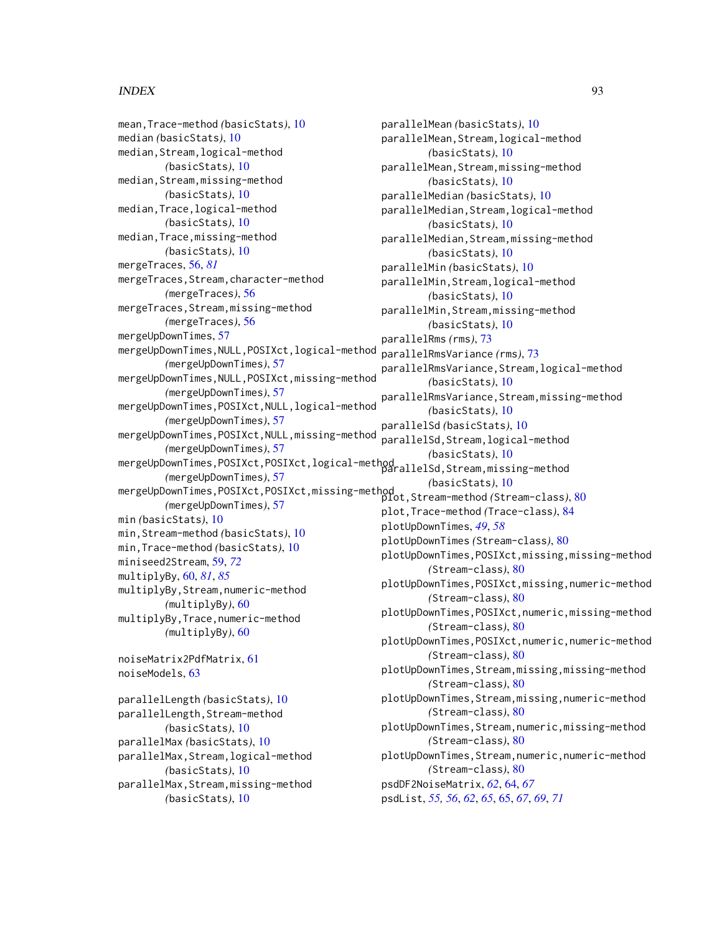## INDEX  $\sim$  93

mean,Trace-method *(*basicStats*)*, [10](#page-9-0) median *(*basicStats*)*, [10](#page-9-0) median,Stream,logical-method *(*basicStats*)*, [10](#page-9-0) median, Stream, missing-method *(*basicStats*)*, [10](#page-9-0) median,Trace,logical-method *(*basicStats*)*, [10](#page-9-0) median,Trace,missing-method *(*basicStats*)*, [10](#page-9-0) mergeTraces, [56,](#page-55-1) *[81](#page-80-0)* mergeTraces,Stream,character-method *(*mergeTraces*)*, [56](#page-55-1) mergeTraces,Stream,missing-method *(*mergeTraces*)*, [56](#page-55-1) mergeUpDownTimes, [57](#page-56-0) mergeUpDownTimes,NULL,POSIXct,logical-method *(*mergeUpDownTimes*)*, [57](#page-56-0) mergeUpDownTimes,NULL,POSIXct,missing-method *(*mergeUpDownTimes*)*, [57](#page-56-0) mergeUpDownTimes,POSIXct,NULL,logical-method *(*mergeUpDownTimes*)*, [57](#page-56-0) mergeUpDownTimes,POSIXct,NULL,missing-method *(*mergeUpDownTimes*)*, [57](#page-56-0) mergeUpDownTimes,POSIXct,POSIXct,logical-method<br>parallelSd,Stream,missing-method *(*mergeUpDownTimes*)*, [57](#page-56-0) mergeUpDownTimes,POSIXct,POSIXct,missing-method plot,Stream-method *(*Stream-class*)*, [80](#page-79-1) *(*mergeUpDownTimes*)*, [57](#page-56-0) min *(*basicStats*)*, [10](#page-9-0) min,Stream-method *(*basicStats*)*, [10](#page-9-0) min,Trace-method *(*basicStats*)*, [10](#page-9-0) miniseed2Stream, [59,](#page-58-0) *[72](#page-71-0)* multiplyBy, [60,](#page-59-1) *[81](#page-80-0)*, *[85](#page-84-0)* multiplyBy,Stream,numeric-method *(*multiplyBy*)*, [60](#page-59-1) multiplyBy,Trace,numeric-method *(*multiplyBy*)*, [60](#page-59-1) noiseMatrix2PdfMatrix, [61](#page-60-0) noiseModels, [63](#page-62-0) parallelLength *(*basicStats*)*, [10](#page-9-0) parallelLength, Stream-method *(*basicStats*)*, [10](#page-9-0) parallelMax *(*basicStats*)*, [10](#page-9-0) parallelMax,Stream,logical-method *(*basicStats*)*, [10](#page-9-0) parallelMax,Stream,missing-method

*(*basicStats*)*, [10](#page-9-0)

parallelMin,Stream,missing-method *(*basicStats*)*, [10](#page-9-0) parallelRms *(*rms*)*, [73](#page-72-2) parallelRmsVariance *(*rms*)*, [73](#page-72-2) parallelRmsVariance,Stream,logical-method *(*basicStats*)*, [10](#page-9-0) parallelRmsVariance,Stream,missing-method *(*basicStats*)*, [10](#page-9-0) parallelSd *(*basicStats*)*, [10](#page-9-0) parallelSd,Stream,logical-method *(*basicStats*)*, [10](#page-9-0) *(*basicStats*)*, [10](#page-9-0) plot,Trace-method *(*Trace-class*)*, [84](#page-83-0) plotUpDownTimes, *[49](#page-48-0)*, *[58](#page-57-0)* plotUpDownTimes *(*Stream-class*)*, [80](#page-79-1) plotUpDownTimes,POSIXct,missing,missing-method *(*Stream-class*)*, [80](#page-79-1) plotUpDownTimes,POSIXct,missing,numeric-method *(*Stream-class*)*, [80](#page-79-1) plotUpDownTimes,POSIXct,numeric,missing-method *(*Stream-class*)*, [80](#page-79-1) plotUpDownTimes,POSIXct,numeric,numeric-method *(*Stream-class*)*, [80](#page-79-1) plotUpDownTimes,Stream,missing,missing-method *(*Stream-class*)*, [80](#page-79-1) plotUpDownTimes,Stream,missing,numeric-method *(*Stream-class*)*, [80](#page-79-1) plotUpDownTimes,Stream,numeric,missing-method *(*Stream-class*)*, [80](#page-79-1) plotUpDownTimes,Stream,numeric,numeric-method *(*Stream-class*)*, [80](#page-79-1) psdDF2NoiseMatrix, *[62](#page-61-0)*, [64,](#page-63-0) *[67](#page-66-0)* psdList, *[55,](#page-54-0) [56](#page-55-1)*, *[62](#page-61-0)*, *[65](#page-64-0)*, [65,](#page-64-0) *[67](#page-66-0)*, *[69](#page-68-0)*, *[71](#page-70-0)*

parallelMean *(*basicStats*)*, [10](#page-9-0)

parallelMean,Stream,logical-method *(*basicStats*)*, [10](#page-9-0) parallelMean,Stream,missing-method *(*basicStats*)*, [10](#page-9-0) parallelMedian *(*basicStats*)*, [10](#page-9-0)

parallelMedian,Stream,logical-method *(*basicStats*)*, [10](#page-9-0) parallelMedian,Stream,missing-method *(*basicStats*)*, [10](#page-9-0) parallelMin *(*basicStats*)*, [10](#page-9-0)

parallelMin,Stream,logical-method *(*basicStats*)*, [10](#page-9-0)